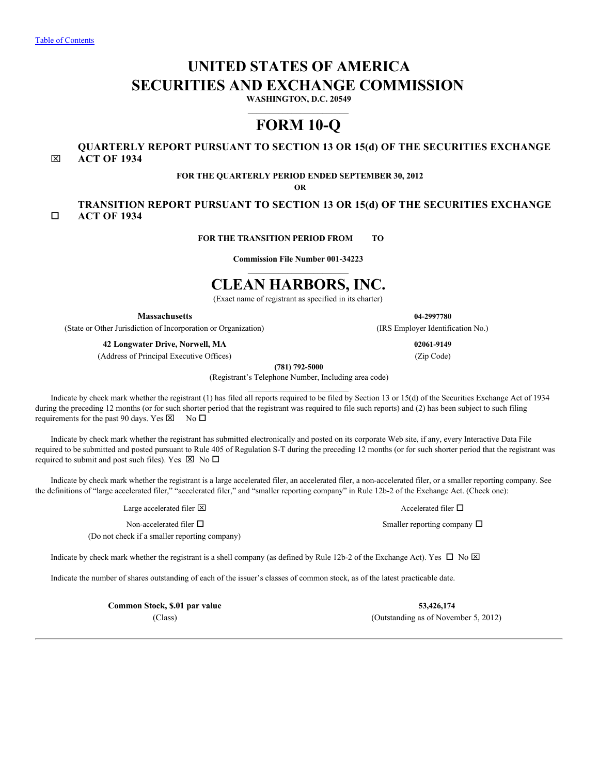o

# <span id="page-0-0"></span>**UNITED STATES OF AMERICA SECURITIES AND EXCHANGE COMMISSION**

**WASHINGTON, D.C. 20549**  $\mathcal{L}_\text{max}$ 

# **FORM 10-Q**

#### x **QUARTERLY REPORT PURSUANT TO SECTION 13 OR 15(d) OF THE SECURITIES EXCHANGE ACT OF 1934**

# **FOR THE QUARTERLY PERIOD ENDED SEPTEMBER 30, 2012**

**OR**

# **TRANSITION REPORT PURSUANT TO SECTION 13 OR 15(d) OF THE SECURITIES EXCHANGE ACT OF 1934**

## **FOR THE TRANSITION PERIOD FROM TO**

**Commission File Number 001-34223**

# **CLEAN HARBORS, INC.**

(Exact name of registrant as specified in its charter)

**Massachusetts 04-2997780**

(State or Other Jurisdiction of Incorporation or Organization) (IRS Employer Identification No.)

**42 Longwater Drive, Norwell, MA 02061-9149**

(Address of Principal Executive Offices) (Zip Code)

**(781) 792-5000**

(Registrant's Telephone Number, Including area code)

Indicate by check mark whether the registrant (1) has filed all reports required to be filed by Section 13 or 15(d) of the Securities Exchange Act of 1934 during the preceding 12 months (or for such shorter period that the registrant was required to file such reports) and (2) has been subject to such filing requirements for the past 90 days. Yes  $\boxtimes$  No  $\square$ 

Indicate by check mark whether the registrant has submitted electronically and posted on its corporate Web site, if any, every Interactive Data File required to be submitted and posted pursuant to Rule 405 of Regulation S-T during the preceding 12 months (or for such shorter period that the registrant was required to submit and post such files). Yes  $\boxtimes$  No  $\square$ 

Indicate by check mark whether the registrant is a large accelerated filer, an accelerated filer, a non-accelerated filer, or a smaller reporting company. See the definitions of "large accelerated filer," "accelerated filer," and "smaller reporting company" in Rule 12b-2 of the Exchange Act. (Check one):

Large accelerated filer  $\boxtimes$ 

(Do not check if a smaller reporting company)

Indicate by check mark whether the registrant is a shell company (as defined by Rule 12b-2 of the Exchange Act). Yes  $\Box$  No  $\boxtimes$ 

Indicate the number of shares outstanding of each of the issuer's classes of common stock, as of the latest practicable date.

**Common Stock, \$.01 par value 53,426,174**

(Class) (Outstanding as of November 5, 2012)

Non-accelerated filer  $\Box$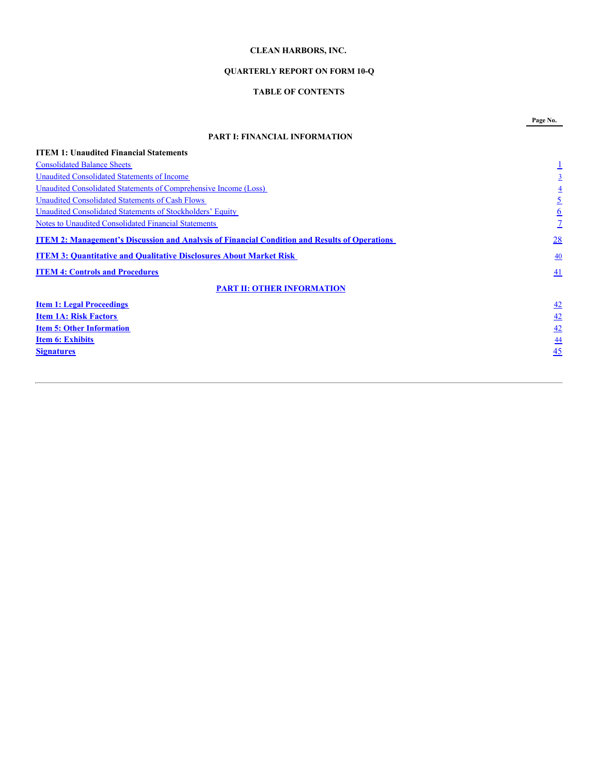# **CLEAN HARBORS, INC.**

# **QUARTERLY REPORT ON FORM 10-Q**

# **TABLE OF CONTENTS**

**Page No.**

# **PART I: FINANCIAL INFORMATION**

| <b>ITEM 1: Unaudited Financial Statements</b>                                                        |                 |
|------------------------------------------------------------------------------------------------------|-----------------|
| <b>Consolidated Balance Sheets</b>                                                                   |                 |
| Unaudited Consolidated Statements of Income                                                          |                 |
| Unaudited Consolidated Statements of Comprehensive Income (Loss)                                     |                 |
| Unaudited Consolidated Statements of Cash Flows                                                      | <u>5</u>        |
| Unaudited Consolidated Statements of Stockholders' Equity                                            | <u>6</u>        |
| <b>Notes to Unaudited Consolidated Financial Statements</b>                                          | $\overline{1}$  |
| <b>ITEM 2: Management's Discussion and Analysis of Financial Condition and Results of Operations</b> | 28              |
| <b>ITEM 3: Quantitative and Qualitative Disclosures About Market Risk</b>                            | $\overline{40}$ |
| <b>ITEM 4: Controls and Procedures</b>                                                               | 41              |
| <b>PART II: OTHER INFORMATION</b>                                                                    |                 |
| <b>Item 1: Legal Proceedings</b>                                                                     | 42              |
| <b>Item 1A: Risk Factors</b>                                                                         | 42              |
| <b>Item 5: Other Information</b>                                                                     | 42              |
| <b>Item 6: Exhibits</b>                                                                              | $\overline{44}$ |
| <b>Signatures</b>                                                                                    | 45              |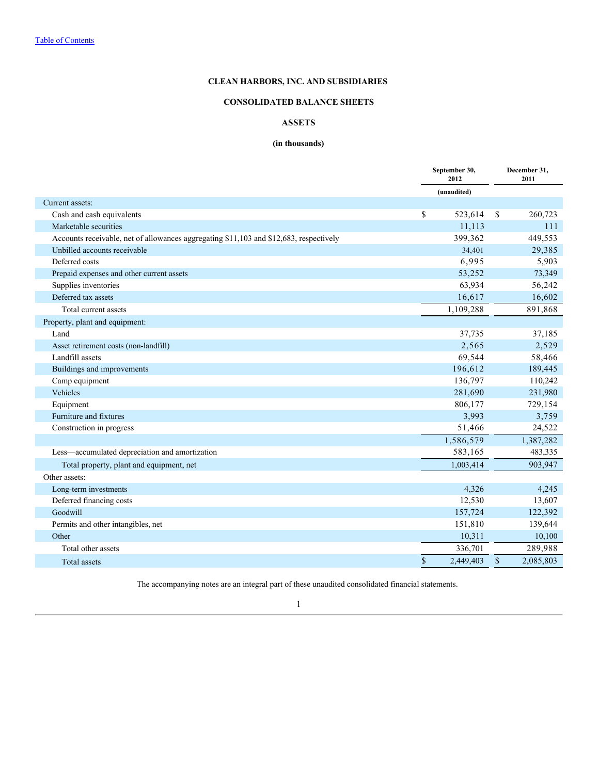# **CONSOLIDATED BALANCE SHEETS**

# **ASSETS**

# **(in thousands)**

<span id="page-2-0"></span>

|                                                                                        | September 30,<br>2012 |             |              | December 31,<br>2011 |
|----------------------------------------------------------------------------------------|-----------------------|-------------|--------------|----------------------|
|                                                                                        |                       | (unaudited) |              |                      |
| Current assets:                                                                        |                       |             |              |                      |
| Cash and cash equivalents                                                              | \$                    | 523,614     | \$           | 260,723              |
| Marketable securities                                                                  |                       | 11,113      |              | 111                  |
| Accounts receivable, net of allowances aggregating \$11,103 and \$12,683, respectively |                       | 399,362     |              | 449,553              |
| Unbilled accounts receivable                                                           |                       | 34,401      |              | 29,385               |
| Deferred costs                                                                         |                       | 6,995       |              | 5,903                |
| Prepaid expenses and other current assets                                              |                       | 53,252      |              | 73,349               |
| Supplies inventories                                                                   |                       | 63,934      |              | 56,242               |
| Deferred tax assets                                                                    |                       | 16,617      |              | 16,602               |
| Total current assets                                                                   |                       | 1,109,288   |              | 891,868              |
| Property, plant and equipment:                                                         |                       |             |              |                      |
| Land                                                                                   |                       | 37,735      |              | 37,185               |
| Asset retirement costs (non-landfill)                                                  |                       | 2,565       |              | 2,529                |
| Landfill assets                                                                        |                       | 69,544      |              | 58,466               |
| Buildings and improvements                                                             |                       | 196,612     |              | 189,445              |
| Camp equipment                                                                         |                       | 136,797     |              | 110,242              |
| Vehicles                                                                               |                       | 281,690     |              | 231,980              |
| Equipment                                                                              |                       | 806,177     |              | 729,154              |
| Furniture and fixtures                                                                 |                       | 3,993       |              | 3,759                |
| Construction in progress                                                               |                       | 51,466      |              | 24,522               |
|                                                                                        |                       | 1,586,579   |              | 1,387,282            |
| Less-accumulated depreciation and amortization                                         |                       | 583,165     |              | 483,335              |
| Total property, plant and equipment, net                                               |                       | 1,003,414   |              | 903,947              |
| Other assets:                                                                          |                       |             |              |                      |
| Long-term investments                                                                  |                       | 4,326       |              | 4,245                |
| Deferred financing costs                                                               |                       | 12,530      |              | 13,607               |
| Goodwill                                                                               |                       | 157,724     |              | 122,392              |
| Permits and other intangibles, net                                                     |                       | 151,810     |              | 139,644              |
| Other                                                                                  |                       | 10,311      |              | 10,100               |
| Total other assets                                                                     |                       | 336,701     |              | 289,988              |
| <b>Total</b> assets                                                                    | \$                    | 2,449,403   | $\mathbb{S}$ | 2,085,803            |

The accompanying notes are an integral part of these unaudited consolidated financial statements.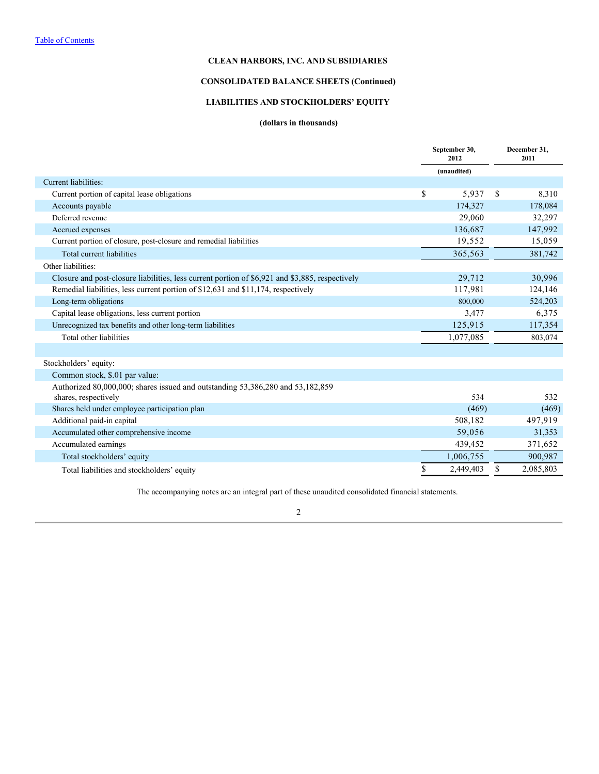# **CONSOLIDATED BALANCE SHEETS (Continued)**

# **LIABILITIES AND STOCKHOLDERS' EQUITY**

# **(dollars in thousands)**

<span id="page-3-0"></span>

|                                                                                                 | September 30,<br>2012 |           | December 31,<br>2011 |           |
|-------------------------------------------------------------------------------------------------|-----------------------|-----------|----------------------|-----------|
|                                                                                                 | (unaudited)           |           |                      |           |
| Current liabilities:                                                                            |                       |           |                      |           |
| Current portion of capital lease obligations                                                    | \$                    | 5,937     | \$                   | 8,310     |
| Accounts payable                                                                                |                       | 174,327   |                      | 178,084   |
| Deferred revenue                                                                                |                       | 29,060    |                      | 32,297    |
| Accrued expenses                                                                                |                       | 136,687   |                      | 147,992   |
| Current portion of closure, post-closure and remedial liabilities                               |                       | 19,552    |                      | 15,059    |
| Total current liabilities                                                                       |                       | 365,563   |                      | 381,742   |
| Other liabilities:                                                                              |                       |           |                      |           |
| Closure and post-closure liabilities, less current portion of \$6,921 and \$3,885, respectively |                       | 29,712    |                      | 30,996    |
| Remedial liabilities, less current portion of \$12,631 and \$11,174, respectively               |                       | 117,981   |                      | 124,146   |
| Long-term obligations                                                                           |                       | 800,000   |                      | 524,203   |
| Capital lease obligations, less current portion                                                 |                       | 3,477     |                      | 6,375     |
| Unrecognized tax benefits and other long-term liabilities                                       |                       | 125,915   |                      | 117,354   |
| Total other liabilities                                                                         |                       | 1,077,085 |                      | 803,074   |
|                                                                                                 |                       |           |                      |           |
| Stockholders' equity:                                                                           |                       |           |                      |           |
| Common stock, \$.01 par value:                                                                  |                       |           |                      |           |
| Authorized 80,000,000; shares issued and outstanding 53,386,280 and 53,182,859                  |                       |           |                      |           |
| shares, respectively                                                                            |                       | 534       |                      | 532       |
| Shares held under employee participation plan                                                   |                       | (469)     |                      | (469)     |
| Additional paid-in capital                                                                      |                       | 508,182   |                      | 497,919   |
| Accumulated other comprehensive income                                                          |                       | 59,056    |                      | 31,353    |
| Accumulated earnings                                                                            |                       | 439,452   |                      | 371,652   |
| Total stockholders' equity                                                                      |                       | 1,006,755 |                      | 900,987   |
| Total liabilities and stockholders' equity                                                      | \$                    | 2,449,403 | \$                   | 2,085,803 |

The accompanying notes are an integral part of these unaudited consolidated financial statements.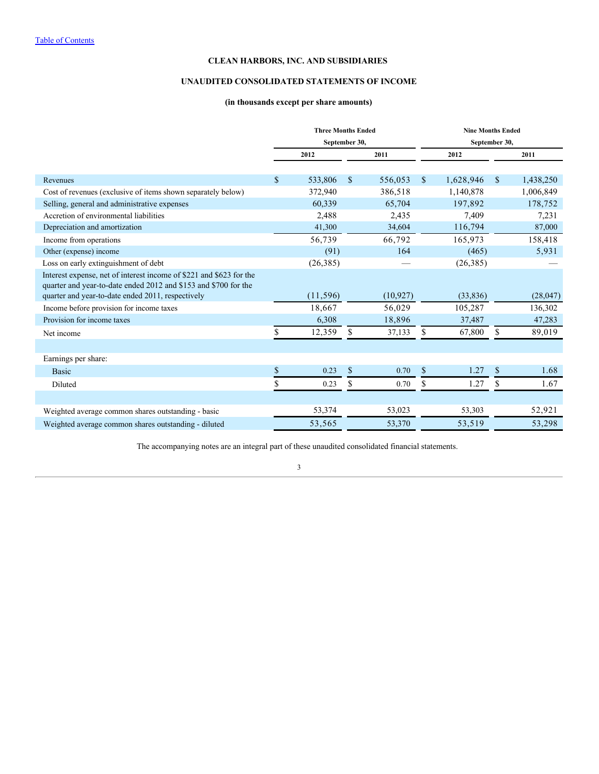# **UNAUDITED CONSOLIDATED STATEMENTS OF INCOME**

# **(in thousands except per share amounts)**

|                                                                     | <b>Three Months Ended</b> |               |               | <b>Nine Months Ended</b> |               |           |               |           |
|---------------------------------------------------------------------|---------------------------|---------------|---------------|--------------------------|---------------|-----------|---------------|-----------|
|                                                                     |                           | September 30, |               |                          | September 30, |           |               |           |
|                                                                     |                           | 2012          |               | 2011                     |               | 2012      |               | 2011      |
|                                                                     |                           |               |               |                          |               |           |               |           |
| Revenues                                                            | \$                        | 533,806       | $\mathbb{S}$  | 556,053                  | \$.           | 1,628,946 | $\mathbb{S}$  | 1,438,250 |
| Cost of revenues (exclusive of items shown separately below)        |                           | 372,940       |               | 386,518                  |               | 1,140,878 |               | 1,006,849 |
| Selling, general and administrative expenses                        |                           | 60,339        |               | 65,704                   |               | 197,892   |               | 178,752   |
| Accretion of environmental liabilities                              |                           | 2,488         |               | 2,435                    |               | 7,409     |               | 7,231     |
| Depreciation and amortization                                       |                           | 41,300        |               | 34,604                   |               | 116,794   |               | 87,000    |
| Income from operations                                              |                           | 56,739        |               | 66,792                   |               | 165,973   |               | 158,418   |
| Other (expense) income                                              |                           | (91)          |               | 164                      |               | (465)     |               | 5,931     |
| Loss on early extinguishment of debt                                |                           | (26, 385)     |               |                          |               | (26, 385) |               |           |
| Interest expense, net of interest income of \$221 and \$623 for the |                           |               |               |                          |               |           |               |           |
| quarter and year-to-date ended 2012 and \$153 and \$700 for the     |                           |               |               |                          |               |           |               |           |
| quarter and year-to-date ended 2011, respectively                   |                           | (11, 596)     |               | (10, 927)                |               | (33, 836) |               | (28, 047) |
| Income before provision for income taxes                            |                           | 18,667        |               | 56,029                   |               | 105,287   |               | 136,302   |
| Provision for income taxes                                          |                           | 6,308         |               | 18,896                   |               | 37,487    |               | 47,283    |
| Net income                                                          |                           | 12,359        | \$            | 37,133                   | <sup>\$</sup> | 67,800    | <sup>\$</sup> | 89,019    |
|                                                                     |                           |               |               |                          |               |           |               |           |
| Earnings per share:                                                 |                           |               |               |                          |               |           |               |           |
| <b>Basic</b>                                                        | \$                        | 0.23          | $\mathcal{S}$ | 0.70                     | $\mathbb{S}$  | 1.27      | $\mathbf{s}$  | 1.68      |
| Diluted                                                             | \$                        | 0.23          | \$            | 0.70                     | \$            | 1.27      | \$            | 1.67      |
|                                                                     |                           |               |               |                          |               |           |               |           |
| Weighted average common shares outstanding - basic                  |                           | 53,374        |               | 53,023                   |               | 53,303    |               | 52,921    |
| Weighted average common shares outstanding - diluted                |                           | 53,565        |               | 53,370                   |               | 53,519    |               | 53,298    |

The accompanying notes are an integral part of these unaudited consolidated financial statements.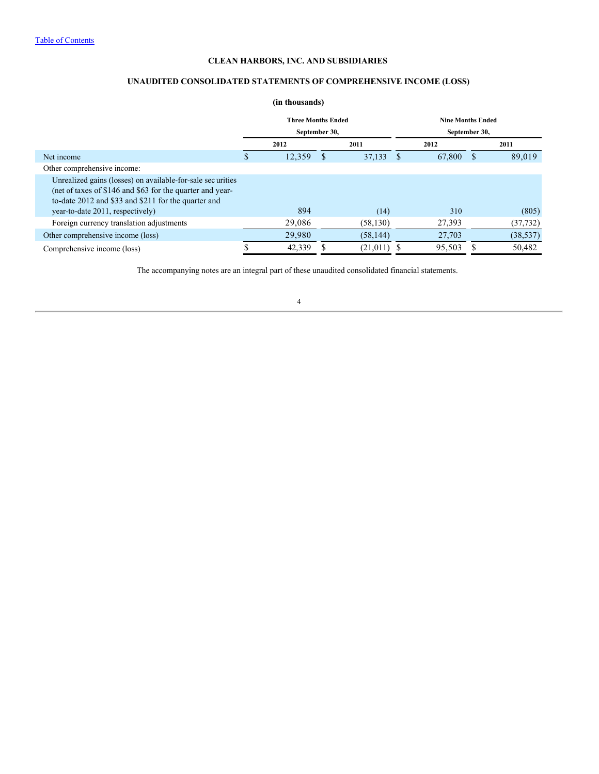# **UNAUDITED CONSOLIDATED STATEMENTS OF COMPREHENSIVE INCOME (LOSS)**

# **(in thousands)**

<span id="page-5-0"></span>

|                                                                                                                                                                                | <b>Three Months Ended</b> |               |  |           | <b>Nine Months Ended</b> |        |  |           |
|--------------------------------------------------------------------------------------------------------------------------------------------------------------------------------|---------------------------|---------------|--|-----------|--------------------------|--------|--|-----------|
|                                                                                                                                                                                |                           | September 30, |  |           | September 30,            |        |  |           |
|                                                                                                                                                                                |                           | 2012          |  | 2011      |                          | 2012   |  | 2011      |
| Net income                                                                                                                                                                     |                           | 12,359        |  | 37,133    | <b>S</b>                 | 67,800 |  | 89,019    |
| Other comprehensive income:                                                                                                                                                    |                           |               |  |           |                          |        |  |           |
| Unrealized gains (losses) on available-for-sale securities<br>(net of taxes of \$146 and \$63 for the quarter and year-<br>to-date 2012 and \$33 and \$211 for the quarter and |                           |               |  |           |                          |        |  |           |
| year-to-date 2011, respectively)                                                                                                                                               |                           | 894           |  | (14)      |                          | 310    |  | (805)     |
| Foreign currency translation adjustments                                                                                                                                       |                           | 29,086        |  | (58, 130) |                          | 27,393 |  | (37, 732) |
| Other comprehensive income (loss)                                                                                                                                              |                           | 29,980        |  | (58, 144) |                          | 27,703 |  | (38, 537) |
| Comprehensive income (loss)                                                                                                                                                    |                           | 42,339        |  | (21, 011) |                          | 95,503 |  | 50,482    |

The accompanying notes are an integral part of these unaudited consolidated financial statements.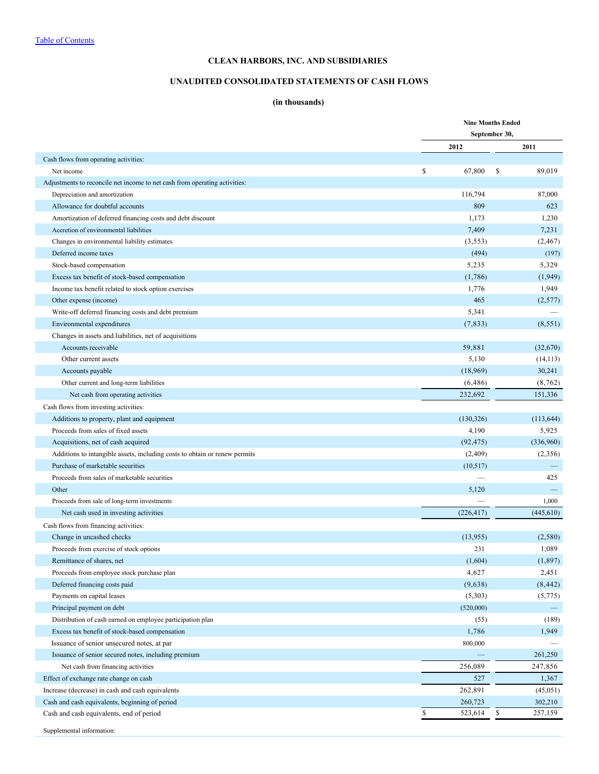# **UNAUDITED CONSOLIDATED STATEMENTS OF CASH FLOWS**

# **(in thousands)**

|                                                                            | <b>Nine Months Ended</b> |               |  |
|----------------------------------------------------------------------------|--------------------------|---------------|--|
|                                                                            | September 30,            |               |  |
|                                                                            | 2012                     | 2011          |  |
| Cash flows from operating activities:<br>Net income                        | \$<br>67,800             | \$<br>89,019  |  |
| Adjustments to reconcile net income to net cash from operating activities: |                          |               |  |
| Depreciation and amortization                                              | 116,794                  | 87,000        |  |
| Allowance for doubtful accounts                                            | 809                      | 623           |  |
| Amortization of deferred financing costs and debt discount                 | 1,173                    | 1,230         |  |
| Accretion of environmental liabilities                                     | 7,409                    | 7,231         |  |
| Changes in environmental liability estimates                               | (3, 553)                 | (2, 467)      |  |
| Deferred income taxes                                                      | (494)                    | (197)         |  |
| Stock-based compensation                                                   | 5,235                    | 5,329         |  |
| Excess tax benefit of stock-based compensation                             | (1,786)                  | (1,949)       |  |
| Income tax benefit related to stock option exercises                       | 1,776                    | 1,949         |  |
| Other expense (income)                                                     | 465                      | (2,577)       |  |
| Write-off deferred financing costs and debt premium                        | 5,341                    |               |  |
| Environmental expenditures                                                 | (7, 833)                 | (8, 551)      |  |
| Changes in assets and liabilities, net of acquisitions                     |                          |               |  |
| Accounts receivable                                                        | 59,881                   | (32,670)      |  |
| Other current assets                                                       | 5,130                    | (14, 113)     |  |
| Accounts payable                                                           | (18,969)                 | 30,241        |  |
| Other current and long-term liabilities                                    | (6, 486)                 | (8, 762)      |  |
| Net cash from operating activities                                         | 232,692                  | 151,336       |  |
| Cash flows from investing activities:                                      |                          |               |  |
| Additions to property, plant and equipment                                 | (130, 326)               | (113, 644)    |  |
| Proceeds from sales of fixed assets                                        | 4,190                    | 5,925         |  |
| Acquisitions, net of cash acquired                                         | (92, 475)                | (336,960)     |  |
| Additions to intangible assets, including costs to obtain or renew permits | (2,409)                  | (2,356)       |  |
| Purchase of marketable securities                                          | (10,517)                 |               |  |
| Proceeds from sales of marketable securities                               |                          | 425           |  |
| Other                                                                      | 5,120                    |               |  |
| Proceeds from sale of long-term investments                                |                          | 1,000         |  |
| Net cash used in investing activities                                      | (226, 417)               | (445, 610)    |  |
| Cash flows from financing activities:                                      |                          |               |  |
| Change in uncashed checks                                                  | (13,955)                 | (2,580)       |  |
| Proceeds from exercise of stock options                                    | 231                      | 1,089         |  |
| Remittance of shares, net                                                  | (1,604)                  | (1, 897)      |  |
| Proceeds from employee stock purchase plan                                 | 4,627                    | 2,451         |  |
| Deferred financing costs paid                                              | (9,638)                  | (8, 442)      |  |
| Payments on capital leases                                                 | (5,303)                  | (5,775)       |  |
| Principal payment on debt                                                  | (520,000)                |               |  |
| Distribution of cash earned on employee participation plan                 | (55)                     | (189)         |  |
| Excess tax benefit of stock-based compensation                             | 1,786                    | 1,949         |  |
| Issuance of senior unsecured notes, at par                                 | 800,000                  |               |  |
| Issuance of senior secured notes, including premium                        |                          | 261,250       |  |
| Net cash from financing activities                                         | 256,089                  | 247,856       |  |
| Effect of exchange rate change on cash                                     | 527                      | 1,367         |  |
| Increase (decrease) in cash and cash equivalents                           | 262,891                  | (45, 051)     |  |
| Cash and cash equivalents, beginning of period                             | 260,723                  | 302,210       |  |
| Cash and cash equivalents, end of period                                   | \$<br>523,614            | \$<br>257,159 |  |
|                                                                            |                          |               |  |

Supplemental information: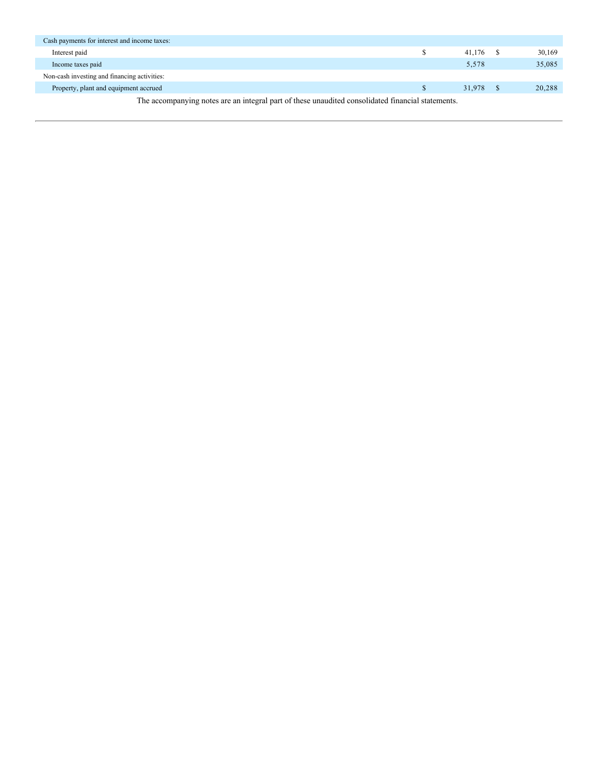| Cash payments for interest and income taxes: |        |        |
|----------------------------------------------|--------|--------|
| Interest paid                                | 41.176 | 30,169 |
| Income taxes paid                            | 5,578  | 35,085 |
| Non-cash investing and financing activities: |        |        |
| Property, plant and equipment accrued        | 31,978 | 20,288 |
|                                              |        |        |

The accompanying notes are an integral part of these unaudited consolidated financial statements.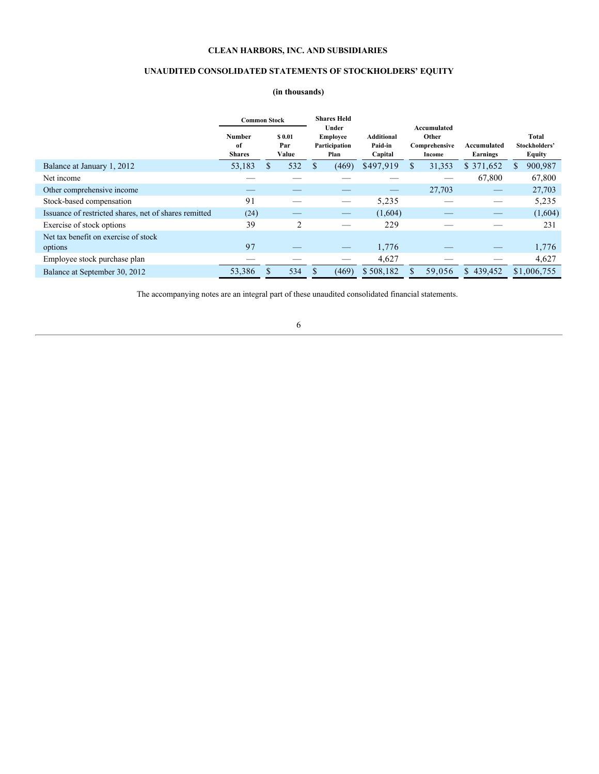# **UNAUDITED CONSOLIDATED STATEMENTS OF STOCKHOLDERS' EQUITY**

# **(in thousands)**

<span id="page-8-0"></span>

|                                                       | <b>Common Stock</b>                  |   |                        |   | <b>Shares Held</b>                                |                                         |   |                                                 |                         |                                         |
|-------------------------------------------------------|--------------------------------------|---|------------------------|---|---------------------------------------------------|-----------------------------------------|---|-------------------------------------------------|-------------------------|-----------------------------------------|
|                                                       | <b>Number</b><br>of<br><b>Shares</b> |   | \$0.01<br>Par<br>Value |   | Under<br><b>Employee</b><br>Participation<br>Plan | <b>Additional</b><br>Paid-in<br>Capital |   | Accumulated<br>Other<br>Comprehensive<br>Income | Accumulated<br>Earnings | Total<br>Stockholders'<br><b>Equity</b> |
| Balance at January 1, 2012                            | 53,183                               | S | 532                    | S | (469)                                             | \$497,919                               | S | 31,353                                          | \$ 371,652              | 900,987<br>S                            |
| Net income                                            |                                      |   |                        |   |                                                   |                                         |   |                                                 | 67,800                  | 67,800                                  |
| Other comprehensive income                            |                                      |   |                        |   |                                                   |                                         |   | 27,703                                          |                         | 27,703                                  |
| Stock-based compensation                              | 91                                   |   |                        |   |                                                   | 5,235                                   |   |                                                 |                         | 5,235                                   |
| Issuance of restricted shares, net of shares remitted | (24)                                 |   |                        |   |                                                   | (1,604)                                 |   |                                                 |                         | (1,604)                                 |
| Exercise of stock options                             | 39                                   |   | $\overline{2}$         |   |                                                   | 229                                     |   |                                                 |                         | 231                                     |
| Net tax benefit on exercise of stock                  |                                      |   |                        |   |                                                   |                                         |   |                                                 |                         |                                         |
| options                                               | 97                                   |   |                        |   |                                                   | 1,776                                   |   |                                                 |                         | 1,776                                   |
| Employee stock purchase plan                          |                                      |   |                        |   |                                                   | 4,627                                   |   |                                                 |                         | 4,627                                   |
| Balance at September 30, 2012                         | 53,386                               |   | 534                    |   | (469)                                             | \$508,182                               |   | 59,056                                          | \$439,452               | \$1,006,755                             |

The accompanying notes are an integral part of these unaudited consolidated financial statements.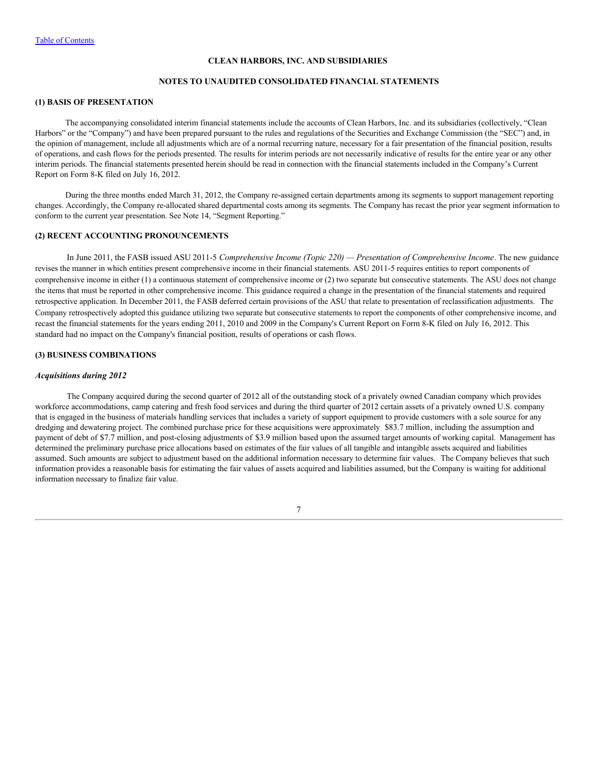## **NOTES TO UNAUDITED CONSOLIDATED FINANCIAL STATEMENTS**

## **(1) BASIS OF PRESENTATION**

The accompanying consolidated interim financial statements include the accounts of Clean Harbors, Inc. and its subsidiaries (collectively, "Clean Harbors" or the "Company") and have been prepared pursuant to the rules and regulations of the Securities and Exchange Commission (the "SEC") and, in the opinion of management, include all adjustments which are of a normal recurring nature, necessary for a fair presentation of the financial position, results of operations, and cash flows for the periods presented. The results for interim periods are not necessarily indicative of results for the entire year or any other interim periods. The financial statements presented herein should be read in connection with the financial statements included in the Company's Current Report on Form 8-K filed on July 16, 2012.

During the three months ended March 31, 2012, the Company re-assigned certain departments among its segments to support management reporting changes. Accordingly, the Company re-allocated shared departmental costs among its segments. The Company has recast the prior year segment information to conform to the current year presentation. See Note 14, "Segment Reporting."

#### **(2) RECENT ACCOUNTING PRONOUNCEMENTS**

In June 2011, the FASB issued ASU 2011-5 *Comprehensive Income (Topic 220) — Presentation of Comprehensive Income*. The new guidance revises the manner in which entities present comprehensive income in their financial statements. ASU 2011-5 requires entities to report components of comprehensive income in either (1) a continuous statement of comprehensive income or (2) two separate but consecutive statements. The ASU does not change the items that must be reported in other comprehensive income. This guidance required a change in the presentation of the financial statements and required retrospective application. In December 2011, the FASB deferred certain provisions of the ASU that relate to presentation of reclassification adjustments. The Company retrospectively adopted this guidance utilizing two separate but consecutive statements to report the components of other comprehensive income, and recast the financial statements for the years ending 2011, 2010 and 2009 in the Company's Current Report on Form 8-K filed on July 16, 2012. This standard had no impact on the Company's financial position, results of operations or cash flows.

### **(3) BUSINESS COMBINATIONS**

#### *Acquisitions during 2012*

The Company acquired during the second quarter of 2012 all of the outstanding stock of a privately owned Canadian company which provides workforce accommodations, camp catering and fresh food services and during the third quarter of 2012 certain assets of a privately owned U.S. company that is engaged in the business of materials handling services that includes a variety of support equipment to provide customers with a sole source for any dredging and dewatering project. The combined purchase price for these acquisitions were approximately \$83.7 million, including the assumption and payment of debt of \$7.7 million, and post-closing adjustments of \$3.9 million based upon the assumed target amounts of working capital. Management has determined the preliminary purchase price allocations based on estimates of the fair values of all tangible and intangible assets acquired and liabilities assumed. Such amounts are subject to adjustment based on the additional information necessary to determine fair values. The Company believes that such information provides a reasonable basis for estimating the fair values of assets acquired and liabilities assumed, but the Company is waiting for additional information necessary to finalize fair value.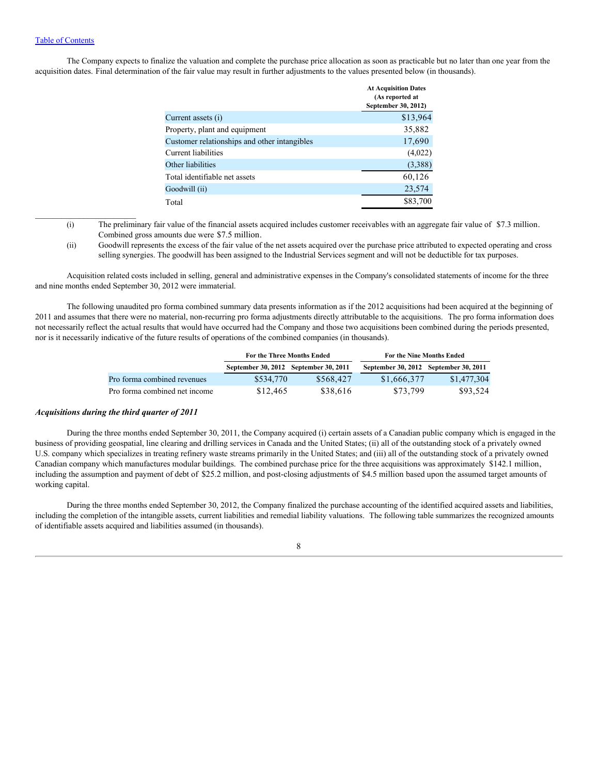The Company expects to finalize the valuation and complete the purchase price allocation as soon as practicable but no later than one year from the acquisition dates. Final determination of the fair value may result in further adjustments to the values presented below (in thousands).

|                                              | <b>At Acquisition Dates</b><br>(As reported at<br>September 30, 2012) |
|----------------------------------------------|-----------------------------------------------------------------------|
| Current assets (i)                           | \$13,964                                                              |
| Property, plant and equipment                | 35,882                                                                |
| Customer relationships and other intangibles | 17,690                                                                |
| Current liabilities                          | (4,022)                                                               |
| Other liabilities                            | (3,388)                                                               |
| Total identifiable net assets                | 60,126                                                                |
| Goodwill (ii)                                | 23,574                                                                |
| Total                                        | \$83,700                                                              |

- (i) The preliminary fair value of the financial assets acquired includes customer receivables with an aggregate fair value of \$7.3 million. Combined gross amounts due were \$7.5 million.
- (ii) Goodwill represents the excess of the fair value of the net assets acquired over the purchase price attributed to expected operating and cross selling synergies. The goodwill has been assigned to the Industrial Services segment and will not be deductible for tax purposes.

Acquisition related costs included in selling, general and administrative expenses in the Company's consolidated statements of income for the three and nine months ended September 30, 2012 were immaterial.

The following unaudited pro forma combined summary data presents information as if the 2012 acquisitions had been acquired at the beginning of 2011 and assumes that there were no material, non-recurring pro forma adjustments directly attributable to the acquisitions. The pro forma information does not necessarily reflect the actual results that would have occurred had the Company and those two acquisitions been combined during the periods presented, nor is it necessarily indicative of the future results of operations of the combined companies (in thousands).

|                               | <b>For the Three Months Ended</b>     |           | For the Nine Months Ended             |             |
|-------------------------------|---------------------------------------|-----------|---------------------------------------|-------------|
|                               | September 30, 2012 September 30, 2011 |           | September 30, 2012 September 30, 2011 |             |
| Pro forma combined revenues   | \$534,770                             | \$568,427 | \$1,666,377                           | \$1,477,304 |
| Pro forma combined net income | \$12.465                              | \$38.616  | \$73.799                              | \$93.524    |

## *Acquisitions during the third quarter of 2011*

During the three months ended September 30, 2011, the Company acquired (i) certain assets of a Canadian public company which is engaged in the business of providing geospatial, line clearing and drilling services in Canada and the United States; (ii) all of the outstanding stock of a privately owned U.S. company which specializes in treating refinery waste streams primarily in the United States; and (iii) all of the outstanding stock of a privately owned Canadian company which manufactures modular buildings. The combined purchase price for the three acquisitions was approximately \$142.1 million, including the assumption and payment of debt of \$25.2 million, and post-closing adjustments of \$4.5 million based upon the assumed target amounts of working capital.

During the three months ended September 30, 2012, the Company finalized the purchase accounting of the identified acquired assets and liabilities, including the completion of the intangible assets, current liabilities and remedial liability valuations. The following table summarizes the recognized amounts of identifiable assets acquired and liabilities assumed (in thousands).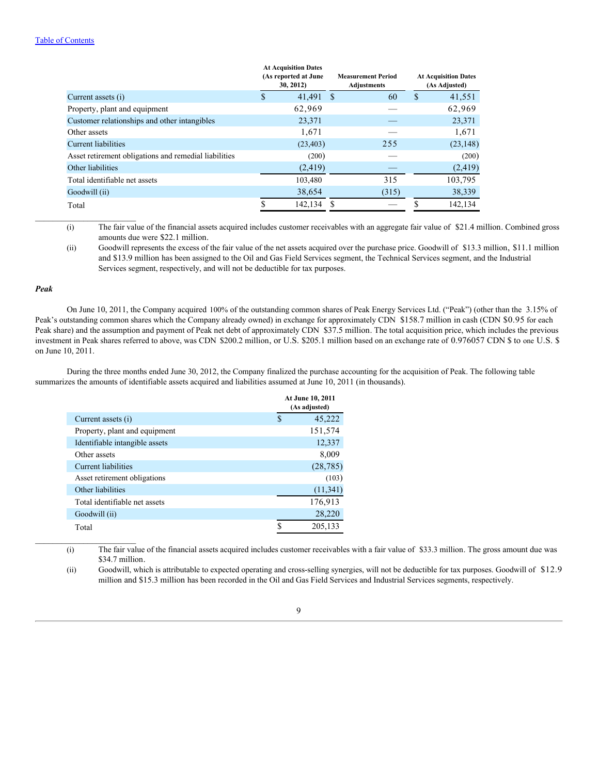#### [Table of Contents](#page-0-0)

|                                                       | <b>At Acquisition Dates</b><br>(As reported at June<br>30, 2012) | <b>Measurement Period</b><br><b>Adjustments</b> | <b>At Acquisition Dates</b><br>(As Adjusted) |
|-------------------------------------------------------|------------------------------------------------------------------|-------------------------------------------------|----------------------------------------------|
| Current assets (i)                                    | S<br>41,491                                                      | - \$<br>60                                      | \$<br>41,551                                 |
| Property, plant and equipment                         | 62.969                                                           |                                                 | 62,969                                       |
| Customer relationships and other intangibles          | 23,371                                                           |                                                 | 23,371                                       |
| Other assets                                          | 1,671                                                            |                                                 | 1,671                                        |
| Current liabilities                                   | (23, 403)                                                        | 255                                             | (23, 148)                                    |
| Asset retirement obligations and remedial liabilities | (200)                                                            |                                                 | (200)                                        |
| Other liabilities                                     | (2, 419)                                                         |                                                 | (2, 419)                                     |
| Total identifiable net assets                         | 103,480                                                          | 315                                             | 103,795                                      |
| Goodwill (ii)                                         | 38,654                                                           | (315)                                           | 38,339                                       |
| Total                                                 | 142.134                                                          |                                                 | 142.134                                      |

(i) The fair value of the financial assets acquired includes customer receivables with an aggregate fair value of \$21.4 million. Combined gross amounts due were \$22.1 million.

(ii) Goodwill represents the excess of the fair value of the net assets acquired over the purchase price. Goodwill of \$13.3 million, \$11.1 million and \$13.9 million has been assigned to the Oil and Gas Field Services segment, the Technical Services segment, and the Industrial Services segment, respectively, and will not be deductible for tax purposes.

## *Peak*

 $\mathcal{L}_\text{max}$ 

On June 10, 2011, the Company acquired 100% of the outstanding common shares of Peak Energy Services Ltd. ("Peak") (other than the 3.15% of Peak's outstanding common shares which the Company already owned) in exchange for approximately CDN \$158.7 million in cash (CDN \$0.95 for each Peak share) and the assumption and payment of Peak net debt of approximately CDN \$37.5 million. The total acquisition price, which includes the previous investment in Peak shares referred to above, was CDN \$200.2 million, or U.S. \$205.1 million based on an exchange rate of 0.976057 CDN \$ to one U.S. \$ on June 10, 2011.

During the three months ended June 30, 2012, the Company finalized the purchase accounting for the acquisition of Peak. The following table summarizes the amounts of identifiable assets acquired and liabilities assumed at June 10, 2011 (in thousands).

|                                |     | At June 10, 2011<br>(As adjusted) |
|--------------------------------|-----|-----------------------------------|
| Current assets (i)             | \$. | 45,222                            |
| Property, plant and equipment  |     | 151,574                           |
| Identifiable intangible assets |     | 12,337                            |
| Other assets                   |     | 8,009                             |
| Current liabilities            |     | (28, 785)                         |
| Asset retirement obligations   |     | (103)                             |
| Other liabilities              |     | (11, 341)                         |
| Total identifiable net assets  |     | 176,913                           |
| Goodwill (ii)                  |     | 28,220                            |
| Total                          | S   | 205,133                           |

(i) The fair value of the financial assets acquired includes customer receivables with a fair value of \$33.3 million. The gross amount due was \$34.7 million.

(ii) Goodwill, which is attributable to expected operating and cross-selling synergies, will not be deductible for tax purposes. Goodwill of \$12.9 million and \$15.3 million has been recorded in the Oil and Gas Field Services and Industrial Services segments, respectively.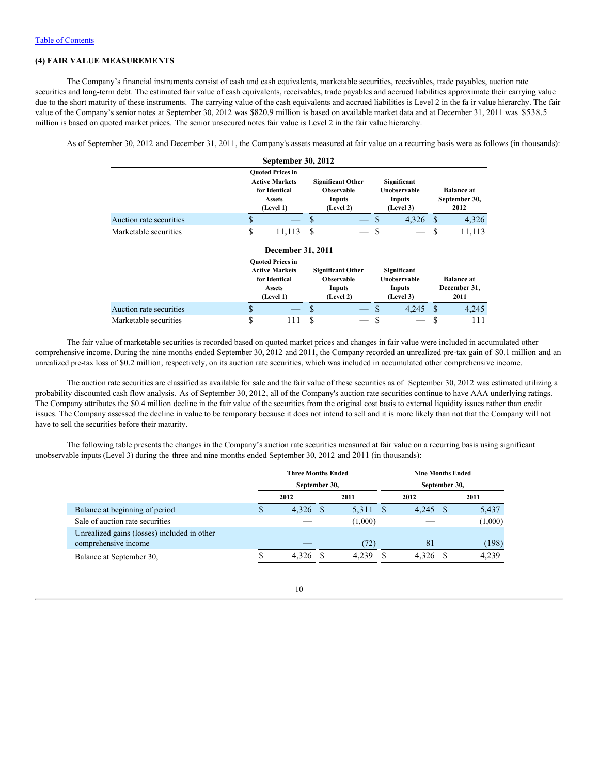#### **(4) FAIR VALUE MEASUREMENTS**

The Company's financial instruments consist of cash and cash equivalents, marketable securities, receivables, trade payables, auction rate securities and long-term debt. The estimated fair value of cash equivalents, receivables, trade payables and accrued liabilities approximate their carrying value due to the short maturity of these instruments. The carrying value of the cash equivalents and accrued liabilities is Level 2 in the fa ir value hierarchy. The fair value of the Company's senior notes at September 30, 2012 was \$820.9 million is based on available market data and at December 31, 2011 was \$538.5 million is based on quoted market prices. The senior unsecured notes fair value is Level 2 in the fair value hierarchy.

As of September 30, 2012 and December 31, 2011, the Company's assets measured at fair value on a recurring basis were as follows (in thousands):

|                         | <b>September 30, 2012</b>                                                                       |               |                                                                             |    |                                                    |     |                                            |
|-------------------------|-------------------------------------------------------------------------------------------------|---------------|-----------------------------------------------------------------------------|----|----------------------------------------------------|-----|--------------------------------------------|
|                         | <b>Ouoted Prices in</b><br><b>Active Markets</b><br>for Identical<br><b>Assets</b><br>(Level 1) |               | <b>Significant Other</b><br><b>Observable</b><br><b>Inputs</b><br>(Level 2) |    | Significant<br>Unobservable<br>Inputs<br>(Level 3) |     | <b>Balance</b> at<br>September 30,<br>2012 |
| Auction rate securities | \$                                                                                              | S             |                                                                             | S  | 4,326                                              | -\$ | 4,326                                      |
| Marketable securities   | \$<br>11,113                                                                                    | <sup>\$</sup> |                                                                             | \$ |                                                    | S   | 11,113                                     |
|                         | December 31, 2011                                                                               |               |                                                                             |    |                                                    |     |                                            |
|                         | <b>Ouoted Prices in</b><br><b>Active Markets</b><br>for Identical<br><b>Assets</b><br>(Level 1) |               | <b>Significant Other</b><br><b>Observable</b><br>Inputs<br>(Level 2)        |    | Significant<br>Unobservable<br>Inputs<br>(Level 3) |     | <b>Balance</b> at<br>December 31,<br>2011  |
| Auction rate securities | \$                                                                                              | \$            |                                                                             | \$ | 4,245                                              | \$. | 4,245                                      |
| Marketable securities   | \$<br>111                                                                                       | \$            |                                                                             | S  |                                                    | \$  | 111                                        |

The fair value of marketable securities is recorded based on quoted market prices and changes in fair value were included in accumulated other comprehensive income. During the nine months ended September 30, 2012 and 2011, the Company recorded an unrealized pre-tax gain of \$0.1 million and an unrealized pre-tax loss of \$0.2 million, respectively, on its auction rate securities, which was included in accumulated other comprehensive income.

The auction rate securities are classified as available for sale and the fair value of these securities as of September 30, 2012 was estimated utilizing a probability discounted cash flow analysis. As of September 30, 2012, all of the Company's auction rate securities continue to have AAA underlying ratings. The Company attributes the \$0.4 million decline in the fair value of the securities from the original cost basis to external liquidity issues rather than credit issues. The Company assessed the decline in value to be temporary because it does not intend to sell and it is more likely than not that the Company will not have to sell the securities before their maturity.

The following table presents the changes in the Company's auction rate securities measured at fair value on a recurring basis using significant unobservable inputs (Level 3) during the three and nine months ended September 30, 2012 and 2011 (in thousands):

|                                             |              | <b>Three Months Ended</b> |         | <b>Nine Months Ended</b> |       |  |         |  |  |
|---------------------------------------------|--------------|---------------------------|---------|--------------------------|-------|--|---------|--|--|
|                                             |              | September 30,             |         | September 30,            |       |  |         |  |  |
|                                             |              | 2012                      | 2011    |                          | 2012  |  | 2011    |  |  |
| Balance at beginning of period              | <sup>S</sup> | 4.326                     | 5,311   | - S                      | 4,245 |  | 5,437   |  |  |
| Sale of auction rate securities             |              |                           | (1,000) |                          |       |  | (1,000) |  |  |
| Unrealized gains (losses) included in other |              |                           |         |                          |       |  |         |  |  |
| comprehensive income                        |              |                           | (72)    |                          | 81    |  | (198)   |  |  |
| Balance at September 30,                    |              | 4.326                     | 4.239   |                          | 4.326 |  | 4,239   |  |  |

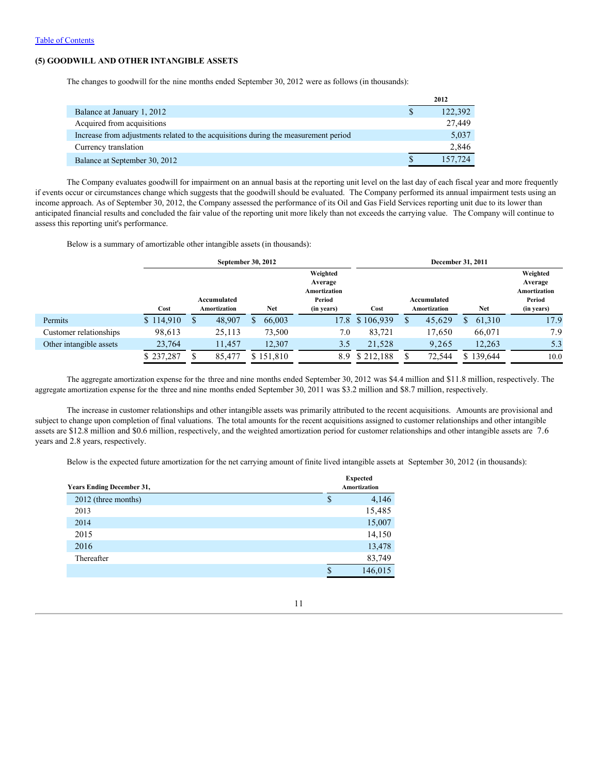## **(5) GOODWILL AND OTHER INTANGIBLE ASSETS**

The changes to goodwill for the nine months ended September 30, 2012 were as follows (in thousands):

|                                                                                     | 2012    |
|-------------------------------------------------------------------------------------|---------|
| Balance at January 1, 2012                                                          | 122,392 |
| Acquired from acquisitions                                                          | 27,449  |
| Increase from adjustments related to the acquisitions during the measurement period | 5,037   |
| Currency translation                                                                | 2,846   |
| Balance at September 30, 2012                                                       | 157,724 |

The Company evaluates goodwill for impairment on an annual basis at the reporting unit level on the last day of each fiscal year and more frequently if events occur or circumstances change which suggests that the goodwill should be evaluated. The Company performed its annual impairment tests using an income approach. As of September 30, 2012, the Company assessed the performance of its Oil and Gas Field Services reporting unit due to its lower than anticipated financial results and concluded the fair value of the reporting unit more likely than not exceeds the carrying value. The Company will continue to assess this reporting unit's performance.

Below is a summary of amortizable other intangible assets (in thousands):

|                         |           | September 30, 2012 |                                    |  |            |                                                                    |           | <b>December 31, 2011</b> |                             |     |            |                                                                    |  |
|-------------------------|-----------|--------------------|------------------------------------|--|------------|--------------------------------------------------------------------|-----------|--------------------------|-----------------------------|-----|------------|--------------------------------------------------------------------|--|
|                         | Cost      |                    | Accumulated<br><b>Amortization</b> |  | <b>Net</b> | Weighted<br>Average<br><b>Amortization</b><br>Period<br>(in years) | Cost      |                          | Accumulated<br>Amortization |     | <b>Net</b> | Weighted<br>Average<br><b>Amortization</b><br>Period<br>(in years) |  |
|                         |           |                    |                                    |  |            |                                                                    |           |                          |                             |     |            |                                                                    |  |
| Permits                 | \$114,910 | S                  | 48,907                             |  | 66,003     | 17.8                                                               | \$106,939 | S                        | 45,629                      | \$. | 61,310     | 17.9                                                               |  |
| Customer relationships  | 98,613    |                    | 25,113                             |  | 73,500     | 7.0                                                                | 83,721    |                          | 17,650                      |     | 66,071     | 7.9                                                                |  |
| Other intangible assets | 23,764    |                    | 11,457                             |  | 12.307     | 3.5                                                                | 21,528    |                          | 9,265                       |     | 12,263     | 5.3                                                                |  |
|                         | \$237,287 |                    | 85,477                             |  | \$151,810  | 8.9                                                                | \$212,188 |                          | 72,544                      |     | \$139,644  | 10.0                                                               |  |

The aggregate amortization expense for the three and nine months ended September 30, 2012 was \$4.4 million and \$11.8 million, respectively. The aggregate amortization expense for the three and nine months ended September 30, 2011 was \$3.2 million and \$8.7 million, respectively.

The increase in customer relationships and other intangible assets was primarily attributed to the recent acquisitions. Amounts are provisional and subject to change upon completion of final valuations. The total amounts for the recent acquisitions assigned to customer relationships and other intangible assets are \$12.8 million and \$0.6 million, respectively, and the weighted amortization period for customer relationships and other intangible assets are 7.6 years and 2.8 years, respectively.

Below is the expected future amortization for the net carrying amount of finite lived intangible assets at September 30, 2012 (in thousands):

| <b>Years Ending December 31,</b> |   | <b>Expected</b><br>Amortization |
|----------------------------------|---|---------------------------------|
| 2012 (three months)              | S | 4,146                           |
| 2013                             |   | 15,485                          |
| 2014                             |   | 15,007                          |
| 2015                             |   | 14,150                          |
| 2016                             |   | 13,478                          |
| Thereafter                       |   | 83,749                          |
|                                  | S | 146,015                         |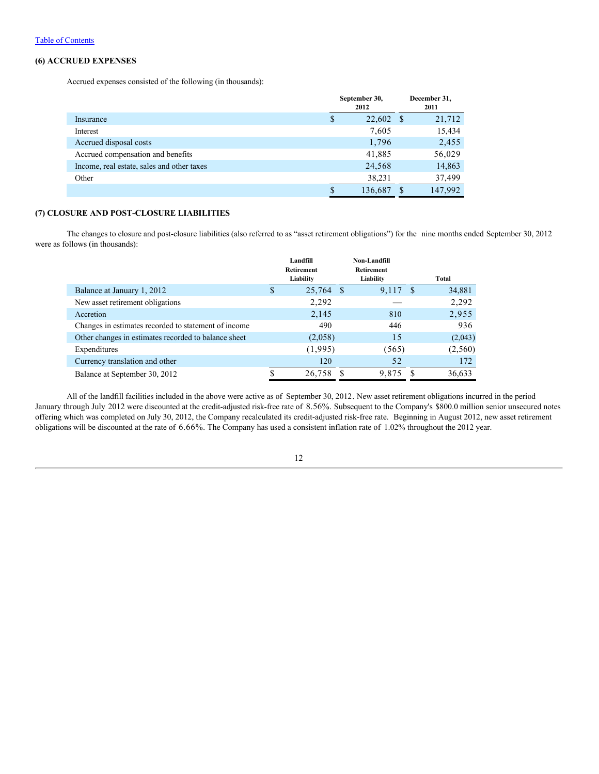# **(6) ACCRUED EXPENSES**

Accrued expenses consisted of the following (in thousands):

|                                            |    | September 30,<br>2012 |     | December 31,<br>2011 |
|--------------------------------------------|----|-----------------------|-----|----------------------|
| Insurance                                  | \$ | 22,602                | - S | 21,712               |
| Interest                                   |    | 7,605                 |     | 15,434               |
| Accrued disposal costs                     |    | 1,796                 |     | 2,455                |
| Accrued compensation and benefits          |    | 41,885                |     | 56,029               |
| Income, real estate, sales and other taxes |    | 24,568                |     | 14,863               |
| Other                                      |    | 38,231                |     | 37,499               |
|                                            | S  | 136,687               |     | 147,992              |

# **(7) CLOSURE AND POST-CLOSURE LIABILITIES**

The changes to closure and post-closure liabilities (also referred to as "asset retirement obligations") for the nine months ended September 30, 2012 were as follows (in thousands):

|                                                      |   | Landfill<br><b>Retirement</b><br>Liability | Non-Landfill<br><b>Retirement</b><br>Liability |            | Total   |
|------------------------------------------------------|---|--------------------------------------------|------------------------------------------------|------------|---------|
| Balance at January 1, 2012                           | S | 25,764 \$                                  |                                                | $9,117$ \$ | 34,881  |
| New asset retirement obligations                     |   | 2,292                                      |                                                |            | 2,292   |
| Accretion                                            |   | 2,145                                      |                                                | 810        | 2,955   |
| Changes in estimates recorded to statement of income |   | 490                                        |                                                | 446        | 936     |
| Other changes in estimates recorded to balance sheet |   | (2,058)                                    |                                                | 15         | (2,043) |
| Expenditures                                         |   | (1,995)                                    |                                                | (565)      | (2,560) |
| Currency translation and other                       |   | 120                                        |                                                | 52         | 172     |
| Balance at September 30, 2012                        |   | 26,758                                     | -S                                             | 9,875      | 36.633  |

All of the landfill facilities included in the above were active as of September 30, 2012. New asset retirement obligations incurred in the period January through July 2012 were discounted at the credit-adjusted risk-free rate of 8.56%. Subsequent to the Company's \$800.0 million senior unsecured notes offering which was completed on July 30, 2012, the Company recalculated its credit-adjusted risk-free rate. Beginning in August 2012, new asset retirement obligations will be discounted at the rate of 6.66%. The Company has used a consistent inflation rate of 1.02% throughout the 2012 year.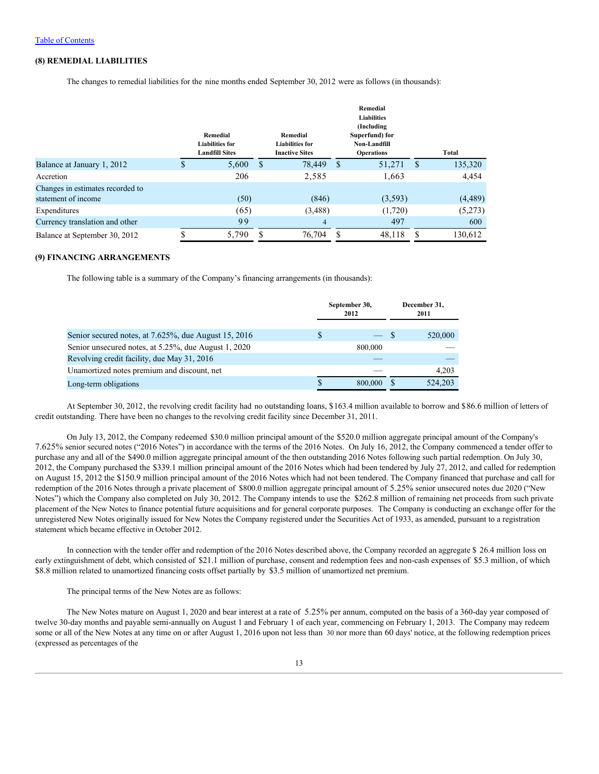# **(8) REMEDIAL LIABILITIES**

The changes to remedial liabilities for the nine months ended September 30, 2012 were as follows (in thousands):

|                                                         | Remedial<br><b>Liabilities for</b><br><b>Landfill Sites</b> |   | Remedial<br><b>Liabilities for</b><br><b>Inactive Sites</b> |    | Remedial<br><b>Liabilities</b><br>(Including)<br>Superfund) for<br>Non-Landfill<br><b>Operations</b> |               | Total    |
|---------------------------------------------------------|-------------------------------------------------------------|---|-------------------------------------------------------------|----|------------------------------------------------------------------------------------------------------|---------------|----------|
| Balance at January 1, 2012                              | \$<br>5,600                                                 | S | 78,449                                                      | -S | 51,271                                                                                               | <sup>\$</sup> | 135,320  |
| Accretion                                               | 206                                                         |   | 2,585                                                       |    | 1,663                                                                                                |               | 4,454    |
| Changes in estimates recorded to<br>statement of income | (50)                                                        |   | (846)                                                       |    | (3,593)                                                                                              |               | (4, 489) |
| Expenditures                                            | (65)                                                        |   | (3,488)                                                     |    | (1,720)                                                                                              |               | (5,273)  |
| Currency translation and other                          | 99                                                          |   | 4                                                           |    | 497                                                                                                  |               | 600      |
| Balance at September 30, 2012                           | \$<br>5.790                                                 | S | 76,704                                                      | S  | 48.118                                                                                               | S             | 130.612  |

# **(9) FINANCING ARRANGEMENTS**

The following table is a summary of the Company's financing arrangements (in thousands):

|                                                      |    | September 30,<br>2012 | December 31,<br>2011 |
|------------------------------------------------------|----|-----------------------|----------------------|
|                                                      |    |                       |                      |
| Senior secured notes, at 7.625%, due August 15, 2016 | S  |                       | 520,000              |
| Senior unsecured notes, at 5.25%, due August 1, 2020 |    | 800,000               |                      |
| Revolving credit facility, due May 31, 2016          |    |                       |                      |
| Unamortized notes premium and discount, net          |    |                       | 4,203                |
| Long-term obligations                                | \$ | 800,000               | 524,203              |

At September 30, 2012, the revolving credit facility had no outstanding loans, \$163.4 million available to borrow and \$86.6 million of letters of credit outstanding. There have been no changes to the revolving credit facility since December 31, 2011.

On July 13, 2012, the Company redeemed \$30.0 million principal amount of the \$520.0 million aggregate principal amount of the Company's 7.625% senior secured notes ("2016 Notes") in accordance with the terms of the 2016 Notes. On July 16, 2012, the Company commenced a tender offer to purchase any and all of the \$490.0 million aggregate principal amount of the then outstanding 2016 Notes following such partial redemption. On July 30, 2012, the Company purchased the \$339.1 million principal amount of the 2016 Notes which had been tendered by July 27, 2012, and called for redemption on August 15, 2012 the \$150.9 million principal amount of the 2016 Notes which had not been tendered. The Company financed that purchase and call for redemption of the 2016 Notes through a private placement of \$800.0 million aggregate principal amount of 5.25% senior unsecured notes due 2020 ("New Notes") which the Company also completed on July 30, 2012. The Company intends to use the \$262.8 million of remaining net proceeds from such private placement of the New Notes to finance potential future acquisitions and for general corporate purposes. The Company is conducting an exchange offer for the unregistered New Notes originally issued for New Notes the Company registered under the Securities Act of 1933, as amended, pursuant to a registration statement which became effective in October 2012.

In connection with the tender offer and redemption of the 2016 Notes described above, the Company recorded an aggregate \$ 26.4 million loss on early extinguishment of debt, which consisted of \$21.1 million of purchase, consent and redemption fees and non-cash expenses of \$5.3 million, of which \$8.8 million related to unamortized financing costs offset partially by \$3.5 million of unamortized net premium.

## The principal terms of the New Notes are as follows:

The New Notes mature on August 1, 2020 and bear interest at a rate of 5.25% per annum, computed on the basis of a 360-day year composed of twelve 30-day months and payable semi-annually on August 1 and February 1 of each year, commencing on February 1, 2013. The Company may redeem some or all of the New Notes at any time on or after August 1, 2016 upon not less than 30 nor more than 60 days' notice, at the following redemption prices (expressed as percentages of the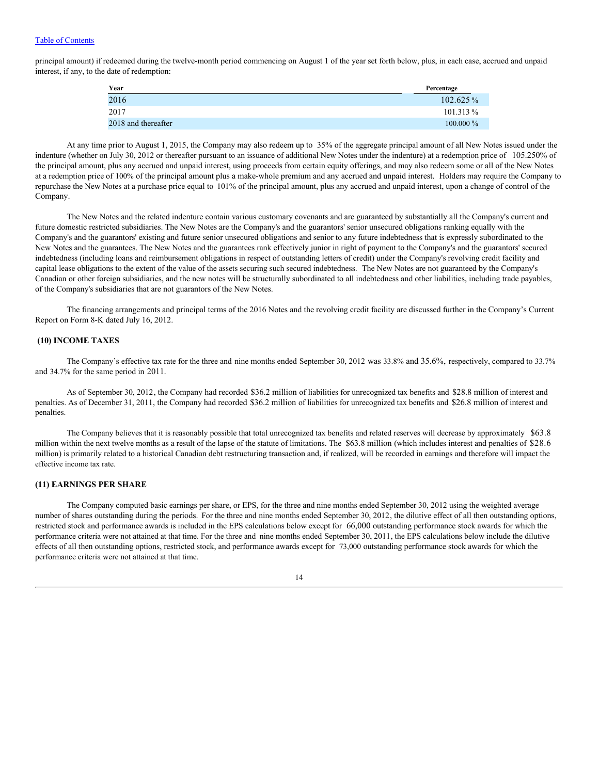#### [Table of Contents](#page-0-0)

principal amount) if redeemed during the twelve-month period commencing on August 1 of the year set forth below, plus, in each case, accrued and unpaid interest, if any, to the date of redemption:

| Year                | Percentage  |
|---------------------|-------------|
| 2016                | $102.625\%$ |
| 2017                | 101.313 %   |
| 2018 and thereafter | $100.000\%$ |

At any time prior to August 1, 2015, the Company may also redeem up to 35% of the aggregate principal amount of all New Notes issued under the indenture (whether on July 30, 2012 or thereafter pursuant to an issuance of additional New Notes under the indenture) at a redemption price of 105.250% of the principal amount, plus any accrued and unpaid interest, using proceeds from certain equity offerings, and may also redeem some or all of the New Notes at a redemption price of 100% of the principal amount plus a make-whole premium and any accrued and unpaid interest. Holders may require the Company to repurchase the New Notes at a purchase price equal to 101% of the principal amount, plus any accrued and unpaid interest, upon a change of control of the Company.

The New Notes and the related indenture contain various customary covenants and are guaranteed by substantially all the Company's current and future domestic restricted subsidiaries. The New Notes are the Company's and the guarantors' senior unsecured obligations ranking equally with the Company's and the guarantors' existing and future senior unsecured obligations and senior to any future indebtedness that is expressly subordinated to the New Notes and the guarantees. The New Notes and the guarantees rank effectively junior in right of payment to the Company's and the guarantors' secured indebtedness (including loans and reimbursement obligations in respect of outstanding letters of credit) under the Company's revolving credit facility and capital lease obligations to the extent of the value of the assets securing such secured indebtedness. The New Notes are not guaranteed by the Company's Canadian or other foreign subsidiaries, and the new notes will be structurally subordinated to all indebtedness and other liabilities, including trade payables, of the Company's subsidiaries that are not guarantors of the New Notes.

The financing arrangements and principal terms of the 2016 Notes and the revolving credit facility are discussed further in the Company's Current Report on Form 8-K dated July 16, 2012.

## **(10) INCOME TAXES**

The Company's effective tax rate for the three and nine months ended September 30, 2012 was 33.8% and 35.6%, respectively, compared to 33.7% and 34.7% for the same period in 2011.

As of September 30, 2012, the Company had recorded \$36.2 million of liabilities for unrecognized tax benefits and \$28.8 million of interest and penalties. As of December 31, 2011, the Company had recorded \$36.2 million of liabilities for unrecognized tax benefits and \$26.8 million of interest and penalties.

The Company believes that it is reasonably possible that total unrecognized tax benefits and related reserves will decrease by approximately \$63.8 million within the next twelve months as a result of the lapse of the statute of limitations. The \$63.8 million (which includes interest and penalties of \$28.6 million) is primarily related to a historical Canadian debt restructuring transaction and, if realized, will be recorded in earnings and therefore will impact the effective income tax rate.

#### **(11) EARNINGS PER SHARE**

The Company computed basic earnings per share, or EPS, for the three and nine months ended September 30, 2012 using the weighted average number of shares outstanding during the periods. For the three and nine months ended September 30, 2012, the dilutive effect of all then outstanding options, restricted stock and performance awards is included in the EPS calculations below except for 66,000 outstanding performance stock awards for which the performance criteria were not attained at that time. For the three and nine months ended September 30, 2011, the EPS calculations below include the dilutive effects of all then outstanding options, restricted stock, and performance awards except for 73,000 outstanding performance stock awards for which the performance criteria were not attained at that time.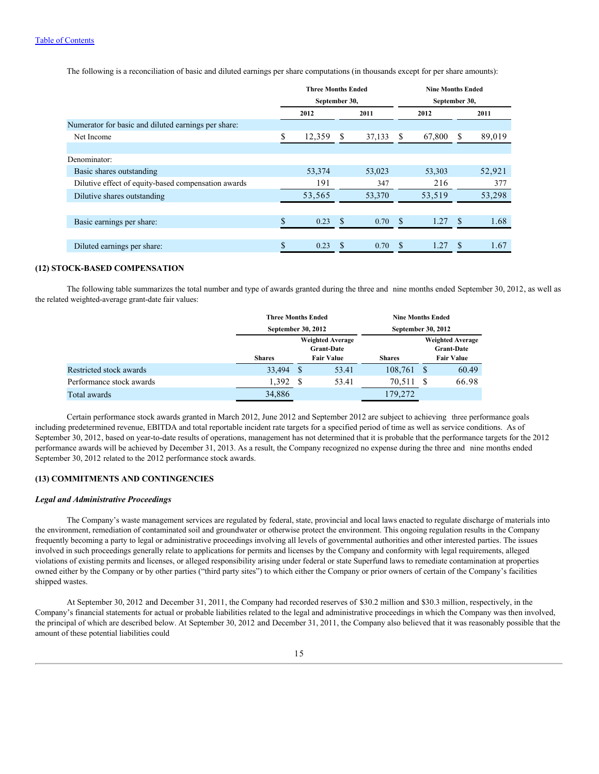The following is a reconciliation of basic and diluted earnings per share computations (in thousands except for per share amounts):

|                                                     | <b>Three Months Ended</b> |               |               |        |              |               | <b>Nine Months Ended</b> |        |  |
|-----------------------------------------------------|---------------------------|---------------|---------------|--------|--------------|---------------|--------------------------|--------|--|
|                                                     |                           | September 30, |               |        |              | September 30, |                          |        |  |
|                                                     |                           | 2012          |               | 2011   | 2012         |               |                          | 2011   |  |
| Numerator for basic and diluted earnings per share: |                           |               |               |        |              |               |                          |        |  |
| Net Income                                          | \$                        | 12,359        | <sup>\$</sup> | 37,133 | \$           | 67,800        | \$                       | 89,019 |  |
|                                                     |                           |               |               |        |              |               |                          |        |  |
| Denominator:                                        |                           |               |               |        |              |               |                          |        |  |
| Basic shares outstanding                            |                           | 53,374        |               | 53,023 |              | 53,303        |                          | 52,921 |  |
| Dilutive effect of equity-based compensation awards |                           | 191           |               | 347    |              | 216           |                          | 377    |  |
| Dilutive shares outstanding                         |                           | 53,565        |               | 53,370 |              | 53,519        |                          | 53,298 |  |
|                                                     |                           |               |               |        |              |               |                          |        |  |
| Basic earnings per share:                           | \$                        | 0.23          | <sup>\$</sup> | 0.70   | $\mathbb{S}$ | 1.27          | <sup>\$</sup>            | 1.68   |  |
|                                                     |                           |               |               |        |              |               |                          |        |  |
| Diluted earnings per share:                         | \$                        | 0.23          | S             | 0.70   | S            | 1.27          | S                        | 1.67   |  |
|                                                     |                           |               |               |        |              |               |                          |        |  |

## **(12) STOCK-BASED COMPENSATION**

The following table summarizes the total number and type of awards granted during the three and nine months ended September 30, 2012, as well as the related weighted-average grant-date fair values:

|               |     | <b>Nine Months Ended</b>               |                                                                            |  |                                                                   |  |
|---------------|-----|----------------------------------------|----------------------------------------------------------------------------|--|-------------------------------------------------------------------|--|
|               |     |                                        | <b>September 30, 2012</b>                                                  |  |                                                                   |  |
| <b>Shares</b> |     | <b>Grant-Date</b><br><b>Fair Value</b> | <b>Shares</b>                                                              |  | <b>Weighted Average</b><br><b>Grant-Date</b><br><b>Fair Value</b> |  |
| 33,494        | - S | 53.41                                  | 108,761                                                                    |  | 60.49                                                             |  |
| 1.392         | -S  | 53.41                                  | 70,511                                                                     |  | 66.98                                                             |  |
| 34,886        |     |                                        | 179,272                                                                    |  |                                                                   |  |
|               |     |                                        | <b>Three Months Ended</b><br>September 30, 2012<br><b>Weighted Average</b> |  |                                                                   |  |

Certain performance stock awards granted in March 2012, June 2012 and September 2012 are subject to achieving three performance goals including predetermined revenue, EBITDA and total reportable incident rate targets for a specified period of time as well as service conditions. As of September 30, 2012, based on year-to-date results of operations, management has not determined that it is probable that the performance targets for the 2012 performance awards will be achieved by December 31, 2013. As a result, the Company recognized no expense during the three and nine months ended September 30, 2012 related to the 2012 performance stock awards.

## **(13) COMMITMENTS AND CONTINGENCIES**

## *Legal and Administrative Proceedings*

The Company's waste management services are regulated by federal, state, provincial and local laws enacted to regulate discharge of materials into the environment, remediation of contaminated soil and groundwater or otherwise protect the environment. This ongoing regulation results in the Company frequently becoming a party to legal or administrative proceedings involving all levels of governmental authorities and other interested parties. The issues involved in such proceedings generally relate to applications for permits and licenses by the Company and conformity with legal requirements, alleged violations of existing permits and licenses, or alleged responsibility arising under federal or state Superfund laws to remediate contamination at properties owned either by the Company or by other parties ("third party sites") to which either the Company or prior owners of certain of the Company's facilities shipped wastes.

At September 30, 2012 and December 31, 2011, the Company had recorded reserves of \$30.2 million and \$30.3 million, respectively, in the Company's financial statements for actual or probable liabilities related to the legal and administrative proceedings in which the Company was then involved, the principal of which are described below. At September 30, 2012 and December 31, 2011, the Company also believed that it was reasonably possible that the amount of these potential liabilities could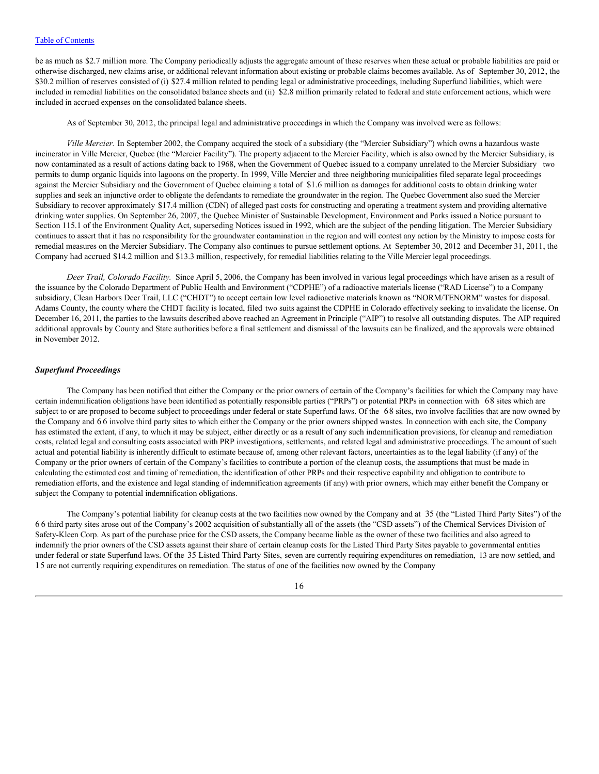be as much as \$2.7 million more. The Company periodically adjusts the aggregate amount of these reserves when these actual or probable liabilities are paid or otherwise discharged, new claims arise, or additional relevant information about existing or probable claims becomes available. As of September 30, 2012, the \$30.2 million of reserves consisted of (i) \$27.4 million related to pending legal or administrative proceedings, including Superfund liabilities, which were included in remedial liabilities on the consolidated balance sheets and (ii) \$2.8 million primarily related to federal and state enforcement actions, which were included in accrued expenses on the consolidated balance sheets.

As of September 30, 2012, the principal legal and administrative proceedings in which the Company was involved were as follows:

*Ville Mercier.* In September 2002, the Company acquired the stock of a subsidiary (the "Mercier Subsidiary") which owns a hazardous waste incinerator in Ville Mercier, Quebec (the "Mercier Facility"). The property adjacent to the Mercier Facility, which is also owned by the Mercier Subsidiary, is now contaminated as a result of actions dating back to 1968, when the Government of Quebec issued to a company unrelated to the Mercier Subsidiary two permits to dump organic liquids into lagoons on the property. In 1999, Ville Mercier and three neighboring municipalities filed separate legal proceedings against the Mercier Subsidiary and the Government of Quebec claiming a total of \$1.6 million as damages for additional costs to obtain drinking water supplies and seek an injunctive order to obligate the defendants to remediate the groundwater in the region. The Quebec Government also sued the Mercier Subsidiary to recover approximately \$17.4 million (CDN) of alleged past costs for constructing and operating a treatment system and providing alternative drinking water supplies. On September 26, 2007, the Quebec Minister of Sustainable Development, Environment and Parks issued a Notice pursuant to Section 115.1 of the Environment Quality Act, superseding Notices issued in 1992, which are the subject of the pending litigation. The Mercier Subsidiary continues to assert that it has no responsibility for the groundwater contamination in the region and will contest any action by the Ministry to impose costs for remedial measures on the Mercier Subsidiary. The Company also continues to pursue settlement options. At September 30, 2012 and December 31, 2011, the Company had accrued \$14.2 million and \$13.3 million, respectively, for remedial liabilities relating to the Ville Mercier legal proceedings.

*Deer Trail, Colorado Facility.* Since April 5, 2006, the Company has been involved in various legal proceedings which have arisen as a result of the issuance by the Colorado Department of Public Health and Environment ("CDPHE") of a radioactive materials license ("RAD License") to a Company subsidiary, Clean Harbors Deer Trail, LLC ("CHDT") to accept certain low level radioactive materials known as "NORM/TENORM" wastes for disposal. Adams County, the county where the CHDT facility is located, filed two suits against the CDPHE in Colorado effectively seeking to invalidate the license. On December 16, 2011, the parties to the lawsuits described above reached an Agreement in Principle ("AIP") to resolve all outstanding disputes. The AIP required additional approvals by County and State authorities before a final settlement and dismissal of the lawsuits can be finalized, and the approvals were obtained in November 2012.

#### *Superfund Proceedings*

The Company has been notified that either the Company or the prior owners of certain of the Company's facilities for which the Company may have certain indemnification obligations have been identified as potentially responsible parties ("PRPs") or potential PRPs in connection with 68 sites which are subject to or are proposed to become subject to proceedings under federal or state Superfund laws. Of the 68 sites, two involve facilities that are now owned by the Company and 6 6 involve third party sites to which either the Company or the prior owners shipped wastes. In connection with each site, the Company has estimated the extent, if any, to which it may be subject, either directly or as a result of any such indemnification provisions, for cleanup and remediation costs, related legal and consulting costs associated with PRP investigations, settlements, and related legal and administrative proceedings. The amount of such actual and potential liability is inherently difficult to estimate because of, among other relevant factors, uncertainties as to the legal liability (if any) of the Company or the prior owners of certain of the Company's facilities to contribute a portion of the cleanup costs, the assumptions that must be made in calculating the estimated cost and timing of remediation, the identification of other PRPs and their respective capability and obligation to contribute to remediation efforts, and the existence and legal standing of indemnification agreements (if any) with prior owners, which may either benefit the Company or subject the Company to potential indemnification obligations.

The Company's potential liability for cleanup costs at the two facilities now owned by the Company and at 35 (the "Listed Third Party Sites") of the 6 6 third party sites arose out of the Company's 2002 acquisition of substantially all of the assets (the "CSD assets") of the Chemical Services Division of Safety-Kleen Corp. As part of the purchase price for the CSD assets, the Company became liable as the owner of these two facilities and also agreed to indemnify the prior owners of the CSD assets against their share of certain cleanup costs for the Listed Third Party Sites payable to governmental entities under federal or state Superfund laws. Of the 35 Listed Third Party Sites, seven are currently requiring expenditures on remediation, 13 are now settled, and 15 are not currently requiring expenditures on remediation. The status of one of the facilities now owned by the Company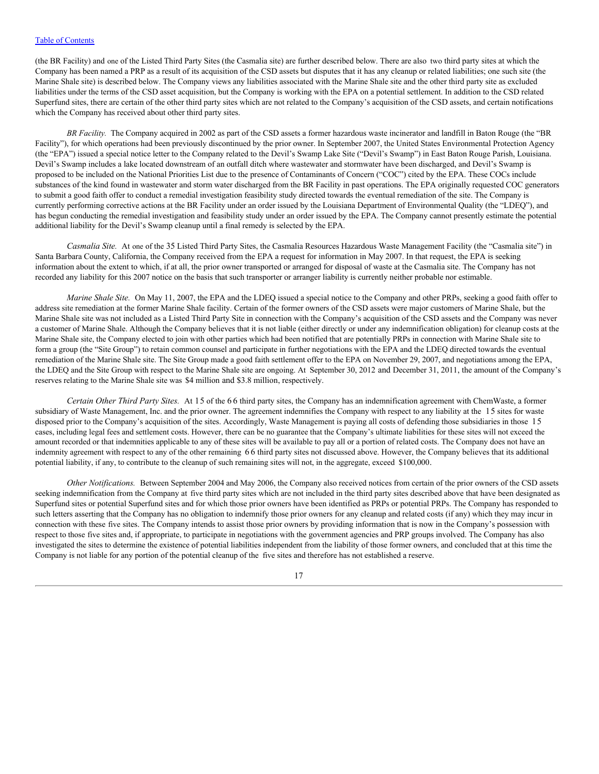(the BR Facility) and one of the Listed Third Party Sites (the Casmalia site) are further described below. There are also two third party sites at which the Company has been named a PRP as a result of its acquisition of the CSD assets but disputes that it has any cleanup or related liabilities; one such site (the Marine Shale site) is described below. The Company views any liabilities associated with the Marine Shale site and the other third party site as excluded liabilities under the terms of the CSD asset acquisition, but the Company is working with the EPA on a potential settlement. In addition to the CSD related Superfund sites, there are certain of the other third party sites which are not related to the Company's acquisition of the CSD assets, and certain notifications which the Company has received about other third party sites.

*BR Facility.* The Company acquired in 2002 as part of the CSD assets a former hazardous waste incinerator and landfill in Baton Rouge (the "BR Facility"), for which operations had been previously discontinued by the prior owner. In September 2007, the United States Environmental Protection Agency (the "EPA") issued a special notice letter to the Company related to the Devil's Swamp Lake Site ("Devil's Swamp") in East Baton Rouge Parish, Louisiana. Devil's Swamp includes a lake located downstream of an outfall ditch where wastewater and stormwater have been discharged, and Devil's Swamp is proposed to be included on the National Priorities List due to the presence of Contaminants of Concern ("COC") cited by the EPA. These COCs include substances of the kind found in wastewater and storm water discharged from the BR Facility in past operations. The EPA originally requested COC generators to submit a good faith offer to conduct a remedial investigation feasibility study directed towards the eventual remediation of the site. The Company is currently performing corrective actions at the BR Facility under an order issued by the Louisiana Department of Environmental Quality (the "LDEQ"), and has begun conducting the remedial investigation and feasibility study under an order issued by the EPA. The Company cannot presently estimate the potential additional liability for the Devil's Swamp cleanup until a final remedy is selected by the EPA.

*Casmalia Site.* At one of the 35 Listed Third Party Sites, the Casmalia Resources Hazardous Waste Management Facility (the "Casmalia site") in Santa Barbara County, California, the Company received from the EPA a request for information in May 2007. In that request, the EPA is seeking information about the extent to which, if at all, the prior owner transported or arranged for disposal of waste at the Casmalia site. The Company has not recorded any liability for this 2007 notice on the basis that such transporter or arranger liability is currently neither probable nor estimable.

*Marine Shale Site.* On May 11, 2007, the EPA and the LDEQ issued a special notice to the Company and other PRPs, seeking a good faith offer to address site remediation at the former Marine Shale facility. Certain of the former owners of the CSD assets were major customers of Marine Shale, but the Marine Shale site was not included as a Listed Third Party Site in connection with the Company's acquisition of the CSD assets and the Company was never a customer of Marine Shale. Although the Company believes that it is not liable (either directly or under any indemnification obligation) for cleanup costs at the Marine Shale site, the Company elected to join with other parties which had been notified that are potentially PRPs in connection with Marine Shale site to form a group (the "Site Group") to retain common counsel and participate in further negotiations with the EPA and the LDEQ directed towards the eventual remediation of the Marine Shale site. The Site Group made a good faith settlement offer to the EPA on November 29, 2007, and negotiations among the EPA, the LDEQ and the Site Group with respect to the Marine Shale site are ongoing. At September 30, 2012 and December 31, 2011, the amount of the Company's reserves relating to the Marine Shale site was \$4 million and \$3.8 million, respectively.

*Certain Other Third Party Sites.* At 15 of the 6 6 third party sites, the Company has an indemnification agreement with ChemWaste, a former subsidiary of Waste Management, Inc. and the prior owner. The agreement indemnifies the Company with respect to any liability at the 15 sites for waste disposed prior to the Company's acquisition of the sites. Accordingly, Waste Management is paying all costs of defending those subsidiaries in those 15 cases, including legal fees and settlement costs. However, there can be no guarantee that the Company's ultimate liabilities for these sites will not exceed the amount recorded or that indemnities applicable to any of these sites will be available to pay all or a portion of related costs. The Company does not have an indemnity agreement with respect to any of the other remaining 6 6 third party sites not discussed above. However, the Company believes that its additional potential liability, if any, to contribute to the cleanup of such remaining sites will not, in the aggregate, exceed \$100,000.

*Other Notifications.* Between September 2004 and May 2006, the Company also received notices from certain of the prior owners of the CSD assets seeking indemnification from the Company at five third party sites which are not included in the third party sites described above that have been designated as Superfund sites or potential Superfund sites and for which those prior owners have been identified as PRPs or potential PRPs. The Company has responded to such letters asserting that the Company has no obligation to indemnify those prior owners for any cleanup and related costs (if any) which they may incur in connection with these five sites. The Company intends to assist those prior owners by providing information that is now in the Company's possession with respect to those five sites and, if appropriate, to participate in negotiations with the government agencies and PRP groups involved. The Company has also investigated the sites to determine the existence of potential liabilities independent from the liability of those former owners, and concluded that at this time the Company is not liable for any portion of the potential cleanup of the five sites and therefore has not established a reserve.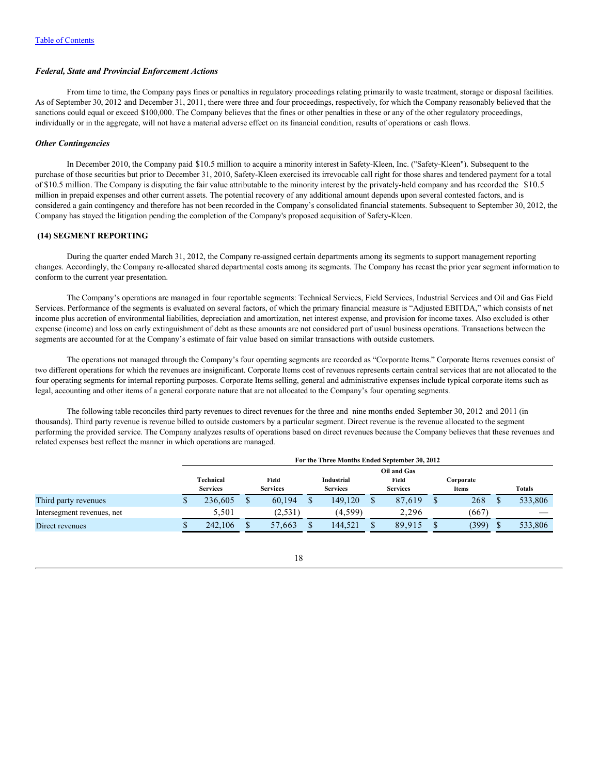#### *Federal, State and Provincial Enforcement Actions*

From time to time, the Company pays fines or penalties in regulatory proceedings relating primarily to waste treatment, storage or disposal facilities. As of September 30, 2012 and December 31, 2011, there were three and four proceedings, respectively, for which the Company reasonably believed that the sanctions could equal or exceed \$100,000. The Company believes that the fines or other penalties in these or any of the other regulatory proceedings, individually or in the aggregate, will not have a material adverse effect on its financial condition, results of operations or cash flows.

#### *Other Contingencies*

In December 2010, the Company paid \$10.5 million to acquire a minority interest in Safety-Kleen, Inc. ("Safety-Kleen"). Subsequent to the purchase of those securities but prior to December 31, 2010, Safety-Kleen exercised its irrevocable call right for those shares and tendered payment for a total of \$10.5 million. The Company is disputing the fair value attributable to the minority interest by the privately-held company and has recorded the \$10.5 million in prepaid expenses and other current assets. The potential recovery of any additional amount depends upon several contested factors, and is considered a gain contingency and therefore has not been recorded in the Company's consolidated financial statements. Subsequent to September 30, 2012, the Company has stayed the litigation pending the completion of the Company's proposed acquisition of Safety-Kleen.

## **(14) SEGMENT REPORTING**

During the quarter ended March 31, 2012, the Company re-assigned certain departments among its segments to support management reporting changes. Accordingly, the Company re-allocated shared departmental costs among its segments. The Company has recast the prior year segment information to conform to the current year presentation.

The Company's operations are managed in four reportable segments: Technical Services, Field Services, Industrial Services and Oil and Gas Field Services. Performance of the segments is evaluated on several factors, of which the primary financial measure is "Adjusted EBITDA," which consists of net income plus accretion of environmental liabilities, depreciation and amortization, net interest expense, and provision for income taxes. Also excluded is other expense (income) and loss on early extinguishment of debt as these amounts are not considered part of usual business operations. Transactions between the segments are accounted for at the Company's estimate of fair value based on similar transactions with outside customers.

The operations not managed through the Company's four operating segments are recorded as "Corporate Items." Corporate Items revenues consist of two different operations for which the revenues are insignificant. Corporate Items cost of revenues represents certain central services that are not allocated to the four operating segments for internal reporting purposes. Corporate Items selling, general and administrative expenses include typical corporate items such as legal, accounting and other items of a general corporate nature that are not allocated to the Company's four operating segments.

The following table reconciles third party revenues to direct revenues for the three and nine months ended September 30, 2012 and 2011 (in thousands). Third party revenue is revenue billed to outside customers by a particular segment. Direct revenue is the revenue allocated to the segment performing the provided service. The Company analyzes results of operations based on direct revenues because the Company believes that these revenues and related expenses best reflect the manner in which operations are managed.

|                            | For the Three Months Ended September 30, 2012 |  |                          |  |                               |  |                          |  |                    |  |               |  |
|----------------------------|-----------------------------------------------|--|--------------------------|--|-------------------------------|--|--------------------------|--|--------------------|--|---------------|--|
|                            | Oil and Gas                                   |  |                          |  |                               |  |                          |  |                    |  |               |  |
|                            | Technical<br><b>Services</b>                  |  | Field<br><b>Services</b> |  | Industrial<br><b>Services</b> |  | Field<br><b>Services</b> |  | Corporate<br>Items |  | <b>Totals</b> |  |
| Third party revenues       | 236,605                                       |  | 60.194                   |  | 149,120                       |  | 87.619                   |  | 268                |  | 533,806       |  |
| Intersegment revenues, net | 5.501                                         |  | (2,531)                  |  | (4.599)                       |  | 2.296                    |  | (667)              |  |               |  |
| Direct revenues            | 242,106                                       |  | 57.663                   |  | 144.521                       |  | 89.915                   |  | (399)              |  | 533,806       |  |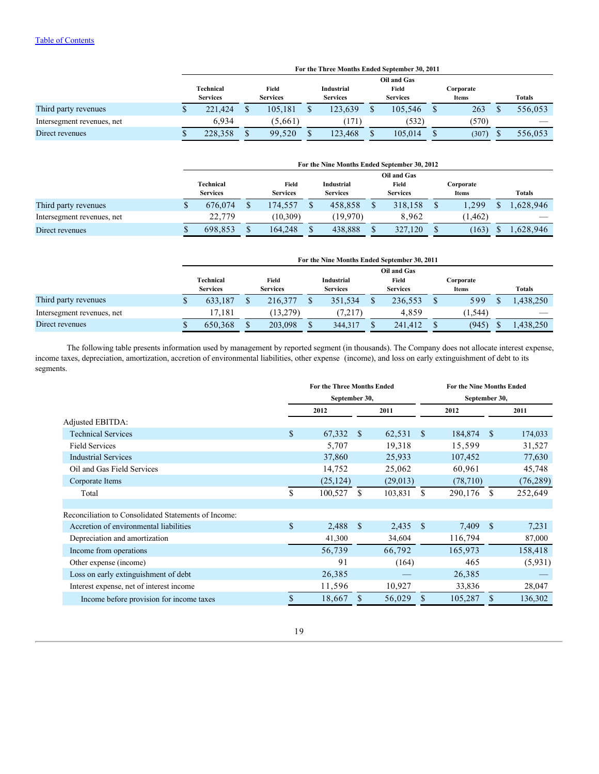## [Table of Contents](#page-0-0)

|                            | For the Three Months Ended September 30, 2011 |  |                          |  |                               |  |                          |   |                    |  |               |  |
|----------------------------|-----------------------------------------------|--|--------------------------|--|-------------------------------|--|--------------------------|---|--------------------|--|---------------|--|
|                            | Oil and Gas                                   |  |                          |  |                               |  |                          |   |                    |  |               |  |
|                            | Technical<br><b>Services</b>                  |  | Field<br><b>Services</b> |  | Industrial<br><b>Services</b> |  | Field<br><b>Services</b> |   | Corporate<br>Items |  | <b>Totals</b> |  |
| Third party revenues       | 221.424                                       |  | 105.181                  |  | 123.639                       |  | 105.546                  |   | 263                |  | 556,053       |  |
| Intersegment revenues, net | 6.934                                         |  | (5.661)                  |  | (171)                         |  | (532)                    |   | (570)              |  |               |  |
| Direct revenues            | 228,358                                       |  | 99.520                   |  | 123.468                       |  | 105,014                  | S | (307)              |  | 556,053       |  |

|                            | For the Nine Months Ended September 30, 2012 |  |                          |  |                               |  |                          |  |                    |  |               |  |
|----------------------------|----------------------------------------------|--|--------------------------|--|-------------------------------|--|--------------------------|--|--------------------|--|---------------|--|
|                            | Oil and Gas                                  |  |                          |  |                               |  |                          |  |                    |  |               |  |
|                            | Technical<br><b>Services</b>                 |  | Field<br><b>Services</b> |  | Industrial<br><b>Services</b> |  | Field<br><b>Services</b> |  | Corporate<br>Items |  | <b>Totals</b> |  |
| Third party revenues       | 676,074                                      |  | 174.557                  |  | 458.858                       |  | 318,158                  |  | 1.299              |  | .628,946      |  |
| Intersegment revenues, net | 22,779                                       |  | (10.309)                 |  | (19.970)                      |  | 8.962                    |  | (1, 462)           |  |               |  |
| Direct revenues            | 698.853                                      |  | 164,248                  |  | 438.888                       |  | 327,120                  |  | (163)              |  | .628.946      |  |

|                            | For the Nine Months Ended September 30, 2011 |  |                 |  |                 |  |                 |  |           |  |               |  |
|----------------------------|----------------------------------------------|--|-----------------|--|-----------------|--|-----------------|--|-----------|--|---------------|--|
|                            |                                              |  |                 |  |                 |  |                 |  |           |  |               |  |
|                            | Technical                                    |  | Field           |  | Industrial      |  | Field           |  | Corporate |  |               |  |
|                            | <b>Services</b>                              |  | <b>Services</b> |  | <b>Services</b> |  | <b>Services</b> |  | Items     |  | <b>Totals</b> |  |
| Third party revenues       | 633.187                                      |  | 216,377         |  | 351.534         |  | 236,553         |  | 599       |  | 1,438,250     |  |
| Intersegment revenues, net | 7.181                                        |  | (13, 279)       |  | (7,217)         |  | 4.859           |  | (1.544)   |  |               |  |
| Direct revenues            | 650.368                                      |  | 203,098         |  | 344, 317        |  | 241.412         |  | (945)     |  | .438,250      |  |

The following table presents information used by management by reported segment (in thousands). The Company does not allocate interest expense, income taxes, depreciation, amortization, accretion of environmental liabilities, other expense (income), and loss on early extinguishment of debt to its segments.

|                                                      |              | <b>For the Three Months Ended</b> |              |          | <b>For the Nine Months Ended</b><br>September 30, |           |               |           |  |
|------------------------------------------------------|--------------|-----------------------------------|--------------|----------|---------------------------------------------------|-----------|---------------|-----------|--|
|                                                      |              | September 30,                     |              |          |                                                   |           |               |           |  |
|                                                      |              | 2012                              |              | 2011     |                                                   | 2012      |               | 2011      |  |
| Adjusted EBITDA:                                     |              |                                   |              |          |                                                   |           |               |           |  |
| <b>Technical Services</b>                            | $\mathbb{S}$ | 67,332                            | -S           | 62,531   | <b>S</b>                                          | 184,874   | <sup>\$</sup> | 174,033   |  |
| <b>Field Services</b>                                |              | 5,707                             |              | 19,318   |                                                   | 15,599    |               | 31,527    |  |
| <b>Industrial Services</b>                           |              | 37,860                            |              | 25,933   |                                                   | 107,452   |               | 77,630    |  |
| Oil and Gas Field Services                           |              | 14,752                            |              | 25,062   |                                                   | 60,961    |               | 45,748    |  |
| Corporate Items                                      |              | (25, 124)                         |              | (29,013) |                                                   | (78, 710) |               | (76, 289) |  |
| Total                                                | \$           | 100,527                           | S            | 103,831  | \$                                                | 290,176   | \$            | 252,649   |  |
|                                                      |              |                                   |              |          |                                                   |           |               |           |  |
| Reconciliation to Consolidated Statements of Income: |              |                                   |              |          |                                                   |           |               |           |  |
| Accretion of environmental liabilities               | \$           | 2,488                             | <sup>S</sup> | 2,435    | - \$                                              | 7,409     | <sup>\$</sup> | 7,231     |  |
| Depreciation and amortization                        |              | 41,300                            |              | 34,604   |                                                   | 116,794   |               | 87,000    |  |
| Income from operations                               |              | 56,739                            |              | 66,792   |                                                   | 165,973   |               | 158,418   |  |
| Other expense (income)                               |              | 91                                |              | (164)    |                                                   | 465       |               | (5,931)   |  |
| Loss on early extinguishment of debt                 |              | 26,385                            |              |          |                                                   | 26,385    |               |           |  |
| Interest expense, net of interest income             |              | 11,596                            |              | 10,927   |                                                   | 33,836    |               | 28,047    |  |
| Income before provision for income taxes             |              | 18,667                            | \$           | 56,029   | \$                                                | 105,287   | \$            | 136,302   |  |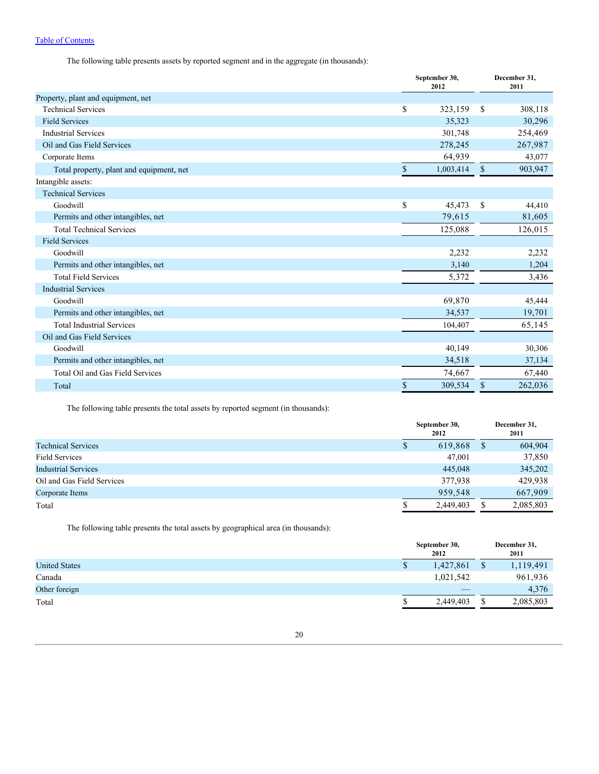The following table presents assets by reported segment and in the aggregate (in thousands):

|                                          |             | September 30,<br>2012 |               | December 31,<br>2011 |
|------------------------------------------|-------------|-----------------------|---------------|----------------------|
| Property, plant and equipment, net       |             |                       |               |                      |
| <b>Technical Services</b>                | \$          | 323,159               | <sup>\$</sup> | 308,118              |
| <b>Field Services</b>                    |             | 35,323                |               | 30,296               |
| <b>Industrial Services</b>               |             | 301,748               |               | 254,469              |
| Oil and Gas Field Services               |             | 278,245               |               | 267,987              |
| Corporate Items                          |             | 64,939                |               | 43,077               |
| Total property, plant and equipment, net | $\mathbf S$ | 1,003,414             | $\mathbb{S}$  | 903,947              |
| Intangible assets:                       |             |                       |               |                      |
| <b>Technical Services</b>                |             |                       |               |                      |
| Goodwill                                 | \$          | 45,473                | <sup>S</sup>  | 44,410               |
| Permits and other intangibles, net       |             | 79,615                |               | 81,605               |
| <b>Total Technical Services</b>          |             | 125,088               |               | 126,015              |
| <b>Field Services</b>                    |             |                       |               |                      |
| Goodwill                                 |             | 2,232                 |               | 2,232                |
| Permits and other intangibles, net       |             | 3,140                 |               | 1,204                |
| <b>Total Field Services</b>              |             | 5,372                 |               | 3,436                |
| <b>Industrial Services</b>               |             |                       |               |                      |
| Goodwill                                 |             | 69,870                |               | 45,444               |
| Permits and other intangibles, net       |             | 34,537                |               | 19,701               |
| <b>Total Industrial Services</b>         |             | 104,407               |               | 65,145               |
| Oil and Gas Field Services               |             |                       |               |                      |
| Goodwill                                 |             | 40,149                |               | 30,306               |
| Permits and other intangibles, net       |             | 34,518                |               | 37,134               |
| Total Oil and Gas Field Services         |             | 74,667                |               | 67,440               |
| Total                                    | \$          | 309,534               | \$            | 262,036              |

The following table presents the total assets by reported segment (in thousands):

|                            | September 30,<br>2012 |           |  |           |
|----------------------------|-----------------------|-----------|--|-----------|
| <b>Technical Services</b>  | S                     | 619,868   |  | 604,904   |
| <b>Field Services</b>      |                       | 47,001    |  | 37,850    |
| <b>Industrial Services</b> |                       | 445,048   |  | 345,202   |
| Oil and Gas Field Services |                       | 377,938   |  | 429,938   |
| Corporate Items            |                       | 959,548   |  | 667,909   |
| Total                      |                       | 2,449,403 |  | 2,085,803 |

The following table presents the total assets by geographical area (in thousands):

|                      |   | September 30,<br>2012 |    | December 31,<br>2011 |
|----------------------|---|-----------------------|----|----------------------|
| <b>United States</b> | P | 1,427,861             | \$ | 1,119,491            |
| Canada               |   | 1,021,542             |    | 961,936              |
| Other foreign        |   |                       |    | 4,376                |
| Total                |   | 2,449,403             | S  | 2,085,803            |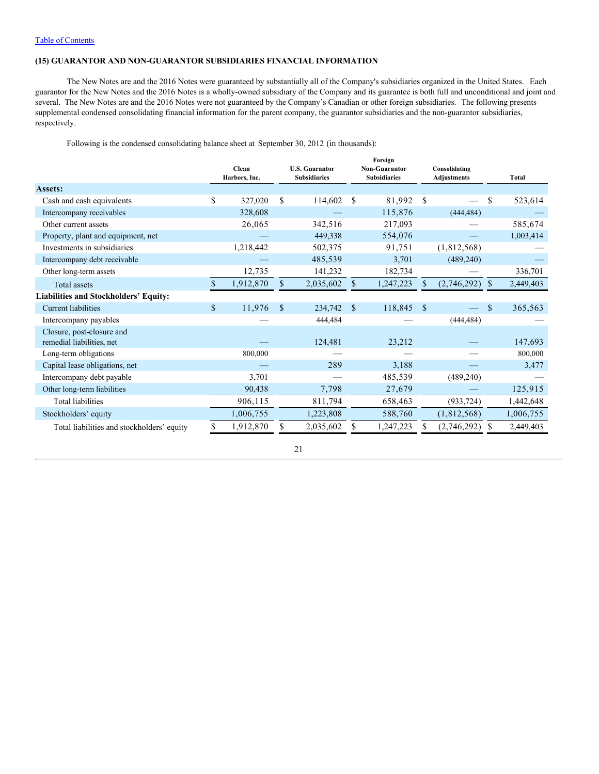# **(15) GUARANTOR AND NON-GUARANTOR SUBSIDIARIES FINANCIAL INFORMATION**

The New Notes are and the 2016 Notes were guaranteed by substantially all of the Company's subsidiaries organized in the United States. Each guarantor for the New Notes and the 2016 Notes is a wholly-owned subsidiary of the Company and its guarantee is both full and unconditional and joint and several. The New Notes are and the 2016 Notes were not guaranteed by the Company's Canadian or other foreign subsidiaries. The following presents supplemental condensed consolidating financial information for the parent company, the guarantor subsidiaries and the non-guarantor subsidiaries, respectively.

Following is the condensed consolidating balance sheet at September 30, 2012 (in thousands):

|                                                        |    | Clean<br>Harbors, Inc. |     | <b>U.S. Guarantor</b><br><b>Subsidiaries</b> |              | Foreign<br><b>Non-Guarantor</b><br><b>Subsidiaries</b> |          | Consolidating<br><b>Adjustments</b> |    |           |  |  |  | Total |
|--------------------------------------------------------|----|------------------------|-----|----------------------------------------------|--------------|--------------------------------------------------------|----------|-------------------------------------|----|-----------|--|--|--|-------|
| <b>Assets:</b>                                         |    |                        |     |                                              |              |                                                        |          |                                     |    |           |  |  |  |       |
| Cash and cash equivalents                              | S  | 327,020                | S.  | 114,602                                      | \$.          | 81,992                                                 | <b>S</b> |                                     | S  | 523,614   |  |  |  |       |
| Intercompany receivables                               |    | 328,608                |     |                                              |              | 115,876                                                |          | (444, 484)                          |    |           |  |  |  |       |
| Other current assets                                   |    | 26,065                 |     | 342,516                                      |              | 217,093                                                |          |                                     |    | 585,674   |  |  |  |       |
| Property, plant and equipment, net                     |    |                        |     | 449,338                                      |              | 554,076                                                |          |                                     |    | 1,003,414 |  |  |  |       |
| Investments in subsidiaries                            |    | 1,218,442              |     | 502,375                                      |              | 91,751                                                 |          | (1,812,568)                         |    |           |  |  |  |       |
| Intercompany debt receivable                           |    |                        |     | 485,539                                      |              | 3,701                                                  |          | (489,240)                           |    |           |  |  |  |       |
| Other long-term assets                                 |    | 12,735                 |     | 141,232                                      |              | 182,734                                                |          |                                     |    | 336,701   |  |  |  |       |
| Total assets                                           | S. | 1,912,870              | \$  | 2,035,602                                    | <sup>S</sup> | 1,247,223                                              |          | (2,746,292)                         | S  | 2,449,403 |  |  |  |       |
| Liabilities and Stockholders' Equity:                  |    |                        |     |                                              |              |                                                        |          |                                     |    |           |  |  |  |       |
| Current liabilities                                    | \$ | 11,976                 | \$. | 234,742                                      | $\mathbb{S}$ | 118,845                                                | <b>S</b> |                                     | \$ | 365,563   |  |  |  |       |
| Intercompany payables                                  |    |                        |     | 444,484                                      |              |                                                        |          | (444, 484)                          |    |           |  |  |  |       |
| Closure, post-closure and<br>remedial liabilities, net |    |                        |     | 124,481                                      |              | 23,212                                                 |          |                                     |    | 147,693   |  |  |  |       |
| Long-term obligations                                  |    | 800,000                |     |                                              |              |                                                        |          |                                     |    | 800,000   |  |  |  |       |
| Capital lease obligations, net                         |    |                        |     | 289                                          |              | 3,188                                                  |          |                                     |    | 3,477     |  |  |  |       |
| Intercompany debt payable                              |    | 3,701                  |     |                                              |              | 485,539                                                |          | (489, 240)                          |    |           |  |  |  |       |
| Other long-term liabilities                            |    | 90,438                 |     | 7,798                                        |              | 27,679                                                 |          |                                     |    | 125,915   |  |  |  |       |
| <b>Total liabilities</b>                               |    | 906,115                |     | 811,794                                      |              | 658,463                                                |          | (933, 724)                          |    | 1,442,648 |  |  |  |       |
| Stockholders' equity                                   |    | 1,006,755              |     | 1,223,808                                    |              | 588,760                                                |          | (1,812,568)                         |    | 1,006,755 |  |  |  |       |
| Total liabilities and stockholders' equity             |    | 1,912,870              |     | 2,035,602                                    | S            | 1,247,223                                              |          | (2,746,292)                         | S  | 2,449,403 |  |  |  |       |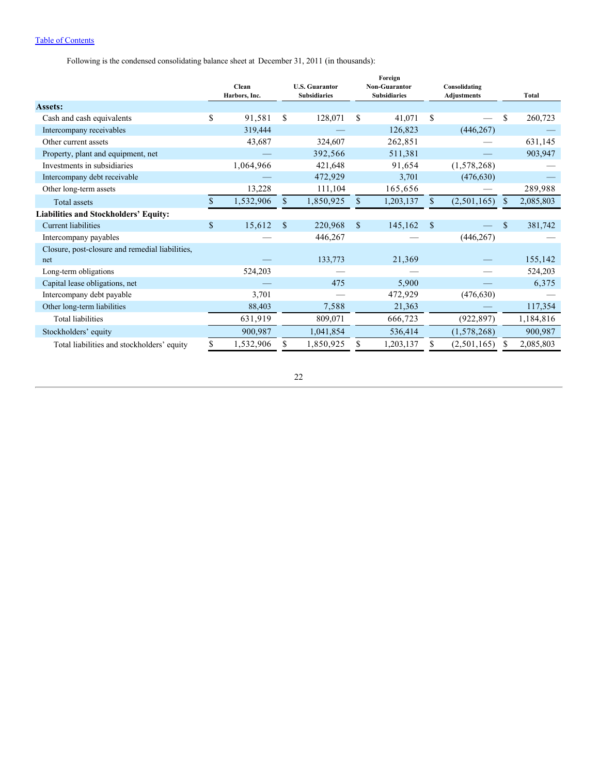Following is the condensed consolidating balance sheet at December 31, 2011 (in thousands):

|                                                 | Clean<br>Harbors, Inc. |           |               | <b>U.S. Guarantor</b><br><b>Subsidiaries</b> |    | Foreign<br><b>Non-Guarantor</b><br><b>Subsidiaries</b> | Consolidating<br><b>Adjustments</b> |             |              | Total     |
|-------------------------------------------------|------------------------|-----------|---------------|----------------------------------------------|----|--------------------------------------------------------|-------------------------------------|-------------|--------------|-----------|
| Assets:                                         |                        |           |               |                                              |    |                                                        |                                     |             |              |           |
| Cash and cash equivalents                       | \$                     | 91,581    | S             | 128,071                                      | S  | 41,071                                                 | \$                                  |             | \$.          | 260,723   |
| Intercompany receivables                        |                        | 319,444   |               |                                              |    | 126,823                                                |                                     | (446, 267)  |              |           |
| Other current assets                            |                        | 43,687    |               | 324,607                                      |    | 262,851                                                |                                     |             |              | 631,145   |
| Property, plant and equipment, net              |                        |           |               | 392,566                                      |    | 511,381                                                |                                     |             |              | 903,947   |
| Investments in subsidiaries                     |                        | 1,064,966 |               | 421,648                                      |    | 91,654                                                 |                                     | (1,578,268) |              |           |
| Intercompany debt receivable                    |                        |           |               | 472,929                                      |    | 3,701                                                  |                                     | (476, 630)  |              |           |
| Other long-term assets                          |                        | 13,228    |               | 111,104                                      |    | 165,656                                                |                                     |             |              | 289,988   |
| Total assets                                    | S.                     | 1,532,906 | <sup>S</sup>  | 1,850,925                                    | \$ | 1,203,137                                              | <sup>S</sup>                        | (2,501,165) | <sup>S</sup> | 2,085,803 |
| Liabilities and Stockholders' Equity:           |                        |           |               |                                              |    |                                                        |                                     |             |              |           |
| <b>Current liabilities</b>                      | \$                     | 15,612    | <sup>\$</sup> | 220,968                                      | \$ | 145,162                                                | S                                   |             | \$.          | 381,742   |
| Intercompany payables                           |                        |           |               | 446,267                                      |    |                                                        |                                     | (446, 267)  |              |           |
| Closure, post-closure and remedial liabilities, |                        |           |               |                                              |    |                                                        |                                     |             |              |           |
| net                                             |                        |           |               | 133,773                                      |    | 21,369                                                 |                                     |             |              | 155,142   |
| Long-term obligations                           |                        | 524,203   |               |                                              |    |                                                        |                                     |             |              | 524,203   |
| Capital lease obligations, net                  |                        |           |               | 475                                          |    | 5,900                                                  |                                     |             |              | 6,375     |
| Intercompany debt payable                       |                        | 3,701     |               |                                              |    | 472,929                                                |                                     | (476, 630)  |              |           |
| Other long-term liabilities                     |                        | 88,403    |               | 7,588                                        |    | 21,363                                                 |                                     |             |              | 117,354   |
| <b>Total liabilities</b>                        |                        | 631,919   |               | 809,071                                      |    | 666,723                                                |                                     | (922, 897)  |              | 1,184,816 |
| Stockholders' equity                            |                        | 900,987   |               | 1,041,854                                    |    | 536,414                                                |                                     | (1,578,268) |              | 900,987   |
| Total liabilities and stockholders' equity      |                        | 1,532,906 | <b>S</b>      | 1,850,925                                    | S  | 1,203,137                                              | S                                   | (2,501,165) | S            | 2,085,803 |
|                                                 |                        |           |               |                                              |    |                                                        |                                     |             |              |           |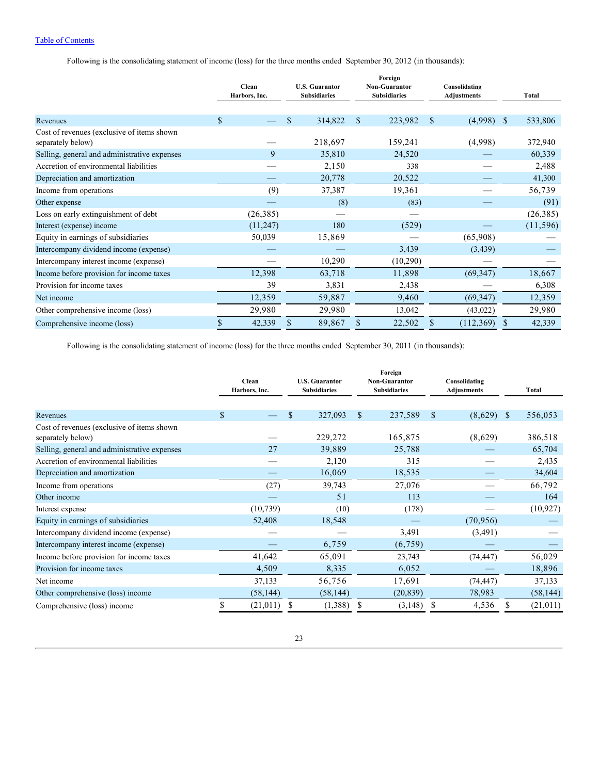Following is the consolidating statement of income (loss) for the three months ended September 30, 2012 (in thousands):

|                                              | Clean<br>Harbors, Inc. | <b>U.S. Guarantor</b><br><b>Subsidiaries</b> | Foreign<br><b>Non-Guarantor</b><br><b>Subsidiaries</b> | Consolidating<br><b>Adjustments</b> | Total                   |
|----------------------------------------------|------------------------|----------------------------------------------|--------------------------------------------------------|-------------------------------------|-------------------------|
| Revenues                                     | \$                     | 314,822<br>\$                                | $\mathbb{S}$<br>223,982                                | $\mathbf{s}$<br>(4,998)             | 533,806<br><sup>S</sup> |
| Cost of revenues (exclusive of items shown   |                        |                                              |                                                        |                                     |                         |
| separately below)                            |                        | 218,697                                      | 159,241                                                | (4,998)                             | 372,940                 |
| Selling, general and administrative expenses | 9                      | 35,810                                       | 24,520                                                 |                                     | 60,339                  |
| Accretion of environmental liabilities       |                        | 2,150                                        | 338                                                    |                                     | 2,488                   |
| Depreciation and amortization                |                        | 20,778                                       | 20,522                                                 |                                     | 41,300                  |
| Income from operations                       | (9)                    | 37,387                                       | 19,361                                                 |                                     | 56,739                  |
| Other expense                                |                        | (8)                                          | (83)                                                   |                                     | (91)                    |
| Loss on early extinguishment of debt         | (26, 385)              |                                              |                                                        |                                     | (26, 385)               |
| Interest (expense) income                    | (11,247)               | 180                                          | (529)                                                  |                                     | (11, 596)               |
| Equity in earnings of subsidiaries           | 50,039                 | 15,869                                       |                                                        | (65,908)                            |                         |
| Intercompany dividend income (expense)       |                        |                                              | 3,439                                                  | (3, 439)                            |                         |
| Intercompany interest income (expense)       |                        | 10,290                                       | (10,290)                                               |                                     |                         |
| Income before provision for income taxes     | 12,398                 | 63,718                                       | 11,898                                                 | (69, 347)                           | 18,667                  |
| Provision for income taxes                   | 39                     | 3,831                                        | 2,438                                                  |                                     | 6,308                   |
| Net income                                   | 12,359                 | 59,887                                       | 9,460                                                  | (69, 347)                           | 12,359                  |
| Other comprehensive income (loss)            | 29,980                 | 29,980                                       | 13,042                                                 | (43, 022)                           | 29,980                  |
| Comprehensive income (loss)                  | 42,339<br>S            | \$<br>89,867                                 | \$<br>22,502                                           | (112, 369)<br>S                     | 42,339<br>S             |

Following is the consolidating statement of income (loss) for the three months ended September 30, 2011 (in thousands):

|                                                                 | Clean<br>Harbors, Inc. | <b>U.S. Guarantor</b><br><b>Subsidiaries</b> |           |    | Foreign<br><b>Non-Guarantor</b><br><b>Subsidiaries</b> |               | Consolidating<br><b>Adjustments</b> | Total     |  |
|-----------------------------------------------------------------|------------------------|----------------------------------------------|-----------|----|--------------------------------------------------------|---------------|-------------------------------------|-----------|--|
|                                                                 |                        |                                              |           |    |                                                        |               |                                     |           |  |
| Revenues                                                        | \$                     | \$                                           | 327,093   | S. | 237,589                                                | <sup>\$</sup> | $(8,629)$ \$                        | 556,053   |  |
| Cost of revenues (exclusive of items shown<br>separately below) |                        |                                              | 229,272   |    | 165,875                                                |               | (8,629)                             | 386,518   |  |
| Selling, general and administrative expenses                    | 27                     |                                              | 39,889    |    | 25,788                                                 |               |                                     | 65,704    |  |
| Accretion of environmental liabilities                          |                        |                                              | 2,120     |    | 315                                                    |               |                                     | 2,435     |  |
| Depreciation and amortization                                   |                        |                                              | 16,069    |    | 18,535                                                 |               |                                     | 34,604    |  |
| Income from operations                                          | (27)                   |                                              | 39,743    |    | 27,076                                                 |               |                                     | 66,792    |  |
| Other income                                                    |                        |                                              | 51        |    | 113                                                    |               |                                     | 164       |  |
| Interest expense                                                | (10, 739)              |                                              | (10)      |    | (178)                                                  |               |                                     | (10, 927) |  |
| Equity in earnings of subsidiaries                              | 52,408                 |                                              | 18,548    |    |                                                        |               | (70, 956)                           |           |  |
| Intercompany dividend income (expense)                          |                        |                                              |           |    | 3,491                                                  |               | (3,491)                             |           |  |
| Intercompany interest income (expense)                          |                        |                                              | 6,759     |    | (6,759)                                                |               |                                     |           |  |
| Income before provision for income taxes                        | 41,642                 |                                              | 65,091    |    | 23,743                                                 |               | (74, 447)                           | 56,029    |  |
| Provision for income taxes                                      | 4,509                  |                                              | 8,335     |    | 6,052                                                  |               |                                     | 18,896    |  |
| Net income                                                      | 37,133                 |                                              | 56,756    |    | 17,691                                                 |               | (74, 447)                           | 37,133    |  |
| Other comprehensive (loss) income                               | (58, 144)              |                                              | (58, 144) |    | (20, 839)                                              |               | 78,983                              | (58, 144) |  |
| Comprehensive (loss) income                                     | \$<br>(21, 011)        | S                                            | (1,388)   | \$ | (3,148)                                                | S             | 4,536                               | (21,011)  |  |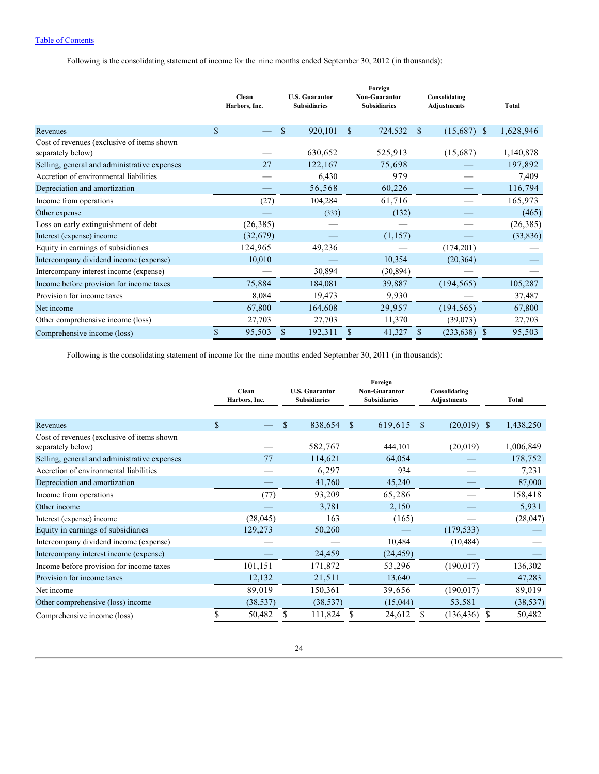Following is the consolidating statement of income for the nine months ended September 30, 2012 (in thousands):

|                                              | Foreign       |    |                       |               |                      |               |                    |    |              |
|----------------------------------------------|---------------|----|-----------------------|---------------|----------------------|---------------|--------------------|----|--------------|
|                                              | Clean         |    | <b>U.S. Guarantor</b> |               | <b>Non-Guarantor</b> | Consolidating |                    |    |              |
|                                              | Harbors, Inc. |    | <b>Subsidiaries</b>   |               | <b>Subsidiaries</b>  |               | <b>Adjustments</b> |    | <b>Total</b> |
|                                              |               |    |                       |               |                      |               |                    |    |              |
| Revenues                                     | \$            | \$ | 920,101               | <sup>\$</sup> | 724,532              | S             | $(15,687)$ \$      |    | 1,628,946    |
| Cost of revenues (exclusive of items shown   |               |    |                       |               |                      |               |                    |    |              |
| separately below)                            |               |    | 630,652               |               | 525,913              |               | (15,687)           |    | 1,140,878    |
| Selling, general and administrative expenses | 27            |    | 122,167               |               | 75,698               |               |                    |    | 197,892      |
| Accretion of environmental liabilities       |               |    | 6,430                 |               | 979                  |               |                    |    | 7,409        |
| Depreciation and amortization                |               |    | 56,568                |               | 60,226               |               |                    |    | 116,794      |
| Income from operations                       | (27)          |    | 104,284               |               | 61,716               |               |                    |    | 165,973      |
| Other expense                                |               |    | (333)                 |               | (132)                |               |                    |    | (465)        |
| Loss on early extinguishment of debt         | (26, 385)     |    |                       |               |                      |               |                    |    | (26, 385)    |
| Interest (expense) income                    | (32,679)      |    |                       |               | (1,157)              |               |                    |    | (33, 836)    |
| Equity in earnings of subsidiaries           | 124,965       |    | 49,236                |               |                      |               | (174,201)          |    |              |
| Intercompany dividend income (expense)       | 10,010        |    |                       |               | 10,354               |               | (20, 364)          |    |              |
| Intercompany interest income (expense)       |               |    | 30,894                |               | (30, 894)            |               |                    |    |              |
| Income before provision for income taxes     | 75,884        |    | 184,081               |               | 39,887               |               | (194, 565)         |    | 105,287      |
| Provision for income taxes                   | 8,084         |    | 19,473                |               | 9,930                |               |                    |    | 37,487       |
| Net income                                   | 67,800        |    | 164,608               |               | 29,957               |               | (194, 565)         |    | 67,800       |
| Other comprehensive income (loss)            | 27,703        |    | 27,703                |               | 11,370               |               | (39,073)           |    | 27,703       |
| Comprehensive income (loss)                  | 95,503        | \$ | 192,311               | \$            | 41,327               | \$            | (233, 638)         | \$ | 95,503       |

Following is the consolidating statement of income for the nine months ended September 30, 2011 (in thousands):

|                                                                 | Clean |               |    | <b>U.S. Guarantor</b> |              | Foreign<br><b>Non-Guarantor</b> |                    | Consolidating |   |           |
|-----------------------------------------------------------------|-------|---------------|----|-----------------------|--------------|---------------------------------|--------------------|---------------|---|-----------|
|                                                                 |       | Harbors, Inc. |    | <b>Subsidiaries</b>   |              | <b>Subsidiaries</b>             | <b>Adjustments</b> |               |   | Total     |
|                                                                 |       |               |    |                       |              |                                 |                    |               |   |           |
| Revenues                                                        | \$    |               | \$ | 838,654               | <sup>S</sup> | 619,615                         | <sup>S</sup>       | $(20,019)$ \$ |   | 1,438,250 |
| Cost of revenues (exclusive of items shown<br>separately below) |       |               |    | 582,767               |              | 444,101                         |                    | (20,019)      |   | 1,006,849 |
| Selling, general and administrative expenses                    |       | 77            |    | 114,621               |              | 64,054                          |                    |               |   | 178,752   |
| Accretion of environmental liabilities                          |       |               |    | 6,297                 |              | 934                             |                    |               |   | 7,231     |
| Depreciation and amortization                                   |       |               |    | 41,760                |              | 45,240                          |                    |               |   | 87,000    |
| Income from operations                                          |       | (77)          |    | 93,209                |              | 65,286                          |                    |               |   | 158,418   |
| Other income                                                    |       |               |    | 3,781                 |              | 2,150                           |                    |               |   | 5,931     |
| Interest (expense) income                                       |       | (28,045)      |    | 163                   |              | (165)                           |                    |               |   | (28, 047) |
| Equity in earnings of subsidiaries                              |       | 129,273       |    | 50,260                |              |                                 |                    | (179, 533)    |   |           |
| Intercompany dividend income (expense)                          |       |               |    |                       |              | 10,484                          |                    | (10, 484)     |   |           |
| Intercompany interest income (expense)                          |       |               |    | 24,459                |              | (24, 459)                       |                    |               |   |           |
| Income before provision for income taxes                        |       | 101,151       |    | 171,872               |              | 53,296                          |                    | (190, 017)    |   | 136,302   |
| Provision for income taxes                                      |       | 12,132        |    | 21,511                |              | 13,640                          |                    |               |   | 47,283    |
| Net income                                                      |       | 89,019        |    | 150,361               |              | 39,656                          |                    | (190, 017)    |   | 89,019    |
| Other comprehensive (loss) income                               |       | (38, 537)     |    | (38, 537)             |              | (15,044)                        |                    | 53,581        |   | (38, 537) |
| Comprehensive income (loss)                                     |       | 50,482        |    | 111,824               |              | 24,612                          |                    | (136, 436)    | S | 50,482    |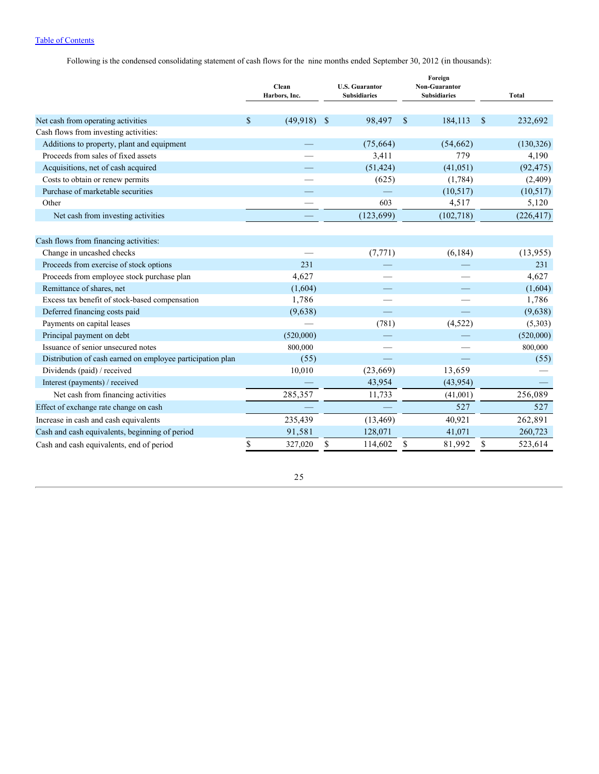Following is the condensed consolidating statement of cash flows for the nine months ended September 30, 2012 (in thousands):

|                                                            |              | Clean<br>Harbors, Inc. | <b>U.S. Guarantor</b><br><b>Subsidiaries</b> |              | Foreign<br><b>Non-Guarantor</b><br><b>Subsidiaries</b> |               | Total      |
|------------------------------------------------------------|--------------|------------------------|----------------------------------------------|--------------|--------------------------------------------------------|---------------|------------|
| Net cash from operating activities                         | $\mathbb{S}$ | $(49,918)$ \$          | 98,497                                       | $\mathbb{S}$ | 184,113                                                | <sup>\$</sup> | 232,692    |
| Cash flows from investing activities:                      |              |                        |                                              |              |                                                        |               |            |
| Additions to property, plant and equipment                 |              |                        | (75,664)                                     |              | (54, 662)                                              |               | (130, 326) |
| Proceeds from sales of fixed assets                        |              |                        | 3,411                                        |              | 779                                                    |               | 4,190      |
| Acquisitions, net of cash acquired                         |              |                        | (51, 424)                                    |              | (41, 051)                                              |               | (92, 475)  |
| Costs to obtain or renew permits                           |              |                        | (625)                                        |              | (1,784)                                                |               | (2,409)    |
| Purchase of marketable securities                          |              |                        |                                              |              | (10,517)                                               |               | (10, 517)  |
| Other                                                      |              |                        | 603                                          |              | 4,517                                                  |               | 5,120      |
| Net cash from investing activities                         |              |                        | (123, 699)                                   |              | (102, 718)                                             |               | (226, 417) |
| Cash flows from financing activities:                      |              |                        |                                              |              |                                                        |               |            |
| Change in uncashed checks                                  |              |                        | (7, 771)                                     |              | (6, 184)                                               |               | (13, 955)  |
| Proceeds from exercise of stock options                    |              | 231                    |                                              |              |                                                        |               | 231        |
| Proceeds from employee stock purchase plan                 |              | 4,627                  |                                              |              |                                                        |               | 4,627      |
| Remittance of shares, net                                  |              | (1,604)                |                                              |              |                                                        |               | (1,604)    |
| Excess tax benefit of stock-based compensation             |              | 1,786                  |                                              |              |                                                        |               | 1,786      |
| Deferred financing costs paid                              |              | (9,638)                |                                              |              |                                                        |               | (9,638)    |
| Payments on capital leases                                 |              |                        | (781)                                        |              | (4, 522)                                               |               | (5,303)    |
| Principal payment on debt                                  |              | (520,000)              |                                              |              |                                                        |               | (520,000)  |
| Issuance of senior unsecured notes                         |              | 800,000                |                                              |              |                                                        |               | 800,000    |
| Distribution of cash earned on employee participation plan |              | (55)                   |                                              |              |                                                        |               | (55)       |
| Dividends (paid) / received                                |              | 10,010                 | (23, 669)                                    |              | 13,659                                                 |               |            |
| Interest (payments) / received                             |              |                        | 43,954                                       |              | (43, 954)                                              |               |            |
| Net cash from financing activities                         |              | 285,357                | 11,733                                       |              | (41,001)                                               |               | 256,089    |
| Effect of exchange rate change on cash                     |              |                        |                                              |              | 527                                                    |               | 527        |
| Increase in cash and cash equivalents                      |              | 235,439                | (13, 469)                                    |              | 40,921                                                 |               | 262,891    |
| Cash and cash equivalents, beginning of period             |              | 91,581                 | 128,071                                      |              | 41,071                                                 |               | 260,723    |
| Cash and cash equivalents, end of period                   | \$           | 327,020                | \$<br>114,602                                | \$           | 81,992                                                 | \$            | 523,614    |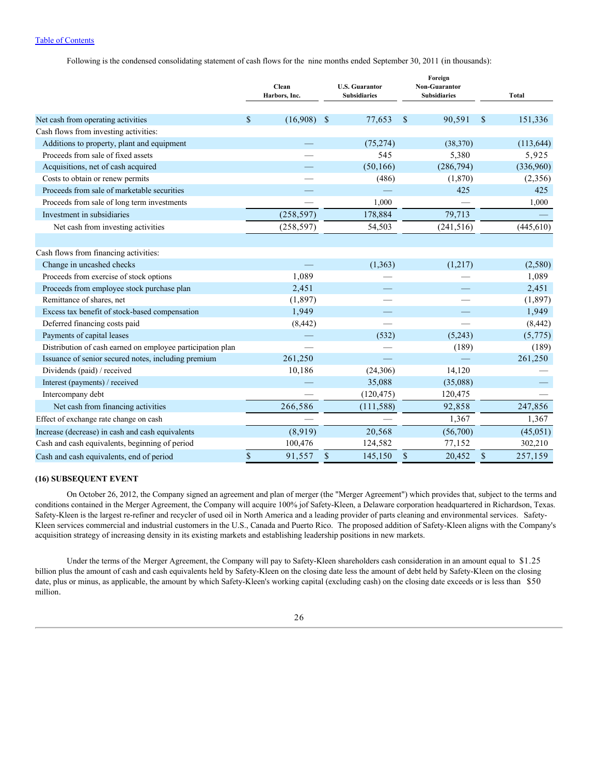Following is the condensed consolidating statement of cash flows for the nine months ended September 30, 2011 (in thousands):

**Foreign**

|                                                            |              | Clean<br>Harbors, Inc. | <b>U.S. Guarantor</b><br><b>Subsidiaries</b> |            |              | r oreign<br>Non-Guarantor<br><b>Subsidiaries</b> |              | <b>Total</b> |
|------------------------------------------------------------|--------------|------------------------|----------------------------------------------|------------|--------------|--------------------------------------------------|--------------|--------------|
| Net cash from operating activities                         | $\mathbb{S}$ | $(16,908)$ \$          |                                              | 77,653     | $\mathbb{S}$ | 90,591                                           | \$           | 151,336      |
| Cash flows from investing activities:                      |              |                        |                                              |            |              |                                                  |              |              |
| Additions to property, plant and equipment                 |              |                        |                                              | (75, 274)  |              | (38, 370)                                        |              | (113, 644)   |
| Proceeds from sale of fixed assets                         |              |                        |                                              | 545        |              | 5,380                                            |              | 5,925        |
| Acquisitions, net of cash acquired                         |              |                        |                                              | (50, 166)  |              | (286,794)                                        |              | (336,960)    |
| Costs to obtain or renew permits                           |              |                        |                                              | (486)      |              | (1,870)                                          |              | (2,356)      |
| Proceeds from sale of marketable securities                |              |                        |                                              |            |              | 425                                              |              | 425          |
| Proceeds from sale of long term investments                |              |                        |                                              | 1,000      |              |                                                  |              | 1,000        |
| Investment in subsidiaries                                 |              | (258, 597)             |                                              | 178,884    |              | 79,713                                           |              |              |
| Net cash from investing activities                         |              | (258, 597)             |                                              | 54,503     |              | (241, 516)                                       |              | (445, 610)   |
| Cash flows from financing activities:                      |              |                        |                                              |            |              |                                                  |              |              |
| Change in uncashed checks                                  |              |                        |                                              | (1,363)    |              | (1,217)                                          |              | (2,580)      |
| Proceeds from exercise of stock options                    |              | 1,089                  |                                              |            |              |                                                  |              | 1,089        |
| Proceeds from employee stock purchase plan                 |              | 2,451                  |                                              |            |              |                                                  |              | 2,451        |
| Remittance of shares, net                                  |              | (1,897)                |                                              |            |              |                                                  |              | (1,897)      |
| Excess tax benefit of stock-based compensation             |              | 1,949                  |                                              |            |              |                                                  |              | 1,949        |
| Deferred financing costs paid                              |              | (8, 442)               |                                              |            |              |                                                  |              | (8, 442)     |
| Payments of capital leases                                 |              |                        |                                              | (532)      |              | (5,243)                                          |              | (5,775)      |
| Distribution of cash earned on employee participation plan |              |                        |                                              |            |              | (189)                                            |              | (189)        |
| Issuance of senior secured notes, including premium        |              | 261,250                |                                              |            |              |                                                  |              | 261,250      |
| Dividends (paid) / received                                |              | 10,186                 |                                              | (24, 306)  |              | 14,120                                           |              |              |
| Interest (payments) / received                             |              |                        |                                              | 35,088     |              | (35,088)                                         |              |              |
| Intercompany debt                                          |              |                        |                                              | (120, 475) |              | 120,475                                          |              |              |
| Net cash from financing activities                         |              | 266,586                |                                              | (111, 588) |              | 92,858                                           |              | 247,856      |
| Effect of exchange rate change on cash                     |              |                        |                                              |            |              | 1,367                                            |              | 1,367        |
| Increase (decrease) in cash and cash equivalents           |              | (8,919)                |                                              | 20,568     |              | (56,700)                                         |              | (45,051)     |
| Cash and cash equivalents, beginning of period             |              | 100,476                |                                              | 124,582    |              | 77,152                                           |              | 302,210      |
| Cash and cash equivalents, end of period                   | \$           | 91,557                 | \$                                           | 145,150    | $\mathbf S$  | 20,452                                           | $\mathbb{S}$ | 257,159      |

# **(16) SUBSEQUENT EVENT**

On October 26, 2012, the Company signed an agreement and plan of merger (the "Merger Agreement") which provides that, subject to the terms and conditions contained in the Merger Agreement, the Company will acquire 100% jof Safety-Kleen, a Delaware corporation headquartered in Richardson, Texas. Safety-Kleen is the largest re-refiner and recycler of used oil in North America and a leading provider of parts cleaning and environmental services. Safety-Kleen services commercial and industrial customers in the U.S., Canada and Puerto Rico. The proposed addition of Safety-Kleen aligns with the Company's acquisition strategy of increasing density in its existing markets and establishing leadership positions in new markets.

Under the terms of the Merger Agreement, the Company will pay to Safety-Kleen shareholders cash consideration in an amount equal to \$1.25 billion plus the amount of cash and cash equivalents held by Safety-Kleen on the closing date less the amount of debt held by Safety-Kleen on the closing date, plus or minus, as applicable, the amount by which Safety-Kleen's working capital (excluding cash) on the closing date exceeds or is less than \$50 million.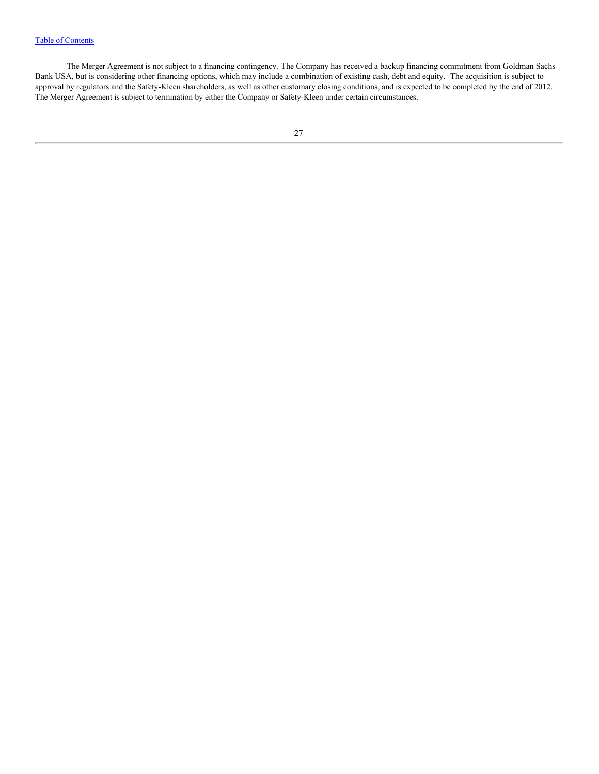The Merger Agreement is not subject to a financing contingency. The Company has received a backup financing commitment from Goldman Sachs Bank USA, but is considering other financing options, which may include a combination of existing cash, debt and equity. The acquisition is subject to approval by regulators and the Safety-Kleen shareholders, as well as other customary closing conditions, and is expected to be completed by the end of 2012. The Merger Agreement is subject to termination by either the Company or Safety-Kleen under certain circumstances.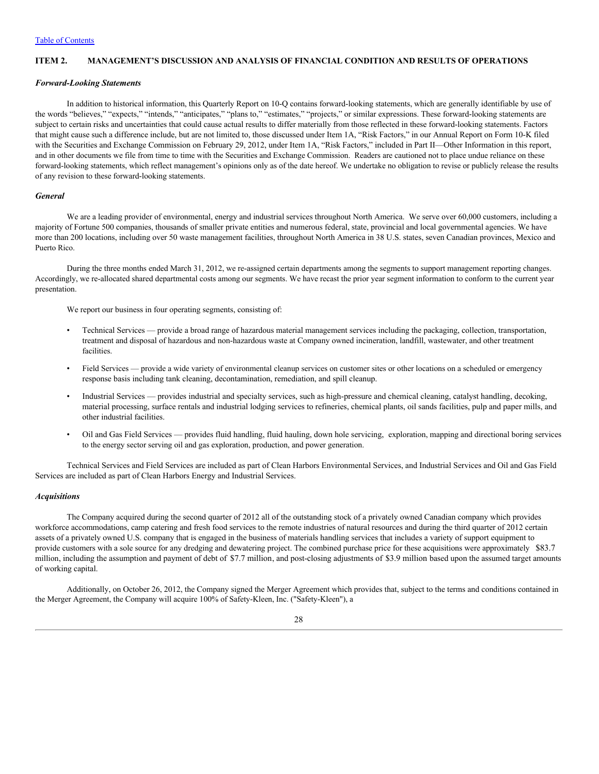## <span id="page-30-0"></span>**ITEM 2. MANAGEMENT'S DISCUSSION AND ANALYSIS OF FINANCIAL CONDITION AND RESULTS OF OPERATIONS**

#### *Forward-Looking Statements*

In addition to historical information, this Quarterly Report on 10-Q contains forward-looking statements, which are generally identifiable by use of the words "believes," "expects," "intends," "anticipates," "plans to," "estimates," "projects," or similar expressions. These forward-looking statements are subject to certain risks and uncertainties that could cause actual results to differ materially from those reflected in these forward-looking statements. Factors that might cause such a difference include, but are not limited to, those discussed under Item 1A, "Risk Factors," in our Annual Report on Form 10-K filed with the Securities and Exchange Commission on February 29, 2012, under Item 1A, "Risk Factors," included in Part II—Other Information in this report, and in other documents we file from time to time with the Securities and Exchange Commission. Readers are cautioned not to place undue reliance on these forward-looking statements, which reflect management's opinions only as of the date hereof. We undertake no obligation to revise or publicly release the results of any revision to these forward-looking statements.

#### *General*

We are a leading provider of environmental, energy and industrial services throughout North America. We serve over 60,000 customers, including a majority of Fortune 500 companies, thousands of smaller private entities and numerous federal, state, provincial and local governmental agencies. We have more than 200 locations, including over 50 waste management facilities, throughout North America in 38 U.S. states, seven Canadian provinces, Mexico and Puerto Rico.

During the three months ended March 31, 2012, we re-assigned certain departments among the segments to support management reporting changes. Accordingly, we re-allocated shared departmental costs among our segments. We have recast the prior year segment information to conform to the current year presentation.

We report our business in four operating segments, consisting of:

- Technical Services provide a broad range of hazardous material management services including the packaging, collection, transportation, treatment and disposal of hazardous and non-hazardous waste at Company owned incineration, landfill, wastewater, and other treatment facilities.
- Field Services provide a wide variety of environmental cleanup services on customer sites or other locations on a scheduled or emergency response basis including tank cleaning, decontamination, remediation, and spill cleanup.
- Industrial Services provides industrial and specialty services, such as high-pressure and chemical cleaning, catalyst handling, decoking, material processing, surface rentals and industrial lodging services to refineries, chemical plants, oil sands facilities, pulp and paper mills, and other industrial facilities.
- Oil and Gas Field Services provides fluid handling, fluid hauling, down hole servicing, exploration, mapping and directional boring services to the energy sector serving oil and gas exploration, production, and power generation.

Technical Services and Field Services are included as part of Clean Harbors Environmental Services, and Industrial Services and Oil and Gas Field Services are included as part of Clean Harbors Energy and Industrial Services.

#### *Acquisitions*

The Company acquired during the second quarter of 2012 all of the outstanding stock of a privately owned Canadian company which provides workforce accommodations, camp catering and fresh food services to the remote industries of natural resources and during the third quarter of 2012 certain assets of a privately owned U.S. company that is engaged in the business of materials handling services that includes a variety of support equipment to provide customers with a sole source for any dredging and dewatering project. The combined purchase price for these acquisitions were approximately \$83.7 million, including the assumption and payment of debt of \$7.7 million, and post-closing adjustments of \$3.9 million based upon the assumed target amounts of working capital.

Additionally, on October 26, 2012, the Company signed the Merger Agreement which provides that, subject to the terms and conditions contained in the Merger Agreement, the Company will acquire 100% of Safety-Kleen, Inc. ("Safety-Kleen"), a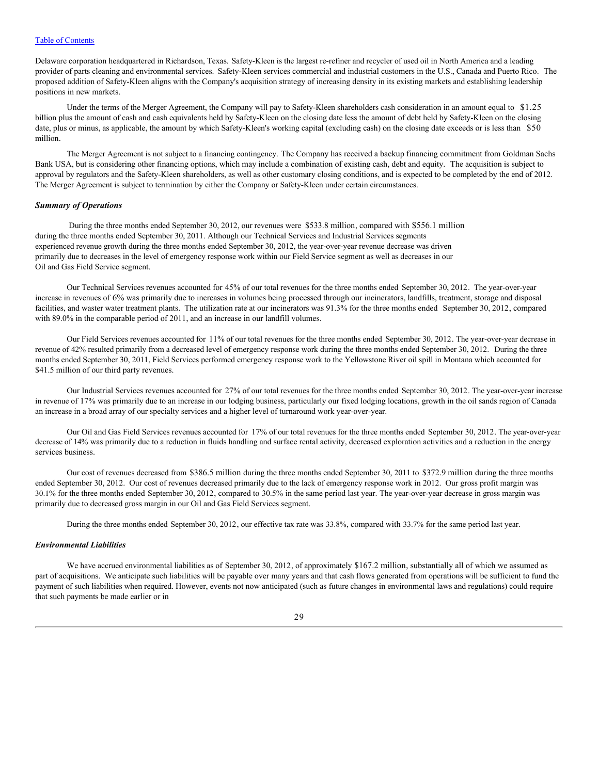Delaware corporation headquartered in Richardson, Texas. Safety-Kleen is the largest re-refiner and recycler of used oil in North America and a leading provider of parts cleaning and environmental services. Safety-Kleen services commercial and industrial customers in the U.S., Canada and Puerto Rico. The proposed addition of Safety-Kleen aligns with the Company's acquisition strategy of increasing density in its existing markets and establishing leadership positions in new markets.

Under the terms of the Merger Agreement, the Company will pay to Safety-Kleen shareholders cash consideration in an amount equal to \$1.25 billion plus the amount of cash and cash equivalents held by Safety-Kleen on the closing date less the amount of debt held by Safety-Kleen on the closing date, plus or minus, as applicable, the amount by which Safety-Kleen's working capital (excluding cash) on the closing date exceeds or is less than \$50 million.

The Merger Agreement is not subject to a financing contingency. The Company has received a backup financing commitment from Goldman Sachs Bank USA, but is considering other financing options, which may include a combination of existing cash, debt and equity. The acquisition is subject to approval by regulators and the Safety-Kleen shareholders, as well as other customary closing conditions, and is expected to be completed by the end of 2012. The Merger Agreement is subject to termination by either the Company or Safety-Kleen under certain circumstances.

#### *Summary of Operations*

 During the three months ended September 30, 2012, our revenues were \$533.8 million, compared with \$556.1 million during the three months ended September 30, 2011. Although our Technical Services and Industrial Services segments experienced revenue growth during the three months ended September 30, 2012, the year-over-year revenue decrease was driven primarily due to decreases in the level of emergency response work within our Field Service segment as well as decreases in our Oil and Gas Field Service segment.

Our Technical Services revenues accounted for 45% of our total revenues for the three months ended September 30, 2012. The year-over-year increase in revenues of 6% was primarily due to increases in volumes being processed through our incinerators, landfills, treatment, storage and disposal facilities, and waster water treatment plants. The utilization rate at our incinerators was 91.3% for the three months ended September 30, 2012, compared with 89.0% in the comparable period of 2011, and an increase in our landfill volumes.

Our Field Services revenues accounted for 11% of our total revenues for the three months ended September 30, 2012. The year-over-year decrease in revenue of 42% resulted primarily from a decreased level of emergency response work during the three months ended September 30, 2012. During the three months ended September 30, 2011, Field Services performed emergency response work to the Yellowstone River oil spill in Montana which accounted for \$41.5 million of our third party revenues.

Our Industrial Services revenues accounted for 27% of our total revenues for the three months ended September 30, 2012. The year-over-year increase in revenue of 17% was primarily due to an increase in our lodging business, particularly our fixed lodging locations, growth in the oil sands region of Canada an increase in a broad array of our specialty services and a higher level of turnaround work year-over-year.

Our Oil and Gas Field Services revenues accounted for 17% of our total revenues for the three months ended September 30, 2012. The year-over-year decrease of 14% was primarily due to a reduction in fluids handling and surface rental activity, decreased exploration activities and a reduction in the energy services business.

Our cost of revenues decreased from \$386.5 million during the three months ended September 30, 2011 to \$372.9 million during the three months ended September 30, 2012. Our cost of revenues decreased primarily due to the lack of emergency response work in 2012. Our gross profit margin was 30.1% for the three months ended September 30, 2012, compared to 30.5% in the same period last year. The year-over-year decrease in gross margin was primarily due to decreased gross margin in our Oil and Gas Field Services segment.

During the three months ended September 30, 2012, our effective tax rate was 33.8%, compared with 33.7% for the same period last year.

## *Environmental Liabilities*

We have accrued environmental liabilities as of September 30, 2012, of approximately \$167.2 million, substantially all of which we assumed as part of acquisitions. We anticipate such liabilities will be payable over many years and that cash flows generated from operations will be sufficient to fund the payment of such liabilities when required. However, events not now anticipated (such as future changes in environmental laws and regulations) could require that such payments be made earlier or in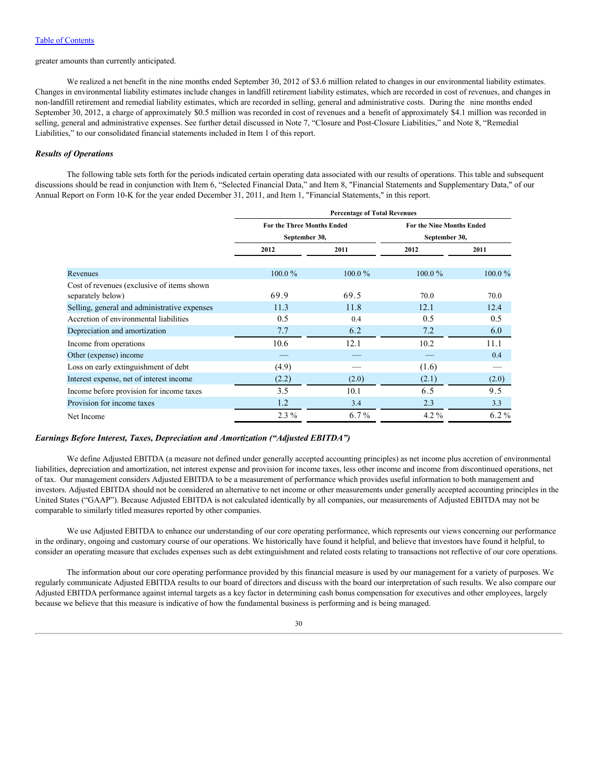greater amounts than currently anticipated.

We realized a net benefit in the nine months ended September 30, 2012 of \$3.6 million related to changes in our environmental liability estimates. Changes in environmental liability estimates include changes in landfill retirement liability estimates, which are recorded in cost of revenues, and changes in non-landfill retirement and remedial liability estimates, which are recorded in selling, general and administrative costs. During the nine months ended September 30, 2012, a charge of approximately \$0.5 million was recorded in cost of revenues and a benefit of approximately \$4.1 million was recorded in selling, general and administrative expenses. See further detail discussed in Note 7, "Closure and Post-Closure Liabilities," and Note 8, "Remedial Liabilities," to our consolidated financial statements included in Item 1 of this report.

## *Results of Operations*

The following table sets forth for the periods indicated certain operating data associated with our results of operations. This table and subsequent discussions should be read in conjunction with Item 6, "Selected Financial Data," and Item 8, "Financial Statements and Supplementary Data," of our Annual Report on Form 10-K for the year ended December 31, 2011, and Item 1, "Financial Statements," in this report.

|                                                                 | <b>Percentage of Total Revenues</b> |           |                                  |           |  |  |  |  |  |  |
|-----------------------------------------------------------------|-------------------------------------|-----------|----------------------------------|-----------|--|--|--|--|--|--|
|                                                                 | <b>For the Three Months Ended</b>   |           | <b>For the Nine Months Ended</b> |           |  |  |  |  |  |  |
|                                                                 | September 30,                       |           | September 30,                    |           |  |  |  |  |  |  |
|                                                                 | 2012                                | 2011      | 2012                             | 2011      |  |  |  |  |  |  |
| Revenues                                                        | 100.0%                              | $100.0\%$ | $100.0\%$                        | $100.0\%$ |  |  |  |  |  |  |
| Cost of revenues (exclusive of items shown<br>separately below) | 69.9                                | 69.5      | 70.0                             | 70.0      |  |  |  |  |  |  |
| Selling, general and administrative expenses                    | 11.3                                | 11.8      | 12.1                             | 12.4      |  |  |  |  |  |  |
| Accretion of environmental liabilities                          | 0.5                                 | 0.4       | 0.5                              | 0.5       |  |  |  |  |  |  |
| Depreciation and amortization                                   | 7.7                                 | 6.2       | 7.2                              | 6.0       |  |  |  |  |  |  |
| Income from operations                                          | 10.6                                | 12.1      | 10.2                             | 11.1      |  |  |  |  |  |  |
| Other (expense) income                                          |                                     |           |                                  | 0.4       |  |  |  |  |  |  |
| Loss on early extinguishment of debt                            | (4.9)                               |           | (1.6)                            |           |  |  |  |  |  |  |
| Interest expense, net of interest income                        | (2.2)                               | (2.0)     | (2.1)                            | (2.0)     |  |  |  |  |  |  |
| Income before provision for income taxes                        | 3.5                                 | 10.1      | 6.5                              | 9.5       |  |  |  |  |  |  |
| Provision for income taxes                                      | 1.2                                 | 3.4       | 2.3                              | 3.3       |  |  |  |  |  |  |
| Net Income                                                      | $2.3\%$                             | $6.7\%$   | 4.2 $%$                          | $6.2\%$   |  |  |  |  |  |  |

#### *Earnings Before Interest, Taxes, Depreciation and Amortization ("Adjusted EBITDA")*

We define Adjusted EBITDA (a measure not defined under generally accepted accounting principles) as net income plus accretion of environmental liabilities, depreciation and amortization, net interest expense and provision for income taxes, less other income and income from discontinued operations, net of tax. Our management considers Adjusted EBITDA to be a measurement of performance which provides useful information to both management and investors. Adjusted EBITDA should not be considered an alternative to net income or other measurements under generally accepted accounting principles in the United States ("GAAP"). Because Adjusted EBITDA is not calculated identically by all companies, our measurements of Adjusted EBITDA may not be comparable to similarly titled measures reported by other companies.

We use Adjusted EBITDA to enhance our understanding of our core operating performance, which represents our views concerning our performance in the ordinary, ongoing and customary course of our operations. We historically have found it helpful, and believe that investors have found it helpful, to consider an operating measure that excludes expenses such as debt extinguishment and related costs relating to transactions not reflective of our core operations.

The information about our core operating performance provided by this financial measure is used by our management for a variety of purposes. We regularly communicate Adjusted EBITDA results to our board of directors and discuss with the board our interpretation of such results. We also compare our Adjusted EBITDA performance against internal targets as a key factor in determining cash bonus compensation for executives and other employees, largely because we believe that this measure is indicative of how the fundamental business is performing and is being managed.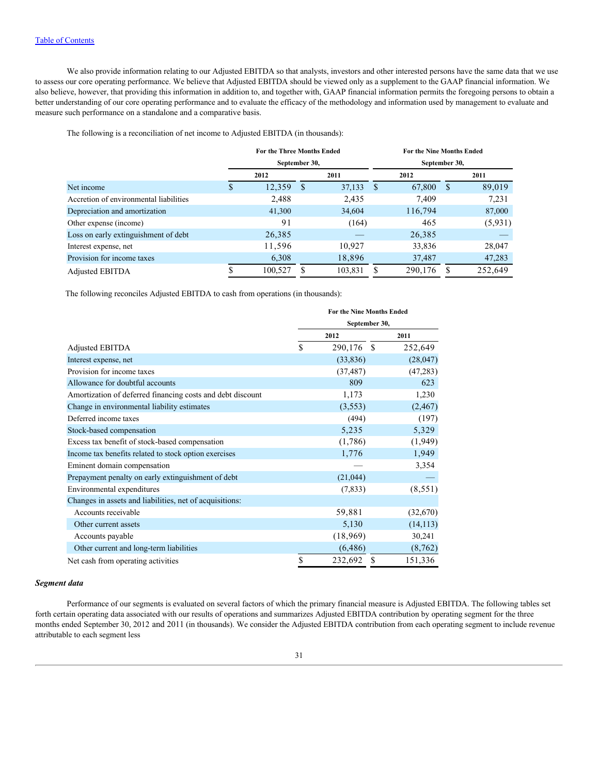We also provide information relating to our Adjusted EBITDA so that analysts, investors and other interested persons have the same data that we use to assess our core operating performance. We believe that Adjusted EBITDA should be viewed only as a supplement to the GAAP financial information. We also believe, however, that providing this information in addition to, and together with, GAAP financial information permits the foregoing persons to obtain a better understanding of our core operating performance and to evaluate the efficacy of the methodology and information used by management to evaluate and measure such performance on a standalone and a comparative basis.

The following is a reconciliation of net income to Adjusted EBITDA (in thousands):

|                                        |   | <b>For the Three Months Ended</b> |    |         | For the Nine Months Ended |               |     |         |  |  |
|----------------------------------------|---|-----------------------------------|----|---------|---------------------------|---------------|-----|---------|--|--|
|                                        |   | September 30,                     |    |         |                           | September 30, |     |         |  |  |
|                                        |   | 2012                              |    | 2011    |                           | 2012          |     | 2011    |  |  |
| Net income                             | S | 12,359                            | -S | 37,133  | S                         | 67,800        | -S  | 89,019  |  |  |
| Accretion of environmental liabilities |   | 2,488                             |    | 2,435   |                           | 7,409         |     | 7,231   |  |  |
| Depreciation and amortization          |   | 41,300                            |    | 34,604  |                           | 116,794       |     | 87,000  |  |  |
| Other expense (income)                 |   | 91                                |    | (164)   |                           | 465           |     | (5,931) |  |  |
| Loss on early extinguishment of debt   |   | 26,385                            |    |         |                           | 26,385        |     |         |  |  |
| Interest expense, net                  |   | 11,596                            |    | 10,927  |                           | 33,836        |     | 28,047  |  |  |
| Provision for income taxes             |   | 6,308                             |    | 18,896  |                           | 37,487        |     | 47,283  |  |  |
| <b>Adjusted EBITDA</b>                 |   | 100,527                           | S  | 103,831 | S                         | 290,176       | \$. | 252,649 |  |  |

The following reconciles Adjusted EBITDA to cash from operations (in thousands):

|                                                            | <b>For the Nine Months Ended</b> |              |           |  |  |  |
|------------------------------------------------------------|----------------------------------|--------------|-----------|--|--|--|
|                                                            | September 30,                    |              |           |  |  |  |
|                                                            |                                  | 2012         | 2011      |  |  |  |
| Adjusted EBITDA                                            | \$                               | 290,176 \$   | 252,649   |  |  |  |
| Interest expense, net                                      |                                  | (33,836)     | (28,047)  |  |  |  |
| Provision for income taxes                                 |                                  | (37, 487)    | (47, 283) |  |  |  |
| Allowance for doubtful accounts                            |                                  | 809          | 623       |  |  |  |
| Amortization of deferred financing costs and debt discount |                                  | 1,173        | 1,230     |  |  |  |
| Change in environmental liability estimates                |                                  | (3,553)      | (2, 467)  |  |  |  |
| Deferred income taxes                                      |                                  | (494)        | (197)     |  |  |  |
| Stock-based compensation                                   |                                  | 5,235        | 5,329     |  |  |  |
| Excess tax benefit of stock-based compensation             |                                  | (1,786)      | (1,949)   |  |  |  |
| Income tax benefits related to stock option exercises      |                                  | 1,776        | 1,949     |  |  |  |
| Eminent domain compensation                                |                                  |              | 3,354     |  |  |  |
| Prepayment penalty on early extinguishment of debt         |                                  | (21,044)     |           |  |  |  |
| Environmental expenditures                                 |                                  | (7,833)      | (8, 551)  |  |  |  |
| Changes in assets and liabilities, net of acquisitions:    |                                  |              |           |  |  |  |
| Accounts receivable                                        |                                  | 59,881       | (32,670)  |  |  |  |
| Other current assets                                       |                                  | 5,130        | (14, 113) |  |  |  |
| Accounts payable                                           |                                  | (18,969)     | 30,241    |  |  |  |
| Other current and long-term liabilities                    |                                  | (6, 486)     | (8,762)   |  |  |  |
| Net cash from operating activities                         | \$                               | 232,692<br>S | 151,336   |  |  |  |

#### *Segment data*

Performance of our segments is evaluated on several factors of which the primary financial measure is Adjusted EBITDA. The following tables set forth certain operating data associated with our results of operations and summarizes Adjusted EBITDA contribution by operating segment for the three months ended September 30, 2012 and 2011 (in thousands). We consider the Adjusted EBITDA contribution from each operating segment to include revenue attributable to each segment less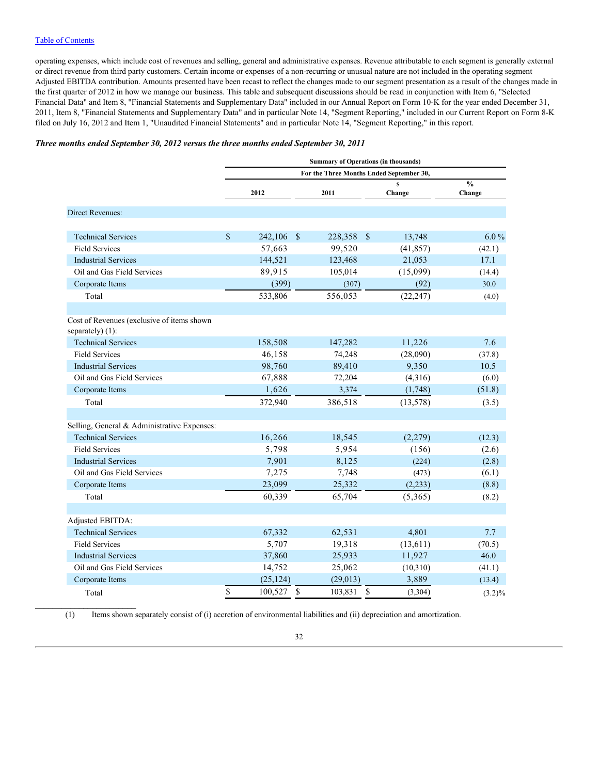operating expenses, which include cost of revenues and selling, general and administrative expenses. Revenue attributable to each segment is generally external or direct revenue from third party customers. Certain income or expenses of a non-recurring or unusual nature are not included in the operating segment Adjusted EBITDA contribution. Amounts presented have been recast to reflect the changes made to our segment presentation as a result of the changes made in the first quarter of 2012 in how we manage our business. This table and subsequent discussions should be read in conjunction with Item 6, "Selected Financial Data" and Item 8, "Financial Statements and Supplementary Data" included in our Annual Report on Form 10-K for the year ended December 31, 2011, Item 8, "Financial Statements and Supplementary Data" and in particular Note 14, "Segment Reporting," included in our Current Report on Form 8-K filed on July 16, 2012 and Item 1, "Unaudited Financial Statements" and in particular Note 14, "Segment Reporting," in this report.

#### *Three months ended September 30, 2012 versus the three months ended September 30, 2011*

|                                                                | <b>Summary of Operations (in thousands)</b> |                          |                                          |                        |                         |  |  |  |  |
|----------------------------------------------------------------|---------------------------------------------|--------------------------|------------------------------------------|------------------------|-------------------------|--|--|--|--|
|                                                                |                                             |                          | For the Three Months Ended September 30, |                        |                         |  |  |  |  |
|                                                                |                                             | 2012                     | 2011                                     | $\mathbf{s}$<br>Change | $\frac{0}{6}$<br>Change |  |  |  |  |
| Direct Revenues:                                               |                                             |                          |                                          |                        |                         |  |  |  |  |
| <b>Technical Services</b>                                      | $\mathcal{S}$                               | 242,106<br><sup>\$</sup> | 228,358<br><sup>\$</sup>                 | 13,748                 | 6.0%                    |  |  |  |  |
| <b>Field Services</b>                                          |                                             | 57,663                   | 99,520                                   | (41, 857)              | (42.1)                  |  |  |  |  |
| <b>Industrial Services</b>                                     |                                             | 144,521                  | 123,468                                  | 21,053                 | 17.1                    |  |  |  |  |
| Oil and Gas Field Services                                     |                                             | 89,915                   | 105,014                                  | (15,099)               | (14.4)                  |  |  |  |  |
| Corporate Items                                                |                                             | (399)                    | (307)                                    | (92)                   | 30.0                    |  |  |  |  |
| Total                                                          |                                             | 533,806                  | 556,053                                  | (22, 247)              | (4.0)                   |  |  |  |  |
| Cost of Revenues (exclusive of items shown<br>separately) (1): |                                             |                          |                                          |                        |                         |  |  |  |  |
| <b>Technical Services</b>                                      |                                             | 158,508                  | 147,282                                  | 11,226                 | 7.6                     |  |  |  |  |
| <b>Field Services</b>                                          |                                             | 46,158                   | 74,248                                   | (28,090)               | (37.8)                  |  |  |  |  |
| <b>Industrial Services</b>                                     |                                             | 98,760                   | 89,410                                   | 9,350                  | 10.5                    |  |  |  |  |
| Oil and Gas Field Services                                     |                                             | 67,888                   | 72,204                                   | (4,316)                | (6.0)                   |  |  |  |  |
| Corporate Items                                                |                                             | 1,626                    | 3,374                                    | (1,748)                | (51.8)                  |  |  |  |  |
| Total                                                          |                                             | 372,940                  | 386,518                                  | (13,578)               | (3.5)                   |  |  |  |  |
| Selling, General & Administrative Expenses:                    |                                             |                          |                                          |                        |                         |  |  |  |  |
| <b>Technical Services</b>                                      |                                             | 16,266                   | 18,545                                   | (2,279)                | (12.3)                  |  |  |  |  |
| <b>Field Services</b>                                          |                                             | 5,798                    | 5,954                                    | (156)                  | (2.6)                   |  |  |  |  |
| <b>Industrial Services</b>                                     |                                             | 7,901                    | 8,125                                    | (224)                  | (2.8)                   |  |  |  |  |
| Oil and Gas Field Services                                     |                                             | 7,275                    | 7,748                                    | (473)                  | (6.1)                   |  |  |  |  |
| Corporate Items                                                |                                             | 23,099                   | 25,332                                   | (2,233)                | (8.8)                   |  |  |  |  |
| Total                                                          |                                             | 60,339                   | 65,704                                   | (5,365)                | (8.2)                   |  |  |  |  |
|                                                                |                                             |                          |                                          |                        |                         |  |  |  |  |
| Adjusted EBITDA:                                               |                                             |                          |                                          |                        |                         |  |  |  |  |
| <b>Technical Services</b>                                      |                                             | 67,332                   | 62,531                                   | 4,801                  | 7.7                     |  |  |  |  |
| <b>Field Services</b>                                          |                                             | 5,707                    | 19,318                                   | (13,611)               | (70.5)                  |  |  |  |  |
| <b>Industrial Services</b>                                     |                                             | 37,860                   | 25,933                                   | 11,927                 | 46.0                    |  |  |  |  |
| Oil and Gas Field Services                                     |                                             | 14,752                   | 25,062                                   | (10,310)               | (41.1)                  |  |  |  |  |
| Corporate Items                                                |                                             | (25, 124)                | (29,013)                                 | 3,889                  | (13.4)                  |  |  |  |  |
| Total                                                          | \$                                          | $\mathbb{S}$<br>100,527  | $\mathbb{S}$<br>103,831                  | (3,304)                | $(3.2)\%$               |  |  |  |  |

(1) Items shown separately consist of (i) accretion of environmental liabilities and (ii) depreciation and amortization.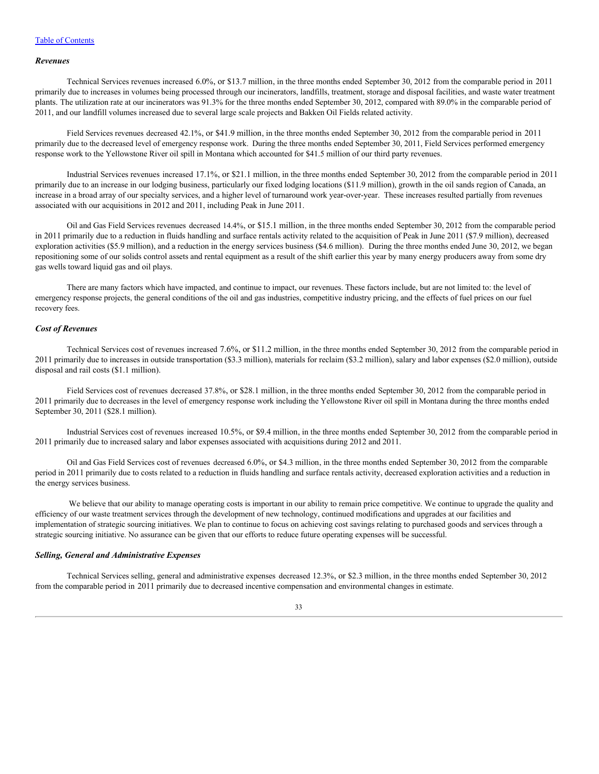#### *Revenues*

Technical Services revenues increased 6.0%, or \$13.7 million, in the three months ended September 30, 2012 from the comparable period in 2011 primarily due to increases in volumes being processed through our incinerators, landfills, treatment, storage and disposal facilities, and waste water treatment plants. The utilization rate at our incinerators was 91.3% for the three months ended September 30, 2012, compared with 89.0% in the comparable period of 2011, and our landfill volumes increased due to several large scale projects and Bakken Oil Fields related activity.

Field Services revenues decreased 42.1%, or \$41.9 million, in the three months ended September 30, 2012 from the comparable period in 2011 primarily due to the decreased level of emergency response work. During the three months ended September 30, 2011, Field Services performed emergency response work to the Yellowstone River oil spill in Montana which accounted for \$41.5 million of our third party revenues.

Industrial Services revenues increased 17.1%, or \$21.1 million, in the three months ended September 30, 2012 from the comparable period in 2011 primarily due to an increase in our lodging business, particularly our fixed lodging locations (\$11.9 million), growth in the oil sands region of Canada, an increase in a broad array of our specialty services, and a higher level of turnaround work year-over-year. These increases resulted partially from revenues associated with our acquisitions in 2012 and 2011, including Peak in June 2011.

Oil and Gas Field Services revenues decreased 14.4%, or \$15.1 million, in the three months ended September 30, 2012 from the comparable period in 2011 primarily due to a reduction in fluids handling and surface rentals activity related to the acquisition of Peak in June 2011 (\$7.9 million), decreased exploration activities (\$5.9 million), and a reduction in the energy services business (\$4.6 million). During the three months ended June 30, 2012, we began repositioning some of our solids control assets and rental equipment as a result of the shift earlier this year by many energy producers away from some dry gas wells toward liquid gas and oil plays.

There are many factors which have impacted, and continue to impact, our revenues. These factors include, but are not limited to: the level of emergency response projects, the general conditions of the oil and gas industries, competitive industry pricing, and the effects of fuel prices on our fuel recovery fees.

## *Cost of Revenues*

Technical Services cost of revenues increased 7.6%, or \$11.2 million, in the three months ended September 30, 2012 from the comparable period in 2011 primarily due to increases in outside transportation (\$3.3 million), materials for reclaim (\$3.2 million), salary and labor expenses (\$2.0 million), outside disposal and rail costs (\$1.1 million).

Field Services cost of revenues decreased 37.8%, or \$28.1 million, in the three months ended September 30, 2012 from the comparable period in 2011 primarily due to decreases in the level of emergency response work including the Yellowstone River oil spill in Montana during the three months ended September 30, 2011 (\$28.1 million).

Industrial Services cost of revenues increased 10.5%, or \$9.4 million, in the three months ended September 30, 2012 from the comparable period in 2011 primarily due to increased salary and labor expenses associated with acquisitions during 2012 and 2011.

Oil and Gas Field Services cost of revenues decreased 6.0%, or \$4.3 million, in the three months ended September 30, 2012 from the comparable period in 2011 primarily due to costs related to a reduction in fluids handling and surface rentals activity, decreased exploration activities and a reduction in the energy services business.

We believe that our ability to manage operating costs is important in our ability to remain price competitive. We continue to upgrade the quality and efficiency of our waste treatment services through the development of new technology, continued modifications and upgrades at our facilities and implementation of strategic sourcing initiatives. We plan to continue to focus on achieving cost savings relating to purchased goods and services through a strategic sourcing initiative. No assurance can be given that our efforts to reduce future operating expenses will be successful.

### *Selling, General and Administrative Expenses*

Technical Services selling, general and administrative expenses decreased 12.3%, or \$2.3 million, in the three months ended September 30, 2012 from the comparable period in 2011 primarily due to decreased incentive compensation and environmental changes in estimate.

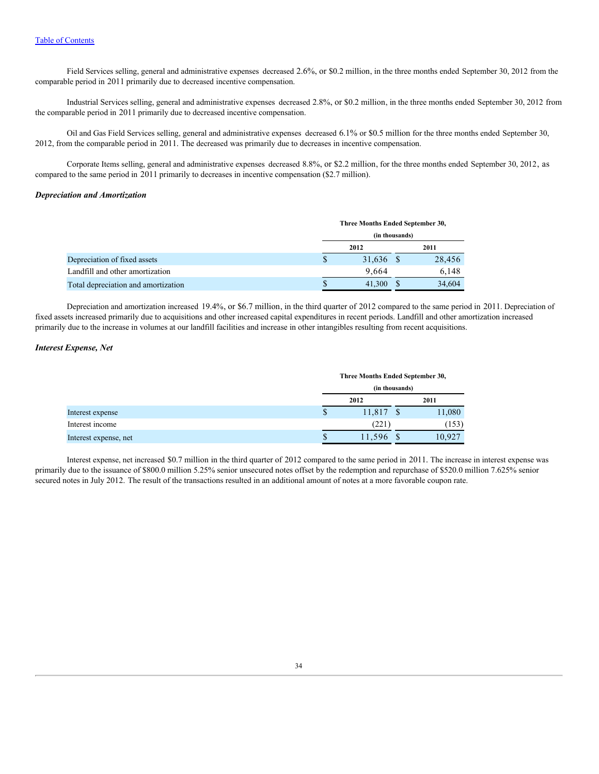Field Services selling, general and administrative expenses decreased 2.6%, or \$0.2 million, in the three months ended September 30, 2012 from the comparable period in 2011 primarily due to decreased incentive compensation.

Industrial Services selling, general and administrative expenses decreased 2.8%, or \$0.2 million, in the three months ended September 30, 2012 from the comparable period in 2011 primarily due to decreased incentive compensation.

Oil and Gas Field Services selling, general and administrative expenses decreased 6.1% or \$0.5 million for the three months ended September 30, 2012, from the comparable period in 2011. The decreased was primarily due to decreases in incentive compensation.

Corporate Items selling, general and administrative expenses decreased 8.8%, or \$2.2 million, for the three months ended September 30, 2012, as compared to the same period in 2011 primarily to decreases in incentive compensation (\$2.7 million).

#### *Depreciation and Amortization*

|                                     |   | Three Months Ended September 30, |  |        |  |  |  |
|-------------------------------------|---|----------------------------------|--|--------|--|--|--|
|                                     |   | (in thousands)                   |  |        |  |  |  |
|                                     |   | 2012                             |  | 2011   |  |  |  |
| Depreciation of fixed assets        | S | 31,636 \$                        |  | 28,456 |  |  |  |
| Landfill and other amortization     |   | 9.664                            |  | 6.148  |  |  |  |
| Total depreciation and amortization | S | 41,300                           |  | 34,604 |  |  |  |

Depreciation and amortization increased 19.4%, or \$6.7 million, in the third quarter of 2012 compared to the same period in 2011. Depreciation of fixed assets increased primarily due to acquisitions and other increased capital expenditures in recent periods. Landfill and other amortization increased primarily due to the increase in volumes at our landfill facilities and increase in other intangibles resulting from recent acquisitions.

#### *Interest Expense, Net*

|                       |      | Three Months Ended September 30,<br>(in thousands) |      |        |  |  |
|-----------------------|------|----------------------------------------------------|------|--------|--|--|
|                       |      |                                                    |      |        |  |  |
|                       | 2012 |                                                    |      | 2011   |  |  |
| Interest expense      | S    | 11,817                                             | - \$ | 11,080 |  |  |
| Interest income       |      | (221)                                              |      | (153)  |  |  |
| Interest expense, net | \$   | 11,596 \$                                          |      | 10,927 |  |  |

Interest expense, net increased \$0.7 million in the third quarter of 2012 compared to the same period in 2011. The increase in interest expense was primarily due to the issuance of \$800.0 million 5.25% senior unsecured notes offset by the redemption and repurchase of \$520.0 million 7.625% senior secured notes in July 2012. The result of the transactions resulted in an additional amount of notes at a more favorable coupon rate.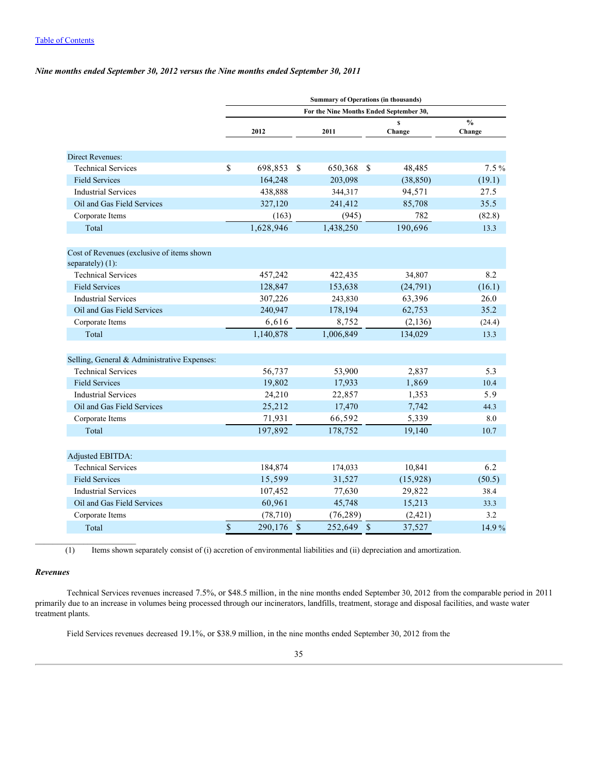# *Nine months ended September 30, 2012 versus the Nine months ended September 30, 2011*

|                                                                | <b>Summary of Operations (in thousands)</b> |              |               |                                         |               |             |                         |  |  |  |
|----------------------------------------------------------------|---------------------------------------------|--------------|---------------|-----------------------------------------|---------------|-------------|-------------------------|--|--|--|
|                                                                |                                             |              |               | For the Nine Months Ended September 30, |               |             |                         |  |  |  |
|                                                                |                                             | 2012         |               | 2011                                    |               | s<br>Change | $\frac{0}{0}$<br>Change |  |  |  |
| <b>Direct Revenues:</b>                                        |                                             |              |               |                                         |               |             |                         |  |  |  |
| <b>Technical Services</b>                                      | $\mathbf{\hat{S}}$                          | 698,853      | <sup>\$</sup> | 650,368                                 | <sup>\$</sup> | 48,485      | 7.5%                    |  |  |  |
| <b>Field Services</b>                                          |                                             | 164,248      |               | 203,098                                 |               | (38, 850)   | (19.1)                  |  |  |  |
| <b>Industrial Services</b>                                     |                                             | 438,888      |               | 344,317                                 |               | 94,571      | 27.5                    |  |  |  |
| Oil and Gas Field Services                                     |                                             | 327,120      |               | 241,412                                 |               | 85,708      | 35.5                    |  |  |  |
| Corporate Items                                                |                                             | (163)        |               | (945)                                   |               | 782         | (82.8)                  |  |  |  |
| Total                                                          |                                             | 1,628,946    |               | 1,438,250                               |               | 190,696     | 13.3                    |  |  |  |
| Cost of Revenues (exclusive of items shown<br>separately) (1): |                                             |              |               |                                         |               |             |                         |  |  |  |
| <b>Technical Services</b>                                      |                                             | 457,242      |               | 422,435                                 |               | 34,807      | 8.2                     |  |  |  |
| <b>Field Services</b>                                          |                                             | 128,847      |               | 153,638                                 |               | (24,791)    | (16.1)                  |  |  |  |
| <b>Industrial Services</b>                                     |                                             | 307,226      |               | 243,830                                 |               | 63,396      | 26.0                    |  |  |  |
| Oil and Gas Field Services                                     |                                             | 240,947      |               | 178,194                                 |               | 62,753      | 35.2                    |  |  |  |
| Corporate Items                                                |                                             | 6,616        |               | 8,752                                   |               | (2, 136)    | (24.4)                  |  |  |  |
| Total                                                          |                                             | 1,140,878    |               | 1,006,849                               |               | 134,029     | 13.3                    |  |  |  |
| Selling, General & Administrative Expenses:                    |                                             |              |               |                                         |               |             |                         |  |  |  |
| <b>Technical Services</b>                                      |                                             | 56,737       |               | 53,900                                  |               | 2,837       | 5.3                     |  |  |  |
| <b>Field Services</b>                                          |                                             | 19,802       |               | 17,933                                  |               | 1,869       | 10.4                    |  |  |  |
| <b>Industrial Services</b>                                     |                                             | 24,210       |               | 22,857                                  |               | 1,353       | 5.9                     |  |  |  |
| Oil and Gas Field Services                                     |                                             | 25,212       |               | 17,470                                  |               | 7,742       | 44.3                    |  |  |  |
| Corporate Items                                                |                                             | 71,931       |               | 66,592                                  |               | 5,339       | 8.0                     |  |  |  |
| Total                                                          |                                             | 197,892      |               | 178,752                                 |               | 19,140      | 10.7                    |  |  |  |
| Adjusted EBITDA:                                               |                                             |              |               |                                         |               |             |                         |  |  |  |
| <b>Technical Services</b>                                      |                                             | 184,874      |               | 174,033                                 |               | 10,841      | 6.2                     |  |  |  |
| <b>Field Services</b>                                          |                                             | 15,599       |               | 31,527                                  |               | (15, 928)   | (50.5)                  |  |  |  |
| <b>Industrial Services</b>                                     |                                             | 107,452      |               | 77,630                                  |               | 29,822      | 38.4                    |  |  |  |
| Oil and Gas Field Services                                     |                                             | 60,961       |               | 45,748                                  |               | 15,213      | 33.3                    |  |  |  |
| Corporate Items                                                |                                             | (78, 710)    |               | (76, 289)                               |               | (2, 421)    | 3.2                     |  |  |  |
| Total                                                          | \$                                          | $290,176$ \$ |               | 252,649 \$                              |               | 37,527      | 14.9%                   |  |  |  |
|                                                                |                                             |              |               |                                         |               |             |                         |  |  |  |

(1) Items shown separately consist of (i) accretion of environmental liabilities and (ii) depreciation and amortization.

#### *Revenues*

 $\mathcal{L}_\text{max}$ 

Technical Services revenues increased 7.5%, or \$48.5 million, in the nine months ended September 30, 2012 from the comparable period in 2011 primarily due to an increase in volumes being processed through our incinerators, landfills, treatment, storage and disposal facilities, and waste water treatment plants.

Field Services revenues decreased 19.1%, or \$38.9 million, in the nine months ended September 30, 2012 from the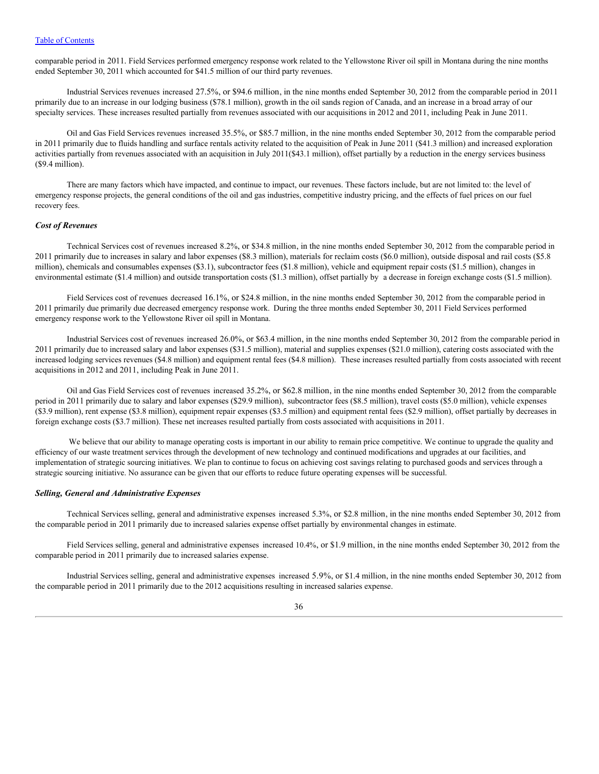comparable period in 2011. Field Services performed emergency response work related to the Yellowstone River oil spill in Montana during the nine months ended September 30, 2011 which accounted for \$41.5 million of our third party revenues.

Industrial Services revenues increased 27.5%, or \$94.6 million, in the nine months ended September 30, 2012 from the comparable period in 2011 primarily due to an increase in our lodging business (\$78.1 million), growth in the oil sands region of Canada, and an increase in a broad array of our specialty services. These increases resulted partially from revenues associated with our acquisitions in 2012 and 2011, including Peak in June 2011.

Oil and Gas Field Services revenues increased 35.5%, or \$85.7 million, in the nine months ended September 30, 2012 from the comparable period in 2011 primarily due to fluids handling and surface rentals activity related to the acquisition of Peak in June 2011 (\$41.3 million) and increased exploration activities partially from revenues associated with an acquisition in July 2011(\$43.1 million), offset partially by a reduction in the energy services business (\$9.4 million).

There are many factors which have impacted, and continue to impact, our revenues. These factors include, but are not limited to: the level of emergency response projects, the general conditions of the oil and gas industries, competitive industry pricing, and the effects of fuel prices on our fuel recovery fees.

#### *Cost of Revenues*

Technical Services cost of revenues increased 8.2%, or \$34.8 million, in the nine months ended September 30, 2012 from the comparable period in 2011 primarily due to increases in salary and labor expenses (\$8.3 million), materials for reclaim costs (\$6.0 million), outside disposal and rail costs (\$5.8 million), chemicals and consumables expenses (\$3.1), subcontractor fees (\$1.8 million), vehicle and equipment repair costs (\$1.5 million), changes in environmental estimate (\$1.4 million) and outside transportation costs (\$1.3 million), offset partially by a decrease in foreign exchange costs (\$1.5 million).

Field Services cost of revenues decreased 16.1%, or \$24.8 million, in the nine months ended September 30, 2012 from the comparable period in 2011 primarily due primarily due decreased emergency response work. During the three months ended September 30, 2011 Field Services performed emergency response work to the Yellowstone River oil spill in Montana.

Industrial Services cost of revenues increased 26.0%, or \$63.4 million, in the nine months ended September 30, 2012 from the comparable period in 2011 primarily due to increased salary and labor expenses (\$31.5 million), material and supplies expenses (\$21.0 million), catering costs associated with the increased lodging services revenues (\$4.8 million) and equipment rental fees (\$4.8 million). These increases resulted partially from costs associated with recent acquisitions in 2012 and 2011, including Peak in June 2011.

Oil and Gas Field Services cost of revenues increased 35.2%, or \$62.8 million, in the nine months ended September 30, 2012 from the comparable period in 2011 primarily due to salary and labor expenses (\$29.9 million), subcontractor fees (\$8.5 million), travel costs (\$5.0 million), vehicle expenses (\$3.9 million), rent expense (\$3.8 million), equipment repair expenses (\$3.5 million) and equipment rental fees (\$2.9 million), offset partially by decreases in foreign exchange costs (\$3.7 million). These net increases resulted partially from costs associated with acquisitions in 2011.

We believe that our ability to manage operating costs is important in our ability to remain price competitive. We continue to upgrade the quality and efficiency of our waste treatment services through the development of new technology and continued modifications and upgrades at our facilities, and implementation of strategic sourcing initiatives. We plan to continue to focus on achieving cost savings relating to purchased goods and services through a strategic sourcing initiative. No assurance can be given that our efforts to reduce future operating expenses will be successful.

## *Selling, General and Administrative Expenses*

Technical Services selling, general and administrative expenses increased 5.3%, or \$2.8 million, in the nine months ended September 30, 2012 from the comparable period in 2011 primarily due to increased salaries expense offset partially by environmental changes in estimate.

Field Services selling, general and administrative expenses increased 10.4%, or \$1.9 million, in the nine months ended September 30, 2012 from the comparable period in 2011 primarily due to increased salaries expense.

Industrial Services selling, general and administrative expenses increased 5.9%, or \$1.4 million, in the nine months ended September 30, 2012 from the comparable period in 2011 primarily due to the 2012 acquisitions resulting in increased salaries expense.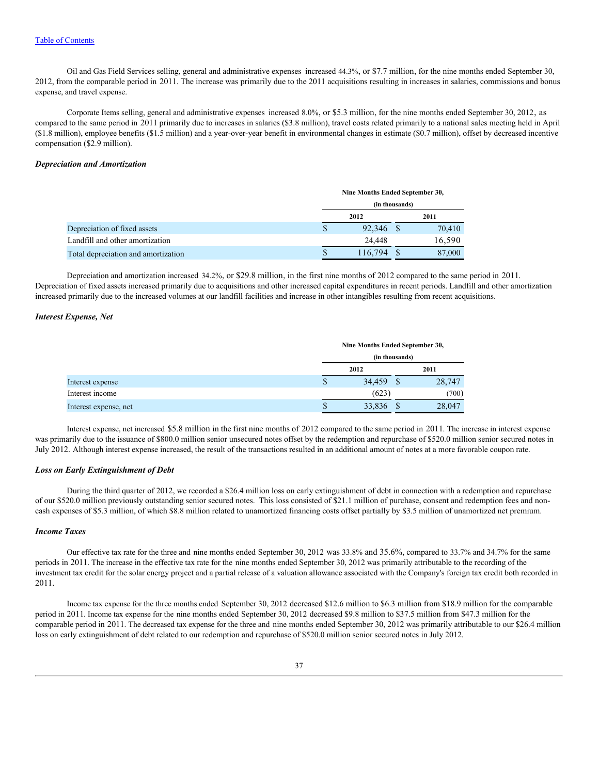Oil and Gas Field Services selling, general and administrative expenses increased 44.3%, or \$7.7 million, for the nine months ended September 30, 2012, from the comparable period in 2011. The increase was primarily due to the 2011 acquisitions resulting in increases in salaries, commissions and bonus expense, and travel expense.

Corporate Items selling, general and administrative expenses increased 8.0%, or \$5.3 million, for the nine months ended September 30, 2012, as compared to the same period in 2011 primarily due to increases in salaries (\$3.8 million), travel costs related primarily to a national sales meeting held in April (\$1.8 million), employee benefits (\$1.5 million) and a year-over-year benefit in environmental changes in estimate (\$0.7 million), offset by decreased incentive compensation (\$2.9 million).

#### *Depreciation and Amortization*

|                                     |    | Nine Months Ended September 30, |  |        |  |  |
|-------------------------------------|----|---------------------------------|--|--------|--|--|
|                                     |    | (in thousands)                  |  |        |  |  |
|                                     |    | 2012                            |  | 2011   |  |  |
| Depreciation of fixed assets        | \$ | 92.346 \$                       |  | 70.410 |  |  |
| Landfill and other amortization     |    | 24.448                          |  | 16.590 |  |  |
| Total depreciation and amortization | S  | 116,794 \$                      |  | 87,000 |  |  |

Depreciation and amortization increased 34.2%, or \$29.8 million, in the first nine months of 2012 compared to the same period in 2011. Depreciation of fixed assets increased primarily due to acquisitions and other increased capital expenditures in recent periods. Landfill and other amortization increased primarily due to the increased volumes at our landfill facilities and increase in other intangibles resulting from recent acquisitions.

### *Interest Expense, Net*

|                       |      | Nine Months Ended September 30,<br>(in thousands) |      |        |  |
|-----------------------|------|---------------------------------------------------|------|--------|--|
|                       |      |                                                   |      |        |  |
|                       | 2012 |                                                   | 2011 |        |  |
| Interest expense      | Y.   | 34.459                                            | - \$ | 28,747 |  |
| Interest income       |      | (623)                                             |      | (700)  |  |
| Interest expense, net | S.   | 33,836                                            |      | 28,047 |  |

Interest expense, net increased \$5.8 million in the first nine months of 2012 compared to the same period in 2011. The increase in interest expense was primarily due to the issuance of \$800.0 million senior unsecured notes offset by the redemption and repurchase of \$520.0 million senior secured notes in July 2012. Although interest expense increased, the result of the transactions resulted in an additional amount of notes at a more favorable coupon rate.

## *Loss on Early Extinguishment of Debt*

During the third quarter of 2012, we recorded a \$26.4 million loss on early extinguishment of debt in connection with a redemption and repurchase of our \$520.0 million previously outstanding senior secured notes. This loss consisted of \$21.1 million of purchase, consent and redemption fees and noncash expenses of \$5.3 million, of which \$8.8 million related to unamortized financing costs offset partially by \$3.5 million of unamortized net premium.

## *Income Taxes*

Our effective tax rate for the three and nine months ended September 30, 2012 was 33.8% and 35.6%, compared to 33.7% and 34.7% for the same periods in 2011. The increase in the effective tax rate for the nine months ended September 30, 2012 was primarily attributable to the recording of the investment tax credit for the solar energy project and a partial release of a valuation allowance associated with the Company's foreign tax credit both recorded in 2011.

Income tax expense for the three months ended September 30, 2012 decreased \$12.6 million to \$6.3 million from \$18.9 million for the comparable period in 2011. Income tax expense for the nine months ended September 30, 2012 decreased \$9.8 million to \$37.5 million from \$47.3 million for the comparable period in 2011. The decreased tax expense for the three and nine months ended September 30, 2012 was primarily attributable to our \$26.4 million loss on early extinguishment of debt related to our redemption and repurchase of \$520.0 million senior secured notes in July 2012.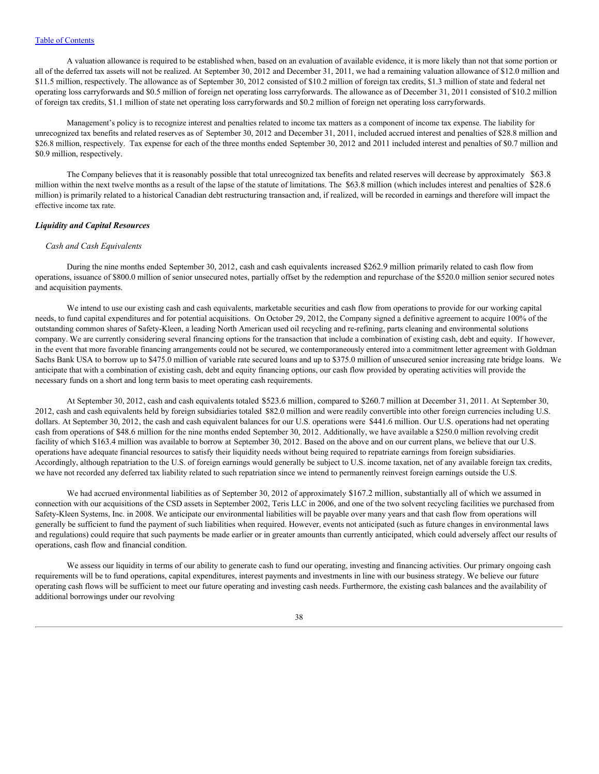A valuation allowance is required to be established when, based on an evaluation of available evidence, it is more likely than not that some portion or all of the deferred tax assets will not be realized. At September 30, 2012 and December 31, 2011, we had a remaining valuation allowance of \$12.0 million and \$11.5 million, respectively. The allowance as of September 30, 2012 consisted of \$10.2 million of foreign tax credits, \$1.3 million of state and federal net operating loss carryforwards and \$0.5 million of foreign net operating loss carryforwards. The allowance as of December 31, 2011 consisted of \$10.2 million of foreign tax credits, \$1.1 million of state net operating loss carryforwards and \$0.2 million of foreign net operating loss carryforwards.

Management's policy is to recognize interest and penalties related to income tax matters as a component of income tax expense. The liability for unrecognized tax benefits and related reserves as of September 30, 2012 and December 31, 2011, included accrued interest and penalties of \$28.8 million and \$26.8 million, respectively. Tax expense for each of the three months ended September 30, 2012 and 2011 included interest and penalties of \$0.7 million and \$0.9 million, respectively.

The Company believes that it is reasonably possible that total unrecognized tax benefits and related reserves will decrease by approximately \$63.8 million within the next twelve months as a result of the lapse of the statute of limitations. The \$63.8 million (which includes interest and penalties of \$28.6 million) is primarily related to a historical Canadian debt restructuring transaction and, if realized, will be recorded in earnings and therefore will impact the effective income tax rate.

#### *Liquidity and Capital Resources*

#### *Cash and Cash Equivalents*

During the nine months ended September 30, 2012, cash and cash equivalents increased \$262.9 million primarily related to cash flow from operations, issuance of \$800.0 million of senior unsecured notes, partially offset by the redemption and repurchase of the \$520.0 million senior secured notes and acquisition payments.

We intend to use our existing cash and cash equivalents, marketable securities and cash flow from operations to provide for our working capital needs, to fund capital expenditures and for potential acquisitions. On October 29, 2012, the Company signed a definitive agreement to acquire 100% of the outstanding common shares of Safety-Kleen, a leading North American used oil recycling and re-refining, parts cleaning and environmental solutions company. We are currently considering several financing options for the transaction that include a combination of existing cash, debt and equity. If however, in the event that more favorable financing arrangements could not be secured, we contemporaneously entered into a commitment letter agreement with Goldman Sachs Bank USA to borrow up to \$475.0 million of variable rate secured loans and up to \$375.0 million of unsecured senior increasing rate bridge loans. We anticipate that with a combination of existing cash, debt and equity financing options, our cash flow provided by operating activities will provide the necessary funds on a short and long term basis to meet operating cash requirements.

At September 30, 2012, cash and cash equivalents totaled \$523.6 million, compared to \$260.7 million at December 31, 2011. At September 30, 2012, cash and cash equivalents held by foreign subsidiaries totaled \$82.0 million and were readily convertible into other foreign currencies including U.S. dollars. At September 30, 2012, the cash and cash equivalent balances for our U.S. operations were \$441.6 million. Our U.S. operations had net operating cash from operations of \$48.6 million for the nine months ended September 30, 2012. Additionally, we have available a \$250.0 million revolving credit facility of which \$163.4 million was available to borrow at September 30, 2012. Based on the above and on our current plans, we believe that our U.S. operations have adequate financial resources to satisfy their liquidity needs without being required to repatriate earnings from foreign subsidiaries. Accordingly, although repatriation to the U.S. of foreign earnings would generally be subject to U.S. income taxation, net of any available foreign tax credits, we have not recorded any deferred tax liability related to such repatriation since we intend to permanently reinvest foreign earnings outside the U.S.

We had accrued environmental liabilities as of September 30, 2012 of approximately \$167.2 million, substantially all of which we assumed in connection with our acquisitions of the CSD assets in September 2002, Teris LLC in 2006, and one of the two solvent recycling facilities we purchased from Safety-Kleen Systems, Inc. in 2008. We anticipate our environmental liabilities will be payable over many years and that cash flow from operations will generally be sufficient to fund the payment of such liabilities when required. However, events not anticipated (such as future changes in environmental laws and regulations) could require that such payments be made earlier or in greater amounts than currently anticipated, which could adversely affect our results of operations, cash flow and financial condition.

We assess our liquidity in terms of our ability to generate cash to fund our operating, investing and financing activities. Our primary ongoing cash requirements will be to fund operations, capital expenditures, interest payments and investments in line with our business strategy. We believe our future operating cash flows will be sufficient to meet our future operating and investing cash needs. Furthermore, the existing cash balances and the availability of additional borrowings under our revolving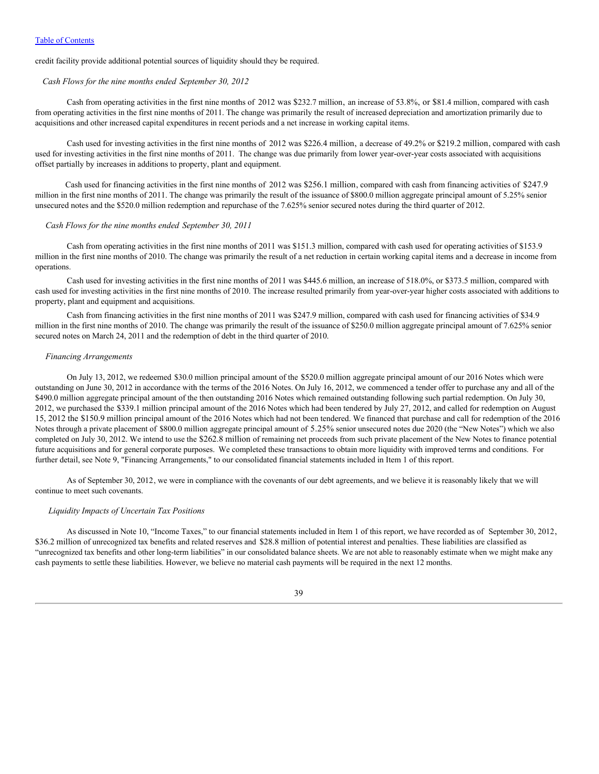credit facility provide additional potential sources of liquidity should they be required.

#### *Cash Flows for the nine months ended September 30, 2012*

Cash from operating activities in the first nine months of 2012 was \$232.7 million, an increase of 53.8%, or \$81.4 million, compared with cash from operating activities in the first nine months of 2011. The change was primarily the result of increased depreciation and amortization primarily due to acquisitions and other increased capital expenditures in recent periods and a net increase in working capital items.

Cash used for investing activities in the first nine months of 2012 was \$226.4 million, a decrease of 49.2% or \$219.2 million, compared with cash used for investing activities in the first nine months of 2011. The change was due primarily from lower year-over-year costs associated with acquisitions offset partially by increases in additions to property, plant and equipment.

Cash used for financing activities in the first nine months of 2012 was \$256.1 million, compared with cash from financing activities of \$247.9 million in the first nine months of 2011. The change was primarily the result of the issuance of \$800.0 million aggregate principal amount of 5.25% senior unsecured notes and the \$520.0 million redemption and repurchase of the 7.625% senior secured notes during the third quarter of 2012.

#### *Cash Flows for the nine months ended September 30, 2011*

Cash from operating activities in the first nine months of 2011 was \$151.3 million, compared with cash used for operating activities of \$153.9 million in the first nine months of 2010. The change was primarily the result of a net reduction in certain working capital items and a decrease in income from operations.

Cash used for investing activities in the first nine months of 2011 was \$445.6 million, an increase of 518.0%, or \$373.5 million, compared with cash used for investing activities in the first nine months of 2010. The increase resulted primarily from year-over-year higher costs associated with additions to property, plant and equipment and acquisitions.

Cash from financing activities in the first nine months of 2011 was \$247.9 million, compared with cash used for financing activities of \$34.9 million in the first nine months of 2010. The change was primarily the result of the issuance of \$250.0 million aggregate principal amount of 7.625% senior secured notes on March 24, 2011 and the redemption of debt in the third quarter of 2010.

#### *Financing Arrangements*

On July 13, 2012, we redeemed \$30.0 million principal amount of the \$520.0 million aggregate principal amount of our 2016 Notes which were outstanding on June 30, 2012 in accordance with the terms of the 2016 Notes. On July 16, 2012, we commenced a tender offer to purchase any and all of the \$490.0 million aggregate principal amount of the then outstanding 2016 Notes which remained outstanding following such partial redemption. On July 30, 2012, we purchased the \$339.1 million principal amount of the 2016 Notes which had been tendered by July 27, 2012, and called for redemption on August 15, 2012 the \$150.9 million principal amount of the 2016 Notes which had not been tendered. We financed that purchase and call for redemption of the 2016 Notes through a private placement of \$800.0 million aggregate principal amount of 5.25% senior unsecured notes due 2020 (the "New Notes") which we also completed on July 30, 2012. We intend to use the \$262.8 million of remaining net proceeds from such private placement of the New Notes to finance potential future acquisitions and for general corporate purposes. We completed these transactions to obtain more liquidity with improved terms and conditions. For further detail, see Note 9, "Financing Arrangements," to our consolidated financial statements included in Item 1 of this report.

As of September 30, 2012, we were in compliance with the covenants of our debt agreements, and we believe it is reasonably likely that we will continue to meet such covenants.

## *Liquidity Impacts of Uncertain Tax Positions*

As discussed in Note 10, "Income Taxes," to our financial statements included in Item 1 of this report, we have recorded as of September 30, 2012, \$36.2 million of unrecognized tax benefits and related reserves and \$28.8 million of potential interest and penalties. These liabilities are classified as "unrecognized tax benefits and other long-term liabilities" in our consolidated balance sheets. We are not able to reasonably estimate when we might make any cash payments to settle these liabilities. However, we believe no material cash payments will be required in the next 12 months.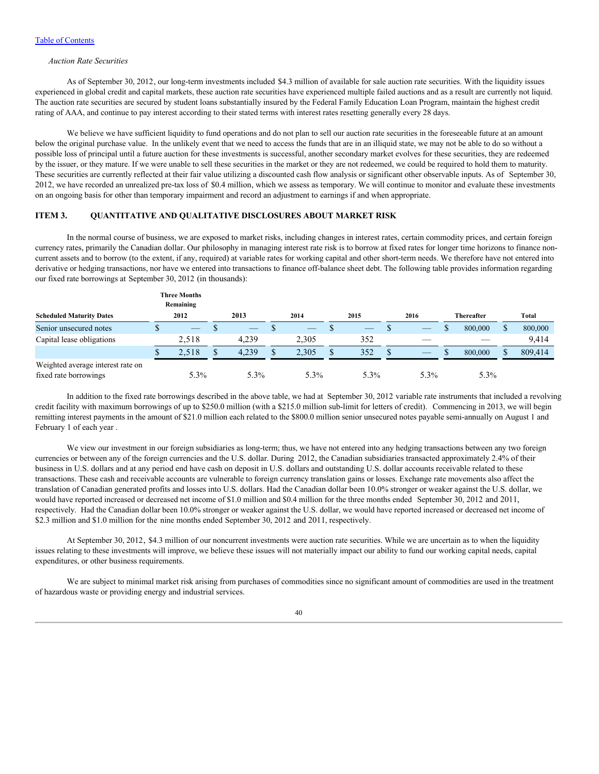#### <span id="page-42-0"></span>*Auction Rate Securities*

As of September 30, 2012, our long-term investments included \$4.3 million of available for sale auction rate securities. With the liquidity issues experienced in global credit and capital markets, these auction rate securities have experienced multiple failed auctions and as a result are currently not liquid. The auction rate securities are secured by student loans substantially insured by the Federal Family Education Loan Program, maintain the highest credit rating of AAA, and continue to pay interest according to their stated terms with interest rates resetting generally every 28 days.

We believe we have sufficient liquidity to fund operations and do not plan to sell our auction rate securities in the foreseeable future at an amount below the original purchase value. In the unlikely event that we need to access the funds that are in an illiquid state, we may not be able to do so without a possible loss of principal until a future auction for these investments is successful, another secondary market evolves for these securities, they are redeemed by the issuer, or they mature. If we were unable to sell these securities in the market or they are not redeemed, we could be required to hold them to maturity. These securities are currently reflected at their fair value utilizing a discounted cash flow analysis or significant other observable inputs. As of September 30, 2012, we have recorded an unrealized pre-tax loss of \$0.4 million, which we assess as temporary. We will continue to monitor and evaluate these investments on an ongoing basis for other than temporary impairment and record an adjustment to earnings if and when appropriate.

# **ITEM 3. QUANTITATIVE AND QUALITATIVE DISCLOSURES ABOUT MARKET RISK**

In the normal course of business, we are exposed to market risks, including changes in interest rates, certain commodity prices, and certain foreign currency rates, primarily the Canadian dollar. Our philosophy in managing interest rate risk is to borrow at fixed rates for longer time horizons to finance noncurrent assets and to borrow (to the extent, if any, required) at variable rates for working capital and other short-term needs. We therefore have not entered into derivative or hedging transactions, nor have we entered into transactions to finance off-balance sheet debt. The following table provides information regarding our fixed rate borrowings at September 30, 2012 (in thousands):

|                                                            | <b>Three Months</b><br>Remaining |       |       |      |      |                   |   |         |
|------------------------------------------------------------|----------------------------------|-------|-------|------|------|-------------------|---|---------|
| <b>Scheduled Maturity Dates</b>                            | 2012                             | 2013  | 2014  | 2015 | 2016 | <b>Thereafter</b> |   | Total   |
| Senior unsecured notes                                     | $-$                              | __    |       | $-$  | __   | 800,000           | D | 800,000 |
| Capital lease obligations                                  | 2.518                            | 4.239 | 2.305 | 352  |      |                   |   | 9.414   |
|                                                            | 2.518                            | 4.239 | 2.305 | 352  | __   | 800,000           |   | 809.414 |
| Weighted average interest rate on<br>fixed rate borrowings | 5.3%                             | 5.3%  | 5.3%  | 5.3% | 5.3% | 5.3%              |   |         |

In addition to the fixed rate borrowings described in the above table, we had at September 30, 2012 variable rate instruments that included a revolving credit facility with maximum borrowings of up to \$250.0 million (with a \$215.0 million sub-limit for letters of credit). Commencing in 2013, we will begin remitting interest payments in the amount of \$21.0 million each related to the \$800.0 million senior unsecured notes payable semi-annually on August 1 and February 1 of each year .

We view our investment in our foreign subsidiaries as long-term; thus, we have not entered into any hedging transactions between any two foreign currencies or between any of the foreign currencies and the U.S. dollar. During 2012, the Canadian subsidiaries transacted approximately 2.4% of their business in U.S. dollars and at any period end have cash on deposit in U.S. dollars and outstanding U.S. dollar accounts receivable related to these transactions. These cash and receivable accounts are vulnerable to foreign currency translation gains or losses. Exchange rate movements also affect the translation of Canadian generated profits and losses into U.S. dollars. Had the Canadian dollar been 10.0% stronger or weaker against the U.S. dollar, we would have reported increased or decreased net income of \$1.0 million and \$0.4 million for the three months ended September 30, 2012 and 2011, respectively. Had the Canadian dollar been 10.0% stronger or weaker against the U.S. dollar, we would have reported increased or decreased net income of \$2.3 million and \$1.0 million for the nine months ended September 30, 2012 and 2011, respectively.

At September 30, 2012, \$4.3 million of our noncurrent investments were auction rate securities. While we are uncertain as to when the liquidity issues relating to these investments will improve, we believe these issues will not materially impact our ability to fund our working capital needs, capital expenditures, or other business requirements.

We are subject to minimal market risk arising from purchases of commodities since no significant amount of commodities are used in the treatment of hazardous waste or providing energy and industrial services.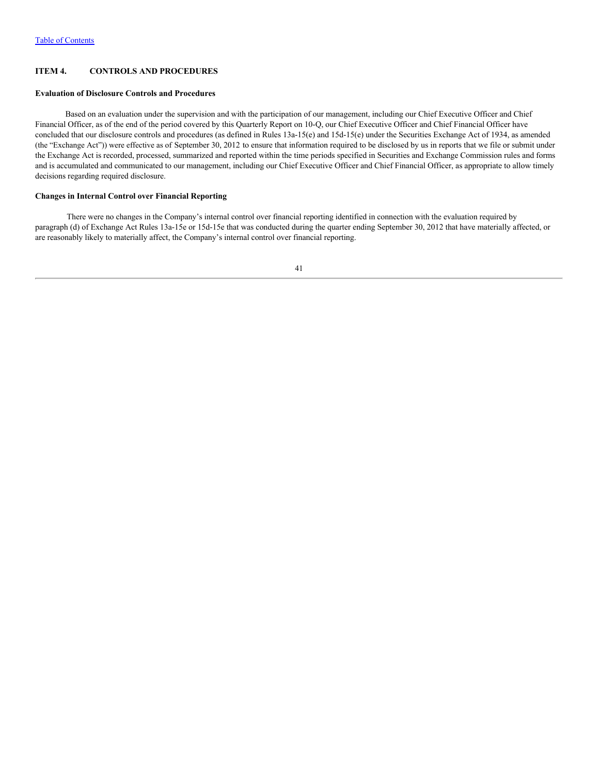# <span id="page-43-0"></span>**ITEM 4. CONTROLS AND PROCEDURES**

## **Evaluation of Disclosure Controls and Procedures**

Based on an evaluation under the supervision and with the participation of our management, including our Chief Executive Officer and Chief Financial Officer, as of the end of the period covered by this Quarterly Report on 10-Q, our Chief Executive Officer and Chief Financial Officer have concluded that our disclosure controls and procedures (as defined in Rules 13a-15(e) and 15d-15(e) under the Securities Exchange Act of 1934, as amended (the "Exchange Act")) were effective as of September 30, 2012 to ensure that information required to be disclosed by us in reports that we file or submit under the Exchange Act is recorded, processed, summarized and reported within the time periods specified in Securities and Exchange Commission rules and forms and is accumulated and communicated to our management, including our Chief Executive Officer and Chief Financial Officer, as appropriate to allow timely decisions regarding required disclosure.

#### **Changes in Internal Control over Financial Reporting**

There were no changes in the Company's internal control over financial reporting identified in connection with the evaluation required by paragraph (d) of Exchange Act Rules 13a-15e or 15d-15e that was conducted during the quarter ending September 30, 2012 that have materially affected, or are reasonably likely to materially affect, the Company's internal control over financial reporting.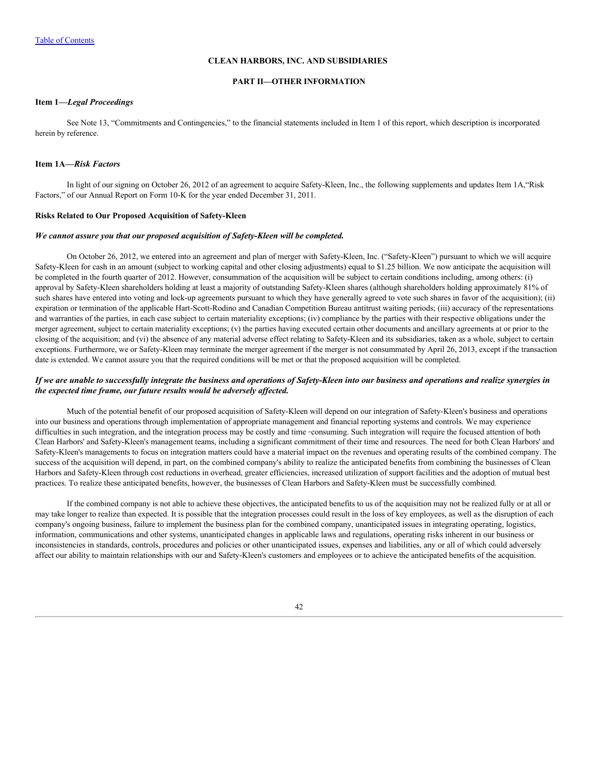## **PART II—OTHER INFORMATION**

#### <span id="page-44-0"></span>**Item 1—***Legal Proceedings*

See Note 13, "Commitments and Contingencies," to the financial statements included in Item 1 of this report, which description is incorporated herein by reference.

#### **Item 1A—***Risk Factors*

In light of our signing on October 26, 2012 of an agreement to acquire Safety-Kleen, Inc., the following supplements and updates Item 1A,"Risk Factors," of our Annual Report on Form 10-K for the year ended December 31, 2011.

#### **Risks Related to Our Proposed Acquisition of Safety-Kleen**

#### *We cannot assure you that our proposed acquisition of Safety-Kleen will be completed.*

On October 26, 2012, we entered into an agreement and plan of merger with Safety-Kleen, Inc. ("Safety-Kleen") pursuant to which we will acquire Safety-Kleen for cash in an amount (subject to working capital and other closing adjustments) equal to \$1.25 billion. We now anticipate the acquisition will be completed in the fourth quarter of 2012. However, consummation of the acquisition will be subject to certain conditions including, among others: (i) approval by Safety-Kleen shareholders holding at least a majority of outstanding Safety-Kleen shares (although shareholders holding approximately 81% of such shares have entered into voting and lock-up agreements pursuant to which they have generally agreed to vote such shares in favor of the acquisition); (ii) expiration or termination of the applicable Hart-Scott-Rodino and Canadian Competition Bureau antitrust waiting periods; (iii) accuracy of the representations and warranties of the parties, in each case subject to certain materiality exceptions; (iv) compliance by the parties with their respective obligations under the merger agreement, subject to certain materiality exceptions; (v) the parties having executed certain other documents and ancillary agreements at or prior to the closing of the acquisition; and (vi) the absence of any material adverse effect relating to Safety-Kleen and its subsidiaries, taken as a whole, subject to certain exceptions. Furthermore, we or Safety-Kleen may terminate the merger agreement if the merger is not consummated by April 26, 2013, except if the transaction date is extended. We cannot assure you that the required conditions will be met or that the proposed acquisition will be completed.

## *If we are unable to successfully integrate the business and operations of Safety-Kleen into our business and operations and realize synergies in the expected time frame, our future results would be adversely affected.*

Much of the potential benefit of our proposed acquisition of Safety-Kleen will depend on our integration of Safety-Kleen's business and operations into our business and operations through implementation of appropriate management and financial reporting systems and controls. We may experience difficulties in such integration, and the integration process may be costly and time -consuming. Such integration will require the focused attention of both Clean Harbors' and Safety-Kleen's management teams, including a significant commitment of their time and resources. The need for both Clean Harbors' and Safety-Kleen's managements to focus on integration matters could have a material impact on the revenues and operating results of the combined company. The success of the acquisition will depend, in part, on the combined company's ability to realize the anticipated benefits from combining the businesses of Clean Harbors and Safety-Kleen through cost reductions in overhead, greater efficiencies, increased utilization of support facilities and the adoption of mutual best practices. To realize these anticipated benefits, however, the businesses of Clean Harbors and Safety-Kleen must be successfully combined.

If the combined company is not able to achieve these objectives, the anticipated benefits to us of the acquisition may not be realized fully or at all or may take longer to realize than expected. It is possible that the integration processes could result in the loss of key employees, as well as the disruption of each company's ongoing business, failure to implement the business plan for the combined company, unanticipated issues in integrating operating, logistics, information, communications and other systems, unanticipated changes in applicable laws and regulations, operating risks inherent in our business or inconsistencies in standards, controls, procedures and policies or other unanticipated issues, expenses and liabilities, any or all of which could adversely affect our ability to maintain relationships with our and Safety-Kleen's customers and employees or to achieve the anticipated benefits of the acquisition.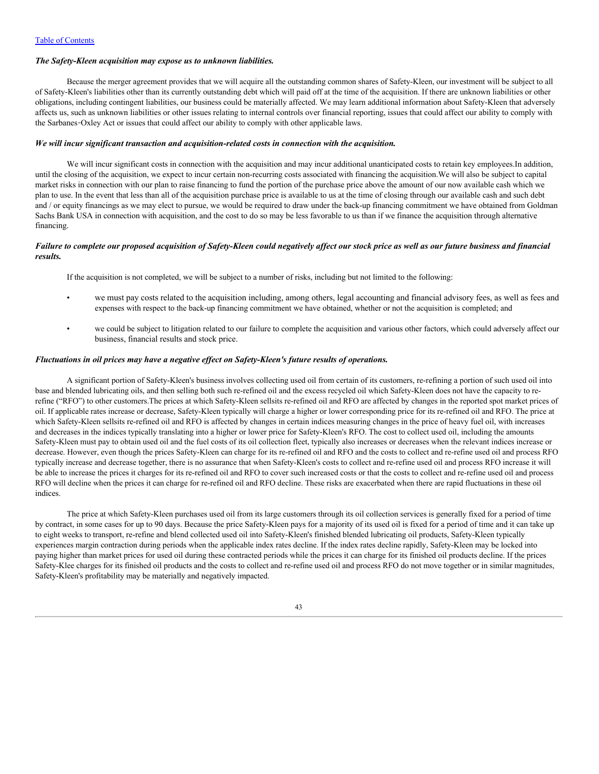## *The Safety-Kleen acquisition may expose us to unknown liabilities.*

Because the merger agreement provides that we will acquire all the outstanding common shares of Safety-Kleen, our investment will be subject to all of Safety-Kleen's liabilities other than its currently outstanding debt which will paid off at the time of the acquisition. If there are unknown liabilities or other obligations, including contingent liabilities, our business could be materially affected. We may learn additional information about Safety-Kleen that adversely affects us, such as unknown liabilities or other issues relating to internal controls over financial reporting, issues that could affect our ability to comply with the Sarbanes‑Oxley Act or issues that could affect our ability to comply with other applicable laws.

## *We will incur significant transaction and acquisition-related costs in connection with the acquisition.*

We will incur significant costs in connection with the acquisition and may incur additional unanticipated costs to retain key employees.In addition, until the closing of the acquisition, we expect to incur certain non-recurring costs associated with financing the acquisition.We will also be subject to capital market risks in connection with our plan to raise financing to fund the portion of the purchase price above the amount of our now available cash which we plan to use. In the event that less than all of the acquisition purchase price is available to us at the time of closing through our available cash and such debt and / or equity financings as we may elect to pursue, we would be required to draw under the back-up financing commitment we have obtained from Goldman Sachs Bank USA in connection with acquisition, and the cost to do so may be less favorable to us than if we finance the acquisition through alternative financing.

## *Failure to complete our proposed acquisition of Safety-Kleen could negatively affect our stock price as well as our future business and financial results.*

If the acquisition is not completed, we will be subject to a number of risks, including but not limited to the following:

- we must pay costs related to the acquisition including, among others, legal accounting and financial advisory fees, as well as fees and expenses with respect to the back-up financing commitment we have obtained, whether or not the acquisition is completed; and
- we could be subject to litigation related to our failure to complete the acquisition and various other factors, which could adversely affect our business, financial results and stock price.

## *Fluctuations in oil prices may have a negative effect on Safety-Kleen's future results of operations.*

A significant portion of Safety-Kleen's business involves collecting used oil from certain of its customers, re-refining a portion of such used oil into base and blended lubricating oils, and then selling both such re-refined oil and the excess recycled oil which Safety-Kleen does not have the capacity to rerefine ("RFO") to other customers.The prices at which Safety-Kleen sellsits re-refined oil and RFO are affected by changes in the reported spot market prices of oil. If applicable rates increase or decrease, Safety-Kleen typically will charge a higher or lower corresponding price for its re-refined oil and RFO. The price at which Safety-Kleen sellsits re-refined oil and RFO is affected by changes in certain indices measuring changes in the price of heavy fuel oil, with increases and decreases in the indices typically translating into a higher or lower price for Safety-Kleen's RFO. The cost to collect used oil, including the amounts Safety-Kleen must pay to obtain used oil and the fuel costs of its oil collection fleet, typically also increases or decreases when the relevant indices increase or decrease. However, even though the prices Safety-Kleen can charge for its re-refined oil and RFO and the costs to collect and re-refine used oil and process RFO typically increase and decrease together, there is no assurance that when Safety-Kleen's costs to collect and re-refine used oil and process RFO increase it will be able to increase the prices it charges for its re-refined oil and RFO to cover such increased costs or that the costs to collect and re-refine used oil and process RFO will decline when the prices it can charge for re-refined oil and RFO decline. These risks are exacerbated when there are rapid fluctuations in these oil indices.

The price at which Safety-Kleen purchases used oil from its large customers through its oil collection services is generally fixed for a period of time by contract, in some cases for up to 90 days. Because the price Safety-Kleen pays for a majority of its used oil is fixed for a period of time and it can take up to eight weeks to transport, re-refine and blend collected used oil into Safety-Kleen's finished blended lubricating oil products, Safety-Kleen typically experiences margin contraction during periods when the applicable index rates decline. If the index rates decline rapidly, Safety-Kleen may be locked into paying higher than market prices for used oil during these contracted periods while the prices it can charge for its finished oil products decline. If the prices Safety-Klee charges for its finished oil products and the costs to collect and re-refine used oil and process RFO do not move together or in similar magnitudes, Safety-Kleen's profitability may be materially and negatively impacted.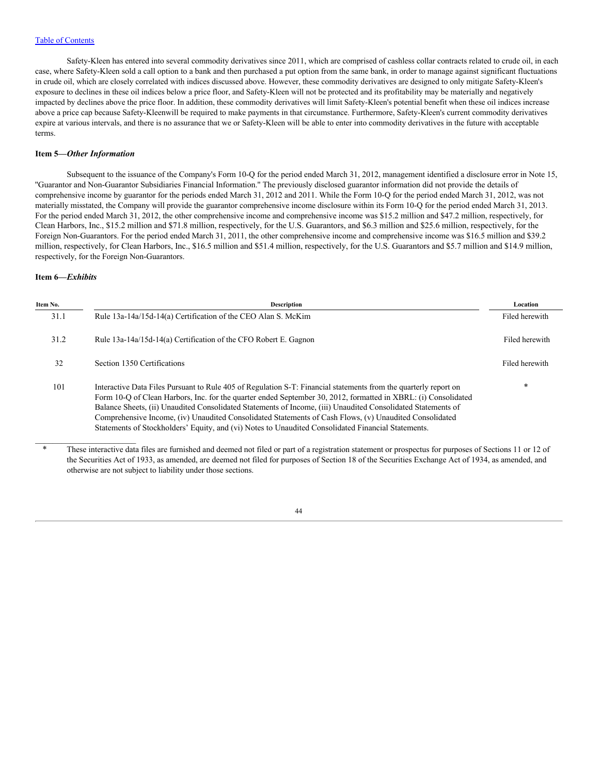<span id="page-46-0"></span>Safety-Kleen has entered into several commodity derivatives since 2011, which are comprised of cashless collar contracts related to crude oil, in each case, where Safety-Kleen sold a call option to a bank and then purchased a put option from the same bank, in order to manage against significant fluctuations in crude oil, which are closely correlated with indices discussed above. However, these commodity derivatives are designed to only mitigate Safety-Kleen's exposure to declines in these oil indices below a price floor, and Safety-Kleen will not be protected and its profitability may be materially and negatively impacted by declines above the price floor. In addition, these commodity derivatives will limit Safety-Kleen's potential benefit when these oil indices increase above a price cap because Safety-Kleenwill be required to make payments in that circumstance. Furthermore, Safety-Kleen's current commodity derivatives expire at various intervals, and there is no assurance that we or Safety-Kleen will be able to enter into commodity derivatives in the future with acceptable terms.

#### **Item 5—***Other Information*

Subsequent to the issuance of the Company's Form 10-Q for the period ended March 31, 2012, management identified a disclosure error in Note 15, ''Guarantor and Non-Guarantor Subsidiaries Financial Information.'' The previously disclosed guarantor information did not provide the details of comprehensive income by guarantor for the periods ended March 31, 2012 and 2011. While the Form 10-Q for the period ended March 31, 2012, was not materially misstated, the Company will provide the guarantor comprehensive income disclosure within its Form 10-Q for the period ended March 31, 2013. For the period ended March 31, 2012, the other comprehensive income and comprehensive income was \$15.2 million and \$47.2 million, respectively, for Clean Harbors, Inc., \$15.2 million and \$71.8 million, respectively, for the U.S. Guarantors, and \$6.3 million and \$25.6 million, respectively, for the Foreign Non-Guarantors. For the period ended March 31, 2011, the other comprehensive income and comprehensive income was \$16.5 million and \$39.2 million, respectively, for Clean Harbors, Inc., \$16.5 million and \$51.4 million, respectively, for the U.S. Guarantors and \$5.7 million and \$14.9 million, respectively, for the Foreign Non-Guarantors.

#### **Item 6—***Exhibits*

| Item No. | <b>Description</b>                                                                                                                                                                                                                                                                                                                                                                                                                                                                                                                                                 |                |  |  |
|----------|--------------------------------------------------------------------------------------------------------------------------------------------------------------------------------------------------------------------------------------------------------------------------------------------------------------------------------------------------------------------------------------------------------------------------------------------------------------------------------------------------------------------------------------------------------------------|----------------|--|--|
| 31.1     | Rule 13a-14a/15d-14(a) Certification of the CEO Alan S. McKim                                                                                                                                                                                                                                                                                                                                                                                                                                                                                                      | Filed herewith |  |  |
| 31.2     | Rule 13a-14a/15d-14(a) Certification of the CFO Robert E. Gagnon                                                                                                                                                                                                                                                                                                                                                                                                                                                                                                   | Filed herewith |  |  |
| 32       | Section 1350 Certifications                                                                                                                                                                                                                                                                                                                                                                                                                                                                                                                                        | Filed herewith |  |  |
| 101      | Interactive Data Files Pursuant to Rule 405 of Regulation S-T: Financial statements from the quarterly report on<br>Form 10-Q of Clean Harbors, Inc. for the quarter ended September 30, 2012, formatted in XBRL: (i) Consolidated<br>Balance Sheets, (ii) Unaudited Consolidated Statements of Income, (iii) Unaudited Consolidated Statements of<br>Comprehensive Income, (iv) Unaudited Consolidated Statements of Cash Flows, (v) Unaudited Consolidated<br>Statements of Stockholders' Equity, and (vi) Notes to Unaudited Consolidated Financial Statements. | ∗              |  |  |

These interactive data files are furnished and deemed not filed or part of a registration statement or prospectus for purposes of Sections 11 or 12 of the Securities Act of 1933, as amended, are deemed not filed for purposes of Section 18 of the Securities Exchange Act of 1934, as amended, and otherwise are not subject to liability under those sections.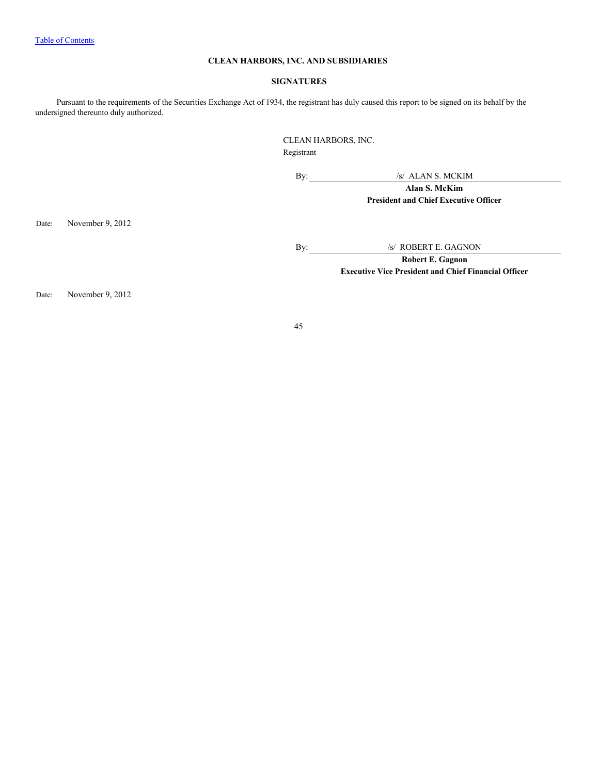## **SIGNATURES**

<span id="page-47-0"></span>Pursuant to the requirements of the Securities Exchange Act of 1934, the registrant has duly caused this report to be signed on its behalf by the undersigned thereunto duly authorized.

CLEAN HARBORS, INC.

Registrant

By: /s/ ALAN S. MCKIM

**Alan S. McKim President and Chief Executive Officer**

Date: November 9, 2012

By: /s/ ROBERT E. GAGNON

**Robert E. Gagnon Executive Vice President and Chief Financial Officer**

Date: November 9, 2012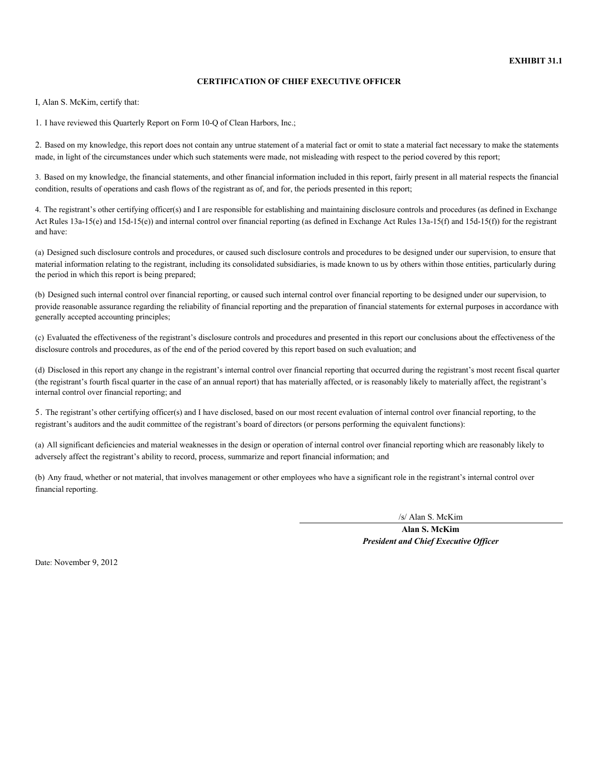# **CERTIFICATION OF CHIEF EXECUTIVE OFFICER**

I, Alan S. McKim, certify that:

1. I have reviewed this Quarterly Report on Form 10-Q of Clean Harbors, Inc.;

2. Based on my knowledge, this report does not contain any untrue statement of a material fact or omit to state a material fact necessary to make the statements made, in light of the circumstances under which such statements were made, not misleading with respect to the period covered by this report;

3. Based on my knowledge, the financial statements, and other financial information included in this report, fairly present in all material respects the financial condition, results of operations and cash flows of the registrant as of, and for, the periods presented in this report;

4. The registrant's other certifying officer(s) and I are responsible for establishing and maintaining disclosure controls and procedures (as defined in Exchange Act Rules 13a-15(e) and 15d-15(e)) and internal control over financial reporting (as defined in Exchange Act Rules 13a-15(f) and 15d-15(f)) for the registrant and have:

(a) Designed such disclosure controls and procedures, or caused such disclosure controls and procedures to be designed under our supervision, to ensure that material information relating to the registrant, including its consolidated subsidiaries, is made known to us by others within those entities, particularly during the period in which this report is being prepared;

(b) Designed such internal control over financial reporting, or caused such internal control over financial reporting to be designed under our supervision, to provide reasonable assurance regarding the reliability of financial reporting and the preparation of financial statements for external purposes in accordance with generally accepted accounting principles;

(c) Evaluated the effectiveness of the registrant's disclosure controls and procedures and presented in this report our conclusions about the effectiveness of the disclosure controls and procedures, as of the end of the period covered by this report based on such evaluation; and

(d) Disclosed in this report any change in the registrant's internal control over financial reporting that occurred during the registrant's most recent fiscal quarter (the registrant's fourth fiscal quarter in the case of an annual report) that has materially affected, or is reasonably likely to materially affect, the registrant's internal control over financial reporting; and

5. The registrant's other certifying officer(s) and I have disclosed, based on our most recent evaluation of internal control over financial reporting, to the registrant's auditors and the audit committee of the registrant's board of directors (or persons performing the equivalent functions):

(a) All significant deficiencies and material weaknesses in the design or operation of internal control over financial reporting which are reasonably likely to adversely affect the registrant's ability to record, process, summarize and report financial information; and

(b) Any fraud, whether or not material, that involves management or other employees who have a significant role in the registrant's internal control over financial reporting.

/s/ Alan S. McKim

**Alan S. McKim** *President and Chief Executive Officer*

Date: November 9, 2012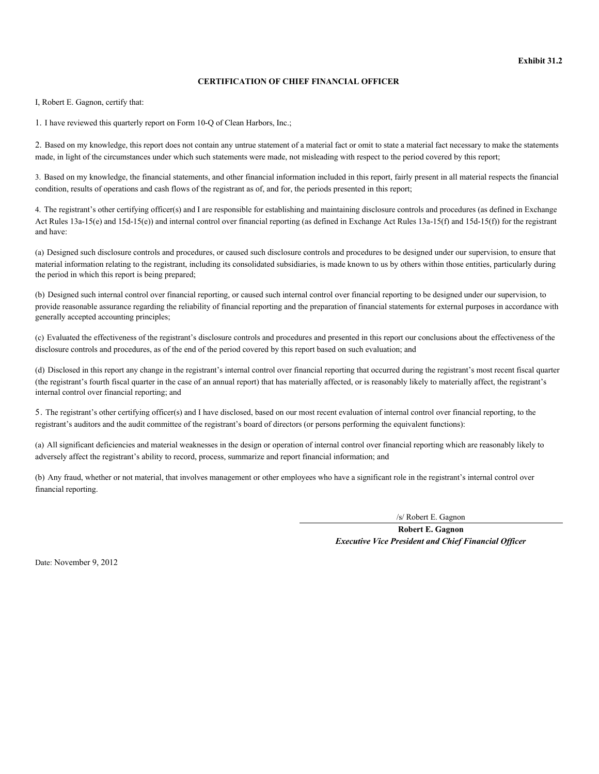# **CERTIFICATION OF CHIEF FINANCIAL OFFICER**

I, Robert E. Gagnon, certify that:

1. I have reviewed this quarterly report on Form 10-Q of Clean Harbors, Inc.;

2. Based on my knowledge, this report does not contain any untrue statement of a material fact or omit to state a material fact necessary to make the statements made, in light of the circumstances under which such statements were made, not misleading with respect to the period covered by this report;

3. Based on my knowledge, the financial statements, and other financial information included in this report, fairly present in all material respects the financial condition, results of operations and cash flows of the registrant as of, and for, the periods presented in this report;

4. The registrant's other certifying officer(s) and I are responsible for establishing and maintaining disclosure controls and procedures (as defined in Exchange Act Rules 13a-15(e) and 15d-15(e)) and internal control over financial reporting (as defined in Exchange Act Rules 13a-15(f) and 15d-15(f)) for the registrant and have:

(a) Designed such disclosure controls and procedures, or caused such disclosure controls and procedures to be designed under our supervision, to ensure that material information relating to the registrant, including its consolidated subsidiaries, is made known to us by others within those entities, particularly during the period in which this report is being prepared;

(b) Designed such internal control over financial reporting, or caused such internal control over financial reporting to be designed under our supervision, to provide reasonable assurance regarding the reliability of financial reporting and the preparation of financial statements for external purposes in accordance with generally accepted accounting principles;

(c) Evaluated the effectiveness of the registrant's disclosure controls and procedures and presented in this report our conclusions about the effectiveness of the disclosure controls and procedures, as of the end of the period covered by this report based on such evaluation; and

(d) Disclosed in this report any change in the registrant's internal control over financial reporting that occurred during the registrant's most recent fiscal quarter (the registrant's fourth fiscal quarter in the case of an annual report) that has materially affected, or is reasonably likely to materially affect, the registrant's internal control over financial reporting; and

5. The registrant's other certifying officer(s) and I have disclosed, based on our most recent evaluation of internal control over financial reporting, to the registrant's auditors and the audit committee of the registrant's board of directors (or persons performing the equivalent functions):

(a) All significant deficiencies and material weaknesses in the design or operation of internal control over financial reporting which are reasonably likely to adversely affect the registrant's ability to record, process, summarize and report financial information; and

(b) Any fraud, whether or not material, that involves management or other employees who have a significant role in the registrant's internal control over financial reporting.

/s/ Robert E. Gagnon

**Robert E. Gagnon** *Executive Vice President and Chief Financial Officer*

Date: November 9, 2012